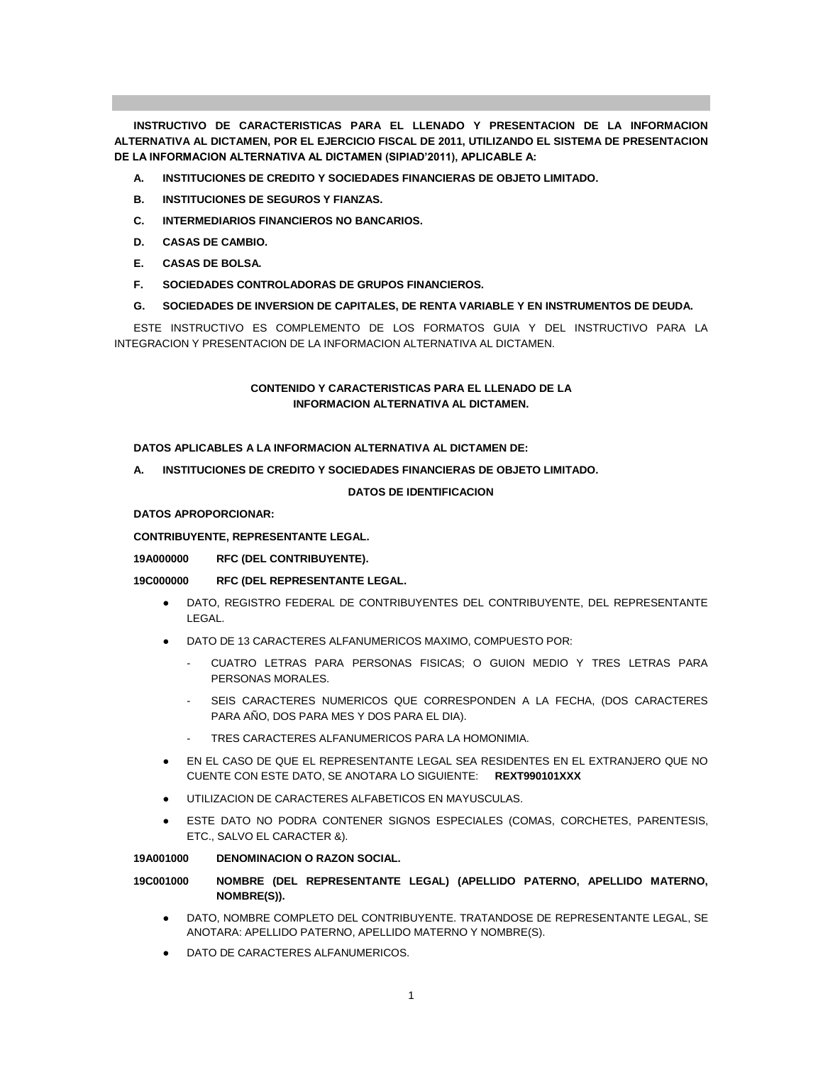**INSTRUCTIVO DE CARACTERISTICAS PARA EL LLENADO Y PRESENTACION DE LA INFORMACION ALTERNATIVA AL DICTAMEN, POR EL EJERCICIO FISCAL DE 2011, UTILIZANDO EL SISTEMA DE PRESENTACION DE LA INFORMACION ALTERNATIVA AL DICTAMEN (SIPIAD'2011), APLICABLE A:**

- **A. INSTITUCIONES DE CREDITO Y SOCIEDADES FINANCIERAS DE OBJETO LIMITADO.**
- **B. INSTITUCIONES DE SEGUROS Y FIANZAS.**
- **C. INTERMEDIARIOS FINANCIEROS NO BANCARIOS.**
- **D. CASAS DE CAMBIO.**
- **E. CASAS DE BOLSA.**
- **F. SOCIEDADES CONTROLADORAS DE GRUPOS FINANCIEROS.**
- **G. SOCIEDADES DE INVERSION DE CAPITALES, DE RENTA VARIABLE Y EN INSTRUMENTOS DE DEUDA.**

ESTE INSTRUCTIVO ES COMPLEMENTO DE LOS FORMATOS GUIA Y DEL INSTRUCTIVO PARA LA INTEGRACION Y PRESENTACION DE LA INFORMACION ALTERNATIVA AL DICTAMEN.

# **CONTENIDO Y CARACTERISTICAS PARA EL LLENADO DE LA INFORMACION ALTERNATIVA AL DICTAMEN.**

**DATOS APLICABLES A LA INFORMACION ALTERNATIVA AL DICTAMEN DE:**

**A. INSTITUCIONES DE CREDITO Y SOCIEDADES FINANCIERAS DE OBJETO LIMITADO.**

### **DATOS DE IDENTIFICACION**

### **DATOS APROPORCIONAR:**

**CONTRIBUYENTE, REPRESENTANTE LEGAL.**

**19A000000 RFC (DEL CONTRIBUYENTE).**

# **19C000000 RFC (DEL REPRESENTANTE LEGAL.**

- DATO, REGISTRO FEDERAL DE CONTRIBUYENTES DEL CONTRIBUYENTE, DEL REPRESENTANTE LEGAL.
- DATO DE 13 CARACTERES ALFANUMERICOS MAXIMO, COMPUESTO POR:
	- CUATRO LETRAS PARA PERSONAS FISICAS; O GUION MEDIO Y TRES LETRAS PARA PERSONAS MORALES.
	- SEIS CARACTERES NUMERICOS QUE CORRESPONDEN A LA FECHA, (DOS CARACTERES PARA AÑO, DOS PARA MES Y DOS PARA EL DIA).
	- TRES CARACTERES ALFANUMERICOS PARA LA HOMONIMIA.
- EN EL CASO DE QUE EL REPRESENTANTE LEGAL SEA RESIDENTES EN EL EXTRANJERO QUE NO CUENTE CON ESTE DATO, SE ANOTARA LO SIGUIENTE: **REXT990101XXX**
- UTILIZACION DE CARACTERES ALFABETICOS EN MAYUSCULAS.
- ESTE DATO NO PODRA CONTENER SIGNOS ESPECIALES (COMAS, CORCHETES, PARENTESIS, ETC., SALVO EL CARACTER &).

#### **19A001000 DENOMINACION O RAZON SOCIAL.**

# **19C001000 NOMBRE (DEL REPRESENTANTE LEGAL) (APELLIDO PATERNO, APELLIDO MATERNO, NOMBRE(S)).**

- DATO, NOMBRE COMPLETO DEL CONTRIBUYENTE. TRATANDOSE DE REPRESENTANTE LEGAL, SE ANOTARA: APELLIDO PATERNO, APELLIDO MATERNO Y NOMBRE(S).
- DATO DE CARACTERES ALFANUMERICOS.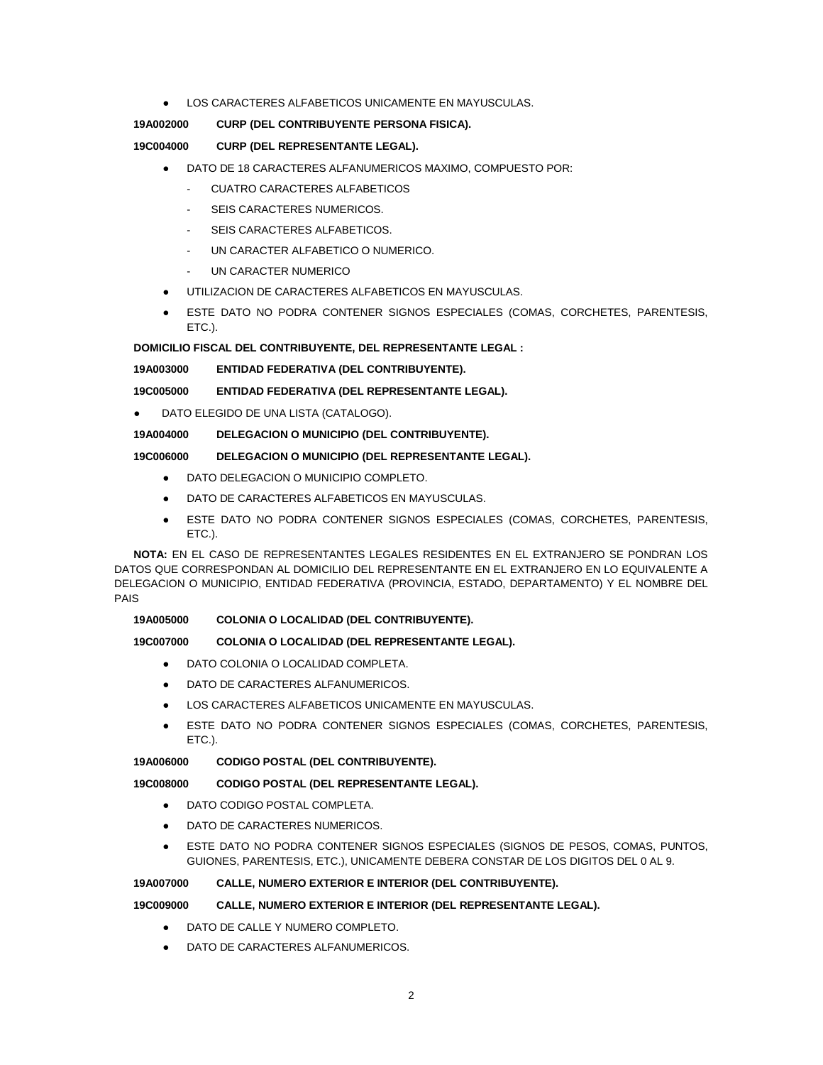LOS CARACTERES ALFABETICOS UNICAMENTE EN MAYUSCULAS.

# **19A002000 CURP (DEL CONTRIBUYENTE PERSONA FISICA).**

## **19C004000 CURP (DEL REPRESENTANTE LEGAL).**

- DATO DE 18 CARACTERES ALFANUMERICOS MAXIMO, COMPUESTO POR:
	- CUATRO CARACTERES ALFABETICOS
	- SEIS CARACTERES NUMERICOS.
	- SEIS CARACTERES ALFABETICOS.
	- UN CARACTER ALFABETICO O NUMERICO.
	- UN CARACTER NUMERICO
- UTILIZACION DE CARACTERES ALFABETICOS EN MAYUSCULAS.
- ESTE DATO NO PODRA CONTENER SIGNOS ESPECIALES (COMAS, CORCHETES, PARENTESIS, ETC.).

**DOMICILIO FISCAL DEL CONTRIBUYENTE, DEL REPRESENTANTE LEGAL :**

**19A003000 ENTIDAD FEDERATIVA (DEL CONTRIBUYENTE).**

# **19C005000 ENTIDAD FEDERATIVA (DEL REPRESENTANTE LEGAL).**

DATO ELEGIDO DE UNA LISTA (CATALOGO).

### **19A004000 DELEGACION O MUNICIPIO (DEL CONTRIBUYENTE).**

### **19C006000 DELEGACION O MUNICIPIO (DEL REPRESENTANTE LEGAL).**

- DATO DELEGACION O MUNICIPIO COMPLETO.
- DATO DE CARACTERES ALFABETICOS EN MAYUSCULAS.
- ESTE DATO NO PODRA CONTENER SIGNOS ESPECIALES (COMAS, CORCHETES, PARENTESIS, ETC.).

**NOTA:** EN EL CASO DE REPRESENTANTES LEGALES RESIDENTES EN EL EXTRANJERO SE PONDRAN LOS DATOS QUE CORRESPONDAN AL DOMICILIO DEL REPRESENTANTE EN EL EXTRANJERO EN LO EQUIVALENTE A DELEGACION O MUNICIPIO, ENTIDAD FEDERATIVA (PROVINCIA, ESTADO, DEPARTAMENTO) Y EL NOMBRE DEL PAIS

### **19A005000 COLONIA O LOCALIDAD (DEL CONTRIBUYENTE).**

# **19C007000 COLONIA O LOCALIDAD (DEL REPRESENTANTE LEGAL).**

- DATO COLONIA O LOCALIDAD COMPLETA.
- DATO DE CARACTERES ALFANUMERICOS.
- LOS CARACTERES ALFABETICOS UNICAMENTE EN MAYUSCULAS.
- ESTE DATO NO PODRA CONTENER SIGNOS ESPECIALES (COMAS, CORCHETES, PARENTESIS, ETC.).

# **19A006000 CODIGO POSTAL (DEL CONTRIBUYENTE).**

#### **19C008000 CODIGO POSTAL (DEL REPRESENTANTE LEGAL).**

- DATO CODIGO POSTAL COMPLETA.
- DATO DE CARACTERES NUMERICOS.
- ESTE DATO NO PODRA CONTENER SIGNOS ESPECIALES (SIGNOS DE PESOS, COMAS, PUNTOS, GUIONES, PARENTESIS, ETC.), UNICAMENTE DEBERA CONSTAR DE LOS DIGITOS DEL 0 AL 9.

# **19A007000 CALLE, NUMERO EXTERIOR E INTERIOR (DEL CONTRIBUYENTE).**

#### **19C009000 CALLE, NUMERO EXTERIOR E INTERIOR (DEL REPRESENTANTE LEGAL).**

- DATO DE CALLE Y NUMERO COMPLETO.
- DATO DE CARACTERES ALFANUMERICOS.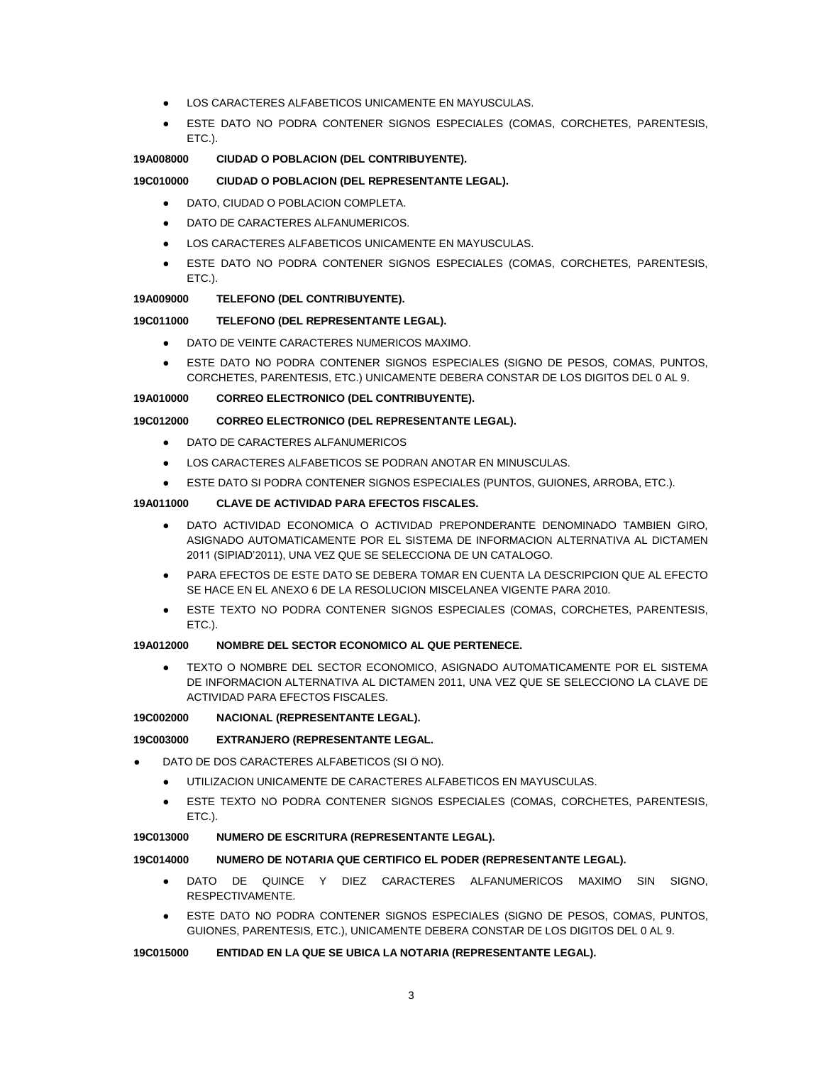- LOS CARACTERES ALFABETICOS UNICAMENTE EN MAYUSCULAS.
- ESTE DATO NO PODRA CONTENER SIGNOS ESPECIALES (COMAS, CORCHETES, PARENTESIS, ETC.).

### **19A008000 CIUDAD O POBLACION (DEL CONTRIBUYENTE).**

### **19C010000 CIUDAD O POBLACION (DEL REPRESENTANTE LEGAL).**

- DATO, CIUDAD O POBLACION COMPLETA.
- DATO DE CARACTERES ALFANUMERICOS.
- LOS CARACTERES ALFABETICOS UNICAMENTE EN MAYUSCULAS.
- ESTE DATO NO PODRA CONTENER SIGNOS ESPECIALES (COMAS, CORCHETES, PARENTESIS, ETC.).

#### **19A009000 TELEFONO (DEL CONTRIBUYENTE).**

#### **19C011000 TELEFONO (DEL REPRESENTANTE LEGAL).**

- DATO DE VEINTE CARACTERES NUMERICOS MAXIMO.
- ESTE DATO NO PODRA CONTENER SIGNOS ESPECIALES (SIGNO DE PESOS, COMAS, PUNTOS, CORCHETES, PARENTESIS, ETC.) UNICAMENTE DEBERA CONSTAR DE LOS DIGITOS DEL 0 AL 9.

#### **19A010000 CORREO ELECTRONICO (DEL CONTRIBUYENTE).**

### **19C012000 CORREO ELECTRONICO (DEL REPRESENTANTE LEGAL).**

- DATO DE CARACTERES ALFANUMERICOS
- LOS CARACTERES ALFABETICOS SE PODRAN ANOTAR EN MINUSCULAS.
- ESTE DATO SI PODRA CONTENER SIGNOS ESPECIALES (PUNTOS, GUIONES, ARROBA, ETC.).

### **19A011000 CLAVE DE ACTIVIDAD PARA EFECTOS FISCALES.**

- DATO ACTIVIDAD ECONOMICA O ACTIVIDAD PREPONDERANTE DENOMINADO TAMBIEN GIRO, ASIGNADO AUTOMATICAMENTE POR EL SISTEMA DE INFORMACION ALTERNATIVA AL DICTAMEN 2011 (SIPIAD'2011), UNA VEZ QUE SE SELECCIONA DE UN CATALOGO.
- PARA EFECTOS DE ESTE DATO SE DEBERA TOMAR EN CUENTA LA DESCRIPCION QUE AL EFECTO SE HACE EN EL ANEXO 6 DE LA RESOLUCION MISCELANEA VIGENTE PARA 2010.
- ESTE TEXTO NO PODRA CONTENER SIGNOS ESPECIALES (COMAS, CORCHETES, PARENTESIS, ETC.).

#### **19A012000 NOMBRE DEL SECTOR ECONOMICO AL QUE PERTENECE.**

TEXTO O NOMBRE DEL SECTOR ECONOMICO, ASIGNADO AUTOMATICAMENTE POR EL SISTEMA DE INFORMACION ALTERNATIVA AL DICTAMEN 2011, UNA VEZ QUE SE SELECCIONO LA CLAVE DE ACTIVIDAD PARA EFECTOS FISCALES.

#### **19C002000 NACIONAL (REPRESENTANTE LEGAL).**

#### **19C003000 EXTRANJERO (REPRESENTANTE LEGAL.**

- DATO DE DOS CARACTERES ALFABETICOS (SI O NO).
	- UTILIZACION UNICAMENTE DE CARACTERES ALFABETICOS EN MAYUSCULAS.
	- ESTE TEXTO NO PODRA CONTENER SIGNOS ESPECIALES (COMAS, CORCHETES, PARENTESIS, ETC.).

#### **19C013000 NUMERO DE ESCRITURA (REPRESENTANTE LEGAL).**

#### **19C014000 NUMERO DE NOTARIA QUE CERTIFICO EL PODER (REPRESENTANTE LEGAL).**

- DATO DE QUINCE Y DIEZ CARACTERES ALFANUMERICOS MAXIMO SIN SIGNO, RESPECTIVAMENTE.
- ESTE DATO NO PODRA CONTENER SIGNOS ESPECIALES (SIGNO DE PESOS, COMAS, PUNTOS, GUIONES, PARENTESIS, ETC.), UNICAMENTE DEBERA CONSTAR DE LOS DIGITOS DEL 0 AL 9.

### **19C015000 ENTIDAD EN LA QUE SE UBICA LA NOTARIA (REPRESENTANTE LEGAL).**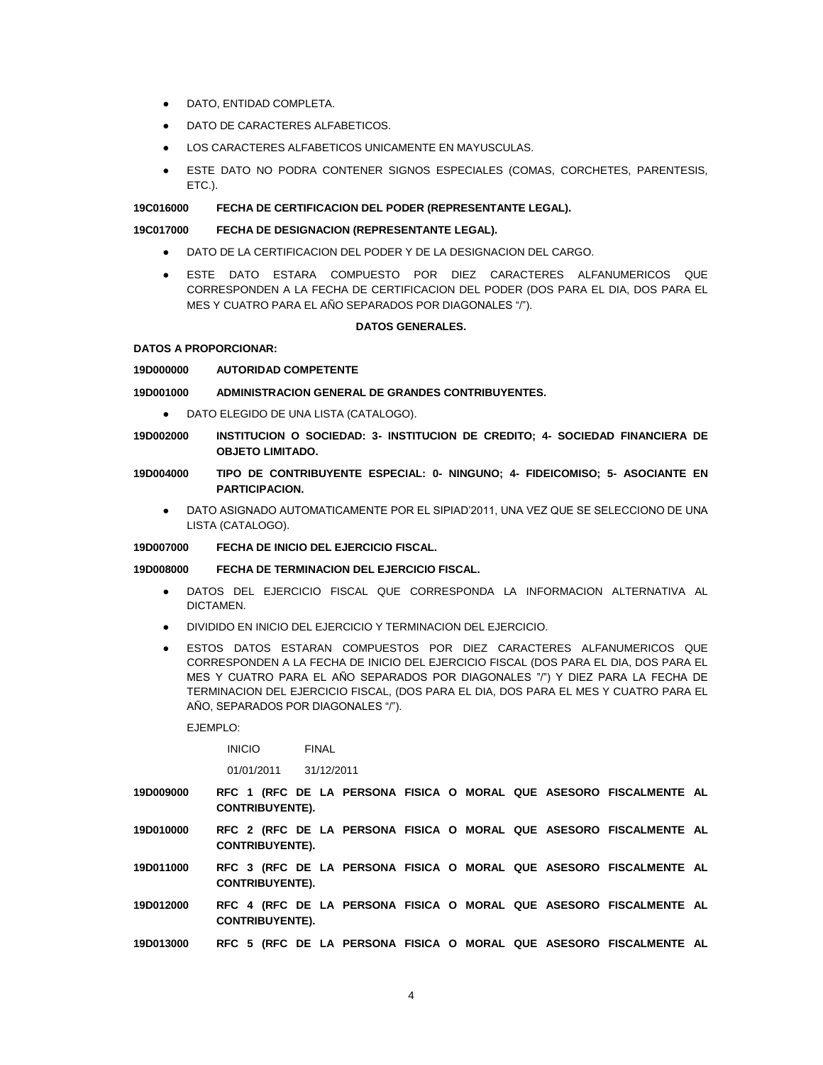- DATO, ENTIDAD COMPLETA.
- DATO DE CARACTERES ALFABETICOS.
- LOS CARACTERES ALFABETICOS UNICAMENTE EN MAYUSCULAS.
- ESTE DATO NO PODRA CONTENER SIGNOS ESPECIALES (COMAS, CORCHETES, PARENTESIS, ETC.).

#### **19C016000 FECHA DE CERTIFICACION DEL PODER (REPRESENTANTE LEGAL).**

#### **19C017000 FECHA DE DESIGNACION (REPRESENTANTE LEGAL).**

- DATO DE LA CERTIFICACION DEL PODER Y DE LA DESIGNACION DEL CARGO.
- ESTE DATO ESTARA COMPUESTO POR DIEZ CARACTERES ALFANUMERICOS QUE CORRESPONDEN A LA FECHA DE CERTIFICACION DEL PODER (DOS PARA EL DIA, DOS PARA EL MES Y CUATRO PARA EL AÑO SEPARADOS POR DIAGONALES "/").

#### **DATOS GENERALES.**

#### **DATOS A PROPORCIONAR:**

#### **19D000000 AUTORIDAD COMPETENTE**

#### **19D001000 ADMINISTRACION GENERAL DE GRANDES CONTRIBUYENTES.**

- DATO ELEGIDO DE UNA LISTA (CATALOGO).
- **19D002000 INSTITUCION O SOCIEDAD: 3- INSTITUCION DE CREDITO; 4- SOCIEDAD FINANCIERA DE OBJETO LIMITADO.**
- **19D004000 TIPO DE CONTRIBUYENTE ESPECIAL: 0- NINGUNO; 4- FIDEICOMISO; 5- ASOCIANTE EN PARTICIPACION.**
	- DATO ASIGNADO AUTOMATICAMENTE POR EL SIPIAD'2011, UNA VEZ QUE SE SELECCIONO DE UNA LISTA (CATALOGO).

#### **19D007000 FECHA DE INICIO DEL EJERCICIO FISCAL.**

### **19D008000 FECHA DE TERMINACION DEL EJERCICIO FISCAL.**

- DATOS DEL EJERCICIO FISCAL QUE CORRESPONDA LA INFORMACION ALTERNATIVA AL DICTAMEN.
- DIVIDIDO EN INICIO DEL EJERCICIO Y TERMINACION DEL EJERCICIO.
- ESTOS DATOS ESTARAN COMPUESTOS POR DIEZ CARACTERES ALFANUMERICOS QUE CORRESPONDEN A LA FECHA DE INICIO DEL EJERCICIO FISCAL (DOS PARA EL DIA, DOS PARA EL MES Y CUATRO PARA EL AÑO SEPARADOS POR DIAGONALES "/") Y DIEZ PARA LA FECHA DE TERMINACION DEL EJERCICIO FISCAL, (DOS PARA EL DIA, DOS PARA EL MES Y CUATRO PARA EL AÑO, SEPARADOS POR DIAGONALES "/").

EJEMPLO:

INICIO FINAL

01/01/2011 31/12/2011

- **19D009000 RFC 1 (RFC DE LA PERSONA FISICA O MORAL QUE ASESORO FISCALMENTE AL CONTRIBUYENTE).**
- **19D010000 RFC 2 (RFC DE LA PERSONA FISICA O MORAL QUE ASESORO FISCALMENTE AL CONTRIBUYENTE).**
- **19D011000 RFC 3 (RFC DE LA PERSONA FISICA O MORAL QUE ASESORO FISCALMENTE AL CONTRIBUYENTE).**
- **19D012000 RFC 4 (RFC DE LA PERSONA FISICA O MORAL QUE ASESORO FISCALMENTE AL CONTRIBUYENTE).**
- **19D013000 RFC 5 (RFC DE LA PERSONA FISICA O MORAL QUE ASESORO FISCALMENTE AL**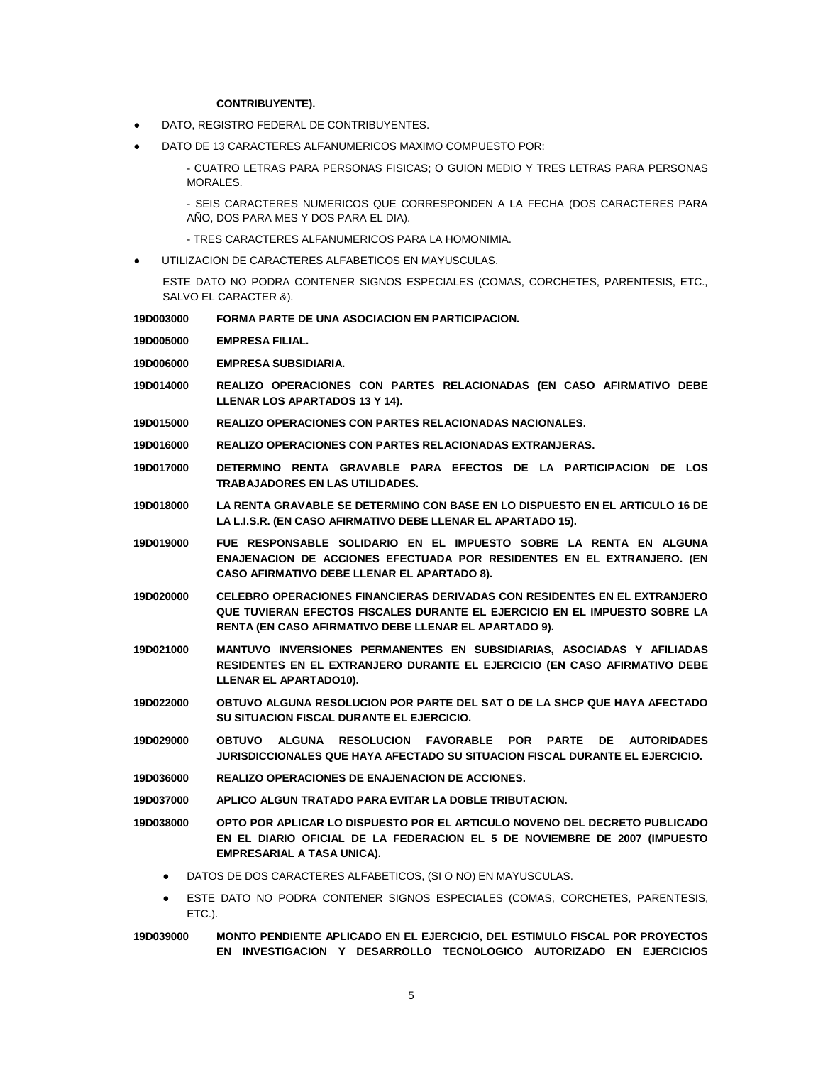### **CONTRIBUYENTE).**

- DATO, REGISTRO FEDERAL DE CONTRIBUYENTES.
- DATO DE 13 CARACTERES ALFANUMERICOS MAXIMO COMPUESTO POR:

- CUATRO LETRAS PARA PERSONAS FISICAS; O GUION MEDIO Y TRES LETRAS PARA PERSONAS MORALES.

- SEIS CARACTERES NUMERICOS QUE CORRESPONDEN A LA FECHA (DOS CARACTERES PARA AÑO, DOS PARA MES Y DOS PARA EL DIA).

- TRES CARACTERES ALFANUMERICOS PARA LA HOMONIMIA.
- UTILIZACION DE CARACTERES ALFABETICOS EN MAYUSCULAS.

ESTE DATO NO PODRA CONTENER SIGNOS ESPECIALES (COMAS, CORCHETES, PARENTESIS, ETC., SALVO EL CARACTER &).

**19D003000 FORMA PARTE DE UNA ASOCIACION EN PARTICIPACION.**

**19D005000 EMPRESA FILIAL.**

- **19D006000 EMPRESA SUBSIDIARIA.**
- **19D014000 REALIZO OPERACIONES CON PARTES RELACIONADAS (EN CASO AFIRMATIVO DEBE LLENAR LOS APARTADOS 13 Y 14).**
- **19D015000 REALIZO OPERACIONES CON PARTES RELACIONADAS NACIONALES.**

**19D016000 REALIZO OPERACIONES CON PARTES RELACIONADAS EXTRANJERAS.**

- **19D017000 DETERMINO RENTA GRAVABLE PARA EFECTOS DE LA PARTICIPACION DE LOS TRABAJADORES EN LAS UTILIDADES.**
- **19D018000 LA RENTA GRAVABLE SE DETERMINO CON BASE EN LO DISPUESTO EN EL ARTICULO 16 DE LA L.I.S.R. (EN CASO AFIRMATIVO DEBE LLENAR EL APARTADO 15).**
- **19D019000 FUE RESPONSABLE SOLIDARIO EN EL IMPUESTO SOBRE LA RENTA EN ALGUNA ENAJENACION DE ACCIONES EFECTUADA POR RESIDENTES EN EL EXTRANJERO. (EN CASO AFIRMATIVO DEBE LLENAR EL APARTADO 8).**
- **19D020000 CELEBRO OPERACIONES FINANCIERAS DERIVADAS CON RESIDENTES EN EL EXTRANJERO QUE TUVIERAN EFECTOS FISCALES DURANTE EL EJERCICIO EN EL IMPUESTO SOBRE LA RENTA (EN CASO AFIRMATIVO DEBE LLENAR EL APARTADO 9).**
- **19D021000 MANTUVO INVERSIONES PERMANENTES EN SUBSIDIARIAS, ASOCIADAS Y AFILIADAS RESIDENTES EN EL EXTRANJERO DURANTE EL EJERCICIO (EN CASO AFIRMATIVO DEBE LLENAR EL APARTADO10).**
- **19D022000 OBTUVO ALGUNA RESOLUCION POR PARTE DEL SAT O DE LA SHCP QUE HAYA AFECTADO SU SITUACION FISCAL DURANTE EL EJERCICIO.**
- **19D029000 OBTUVO ALGUNA RESOLUCION FAVORABLE POR PARTE DE AUTORIDADES JURISDICCIONALES QUE HAYA AFECTADO SU SITUACION FISCAL DURANTE EL EJERCICIO.**
- **19D036000 REALIZO OPERACIONES DE ENAJENACION DE ACCIONES.**
- **19D037000 APLICO ALGUN TRATADO PARA EVITAR LA DOBLE TRIBUTACION.**

**19D038000 OPTO POR APLICAR LO DISPUESTO POR EL ARTICULO NOVENO DEL DECRETO PUBLICADO EN EL DIARIO OFICIAL DE LA FEDERACION EL 5 DE NOVIEMBRE DE 2007 (IMPUESTO EMPRESARIAL A TASA UNICA).**

- DATOS DE DOS CARACTERES ALFABETICOS, (SI O NO) EN MAYUSCULAS.
- ESTE DATO NO PODRA CONTENER SIGNOS ESPECIALES (COMAS, CORCHETES, PARENTESIS, ETC.).
- **19D039000 MONTO PENDIENTE APLICADO EN EL EJERCICIO, DEL ESTIMULO FISCAL POR PROYECTOS EN INVESTIGACION Y DESARROLLO TECNOLOGICO AUTORIZADO EN EJERCICIOS**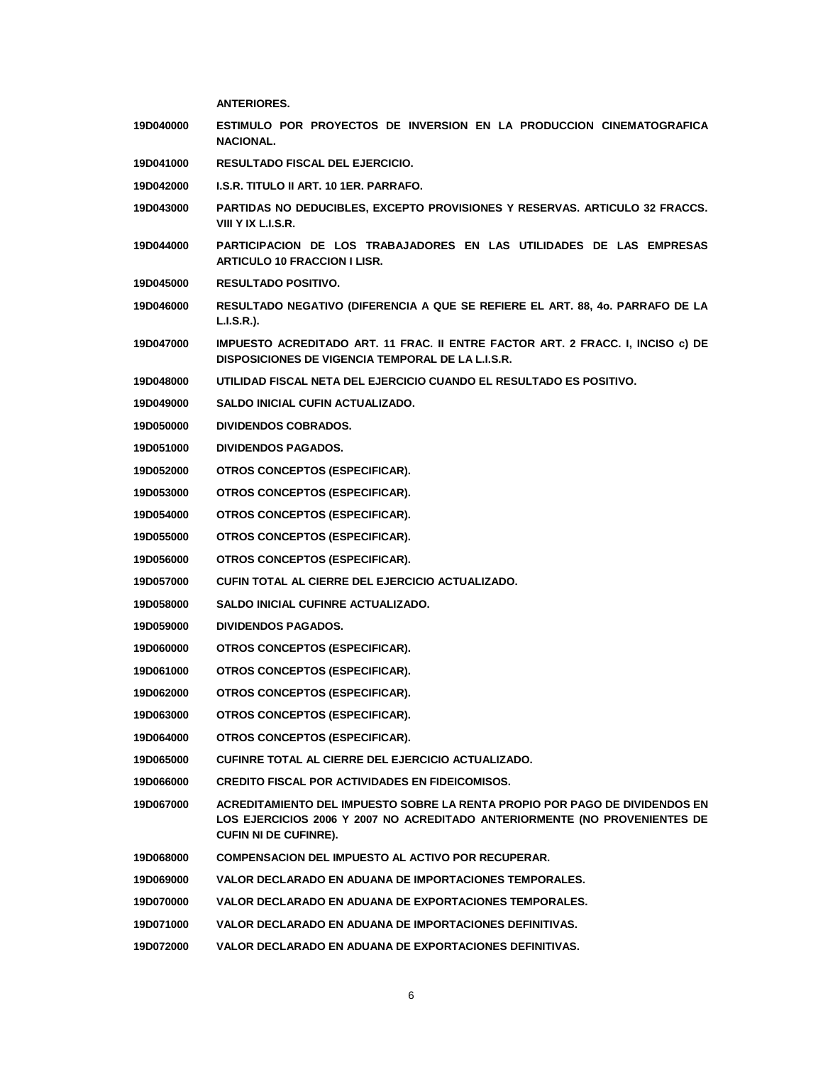|                  | <b>ANTERIORES.</b>                                                                                                                                                                        |
|------------------|-------------------------------------------------------------------------------------------------------------------------------------------------------------------------------------------|
| 19D040000        | ESTIMULO POR PROYECTOS DE INVERSION EN LA PRODUCCION CINEMATOGRAFICA<br><b>NACIONAL.</b>                                                                                                  |
| 19D041000        | <b>RESULTADO FISCAL DEL EJERCICIO.</b>                                                                                                                                                    |
| 19D042000        | <b>I.S.R. TITULO II ART. 10 1ER. PARRAFO.</b>                                                                                                                                             |
| 19D043000        | PARTIDAS NO DEDUCIBLES, EXCEPTO PROVISIONES Y RESERVAS. ARTICULO 32 FRACCS.<br>VIII Y IX L.I.S.R.                                                                                         |
| 19D044000        | PARTICIPACION DE LOS TRABAJADORES EN LAS UTILIDADES DE LAS EMPRESAS<br><b>ARTICULO 10 FRACCION I LISR.</b>                                                                                |
| 19D045000        | <b>RESULTADO POSITIVO.</b>                                                                                                                                                                |
| 19D046000        | RESULTADO NEGATIVO (DIFERENCIA A QUE SE REFIERE EL ART. 88, 40. PARRAFO DE LA<br>L.I.S.R.).                                                                                               |
| 19D047000        | IMPUESTO ACREDITADO ART. 11 FRAC. II ENTRE FACTOR ART. 2 FRACC. I, INCISO c) DE<br>DISPOSICIONES DE VIGENCIA TEMPORAL DE LA L.I.S.R.                                                      |
| 19D048000        | UTILIDAD FISCAL NETA DEL EJERCICIO CUANDO EL RESULTADO ES POSITIVO.                                                                                                                       |
| 19D049000        | SALDO INICIAL CUFIN ACTUALIZADO.                                                                                                                                                          |
| 19D050000        | <b>DIVIDENDOS COBRADOS.</b>                                                                                                                                                               |
| 19D051000        | <b>DIVIDENDOS PAGADOS.</b>                                                                                                                                                                |
| 19D052000        | OTROS CONCEPTOS (ESPECIFICAR).                                                                                                                                                            |
| 19D053000        | OTROS CONCEPTOS (ESPECIFICAR).                                                                                                                                                            |
| 19D054000        | OTROS CONCEPTOS (ESPECIFICAR).                                                                                                                                                            |
| 19D055000        | OTROS CONCEPTOS (ESPECIFICAR).                                                                                                                                                            |
| 19D056000        | OTROS CONCEPTOS (ESPECIFICAR).                                                                                                                                                            |
| 19D057000        | CUFIN TOTAL AL CIERRE DEL EJERCICIO ACTUALIZADO.                                                                                                                                          |
| 19D058000        | SALDO INICIAL CUFINRE ACTUALIZADO.                                                                                                                                                        |
| 19D059000        | <b>DIVIDENDOS PAGADOS.</b>                                                                                                                                                                |
| <b>19D060000</b> | OTROS CONCEPTOS (ESPECIFICAR).                                                                                                                                                            |
| 19D061000        | OTROS CONCEPTOS (ESPECIFICAR).                                                                                                                                                            |
| 19D062000        | OTROS CONCEPTOS (ESPECIFICAR).                                                                                                                                                            |
| 19D063000        | OTROS CONCEPTOS (ESPECIFICAR).                                                                                                                                                            |
| 19D064000        | OTROS CONCEPTOS (ESPECIFICAR).                                                                                                                                                            |
| 19D065000        | CUFINRE TOTAL AL CIERRE DEL EJERCICIO ACTUALIZADO.                                                                                                                                        |
| 19D066000        | <b>CREDITO FISCAL POR ACTIVIDADES EN FIDEICOMISOS.</b>                                                                                                                                    |
| 19D067000        | ACREDITAMIENTO DEL IMPUESTO SOBRE LA RENTA PROPIO POR PAGO DE DIVIDENDOS EN<br>LOS EJERCICIOS 2006 Y 2007 NO ACREDITADO ANTERIORMENTE (NO PROVENIENTES DE<br><b>CUFIN NI DE CUFINRE).</b> |
| 19D068000        | <b>COMPENSACION DEL IMPUESTO AL ACTIVO POR RECUPERAR.</b>                                                                                                                                 |
| 19D069000        | VALOR DECLARADO EN ADUANA DE IMPORTACIONES TEMPORALES.                                                                                                                                    |
| 19D070000        | VALOR DECLARADO EN ADUANA DE EXPORTACIONES TEMPORALES.                                                                                                                                    |
| 19D071000        | VALOR DECLARADO EN ADUANA DE IMPORTACIONES DEFINITIVAS.                                                                                                                                   |
| 19D072000        | VALOR DECLARADO EN ADUANA DE EXPORTACIONES DEFINITIVAS.                                                                                                                                   |
|                  |                                                                                                                                                                                           |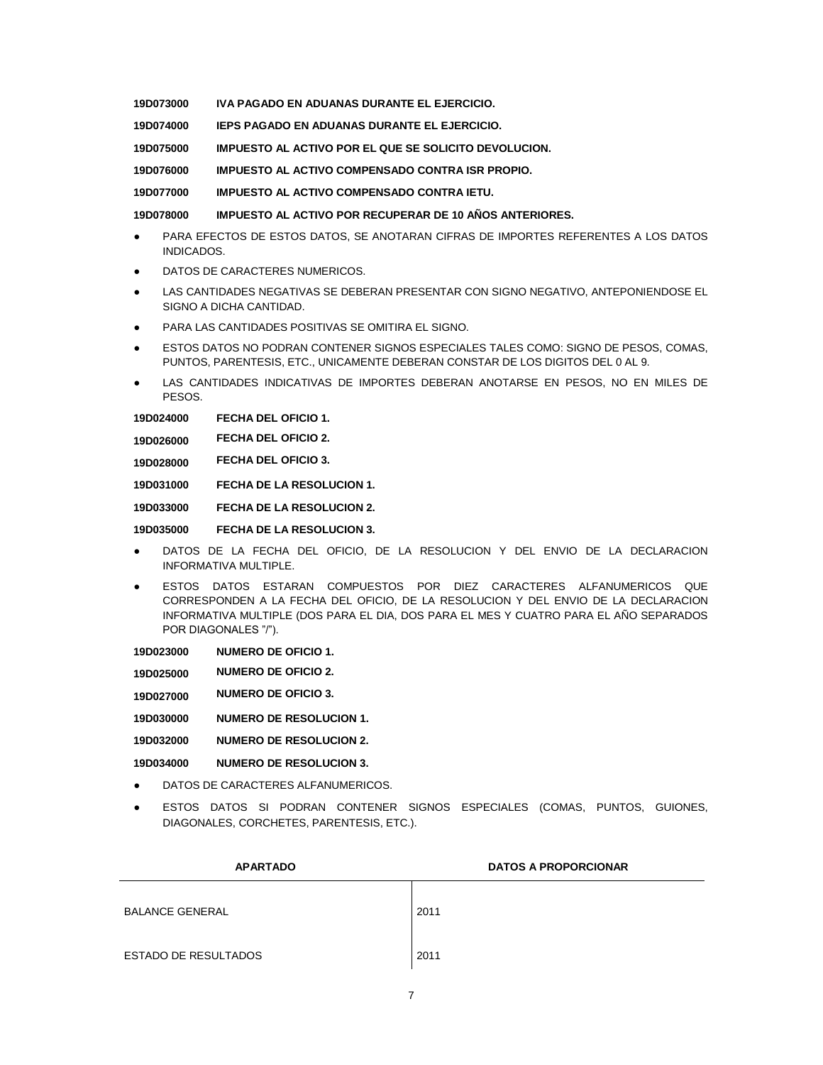**19D073000 IVA PAGADO EN ADUANAS DURANTE EL EJERCICIO.**

**19D074000 IEPS PAGADO EN ADUANAS DURANTE EL EJERCICIO.**

**19D075000 IMPUESTO AL ACTIVO POR EL QUE SE SOLICITO DEVOLUCION.**

**19D076000 IMPUESTO AL ACTIVO COMPENSADO CONTRA ISR PROPIO.**

**19D077000 IMPUESTO AL ACTIVO COMPENSADO CONTRA IETU.**

**19D078000 IMPUESTO AL ACTIVO POR RECUPERAR DE 10 AÑOS ANTERIORES.**

- PARA EFECTOS DE ESTOS DATOS, SE ANOTARAN CIFRAS DE IMPORTES REFERENTES A LOS DATOS INDICADOS.
- DATOS DE CARACTERES NUMERICOS.
- LAS CANTIDADES NEGATIVAS SE DEBERAN PRESENTAR CON SIGNO NEGATIVO, ANTEPONIENDOSE EL SIGNO A DICHA CANTIDAD.
- PARA LAS CANTIDADES POSITIVAS SE OMITIRA EL SIGNO.
- ESTOS DATOS NO PODRAN CONTENER SIGNOS ESPECIALES TALES COMO: SIGNO DE PESOS, COMAS, PUNTOS, PARENTESIS, ETC., UNICAMENTE DEBERAN CONSTAR DE LOS DIGITOS DEL 0 AL 9.
- LAS CANTIDADES INDICATIVAS DE IMPORTES DEBERAN ANOTARSE EN PESOS, NO EN MILES DE PESOS.

**19D024000 FECHA DEL OFICIO 1.**

- **19D026000 FECHA DEL OFICIO 2.**
- **19D028000 FECHA DEL OFICIO 3.**

**19D031000 FECHA DE LA RESOLUCION 1.**

**19D033000 FECHA DE LA RESOLUCION 2.**

**19D035000 FECHA DE LA RESOLUCION 3.**

- DATOS DE LA FECHA DEL OFICIO, DE LA RESOLUCION Y DEL ENVIO DE LA DECLARACION INFORMATIVA MULTIPLE.
- ESTOS DATOS ESTARAN COMPUESTOS POR DIEZ CARACTERES ALFANUMERICOS QUE CORRESPONDEN A LA FECHA DEL OFICIO, DE LA RESOLUCION Y DEL ENVIO DE LA DECLARACION INFORMATIVA MULTIPLE (DOS PARA EL DIA, DOS PARA EL MES Y CUATRO PARA EL AÑO SEPARADOS POR DIAGONALES "/").

| 19D023000 | <b>NUMERO DE OFICIO 1.</b> |  |
|-----------|----------------------------|--|
|-----------|----------------------------|--|

**19D025000 NUMERO DE OFICIO 2.**

**19D027000 NUMERO DE OFICIO 3.**

**19D030000 NUMERO DE RESOLUCION 1.**

**19D032000 NUMERO DE RESOLUCION 2.**

**19D034000 NUMERO DE RESOLUCION 3.**

- DATOS DE CARACTERES ALFANUMERICOS.
- ESTOS DATOS SI PODRAN CONTENER SIGNOS ESPECIALES (COMAS, PUNTOS, GUIONES, DIAGONALES, CORCHETES, PARENTESIS, ETC.).

| <b>APARTADO</b>             | <b>DATOS A PROPORCIONAR</b> |
|-----------------------------|-----------------------------|
| <b>BALANCE GENERAL</b>      | 2011                        |
| <b>ESTADO DE RESULTADOS</b> | 2011                        |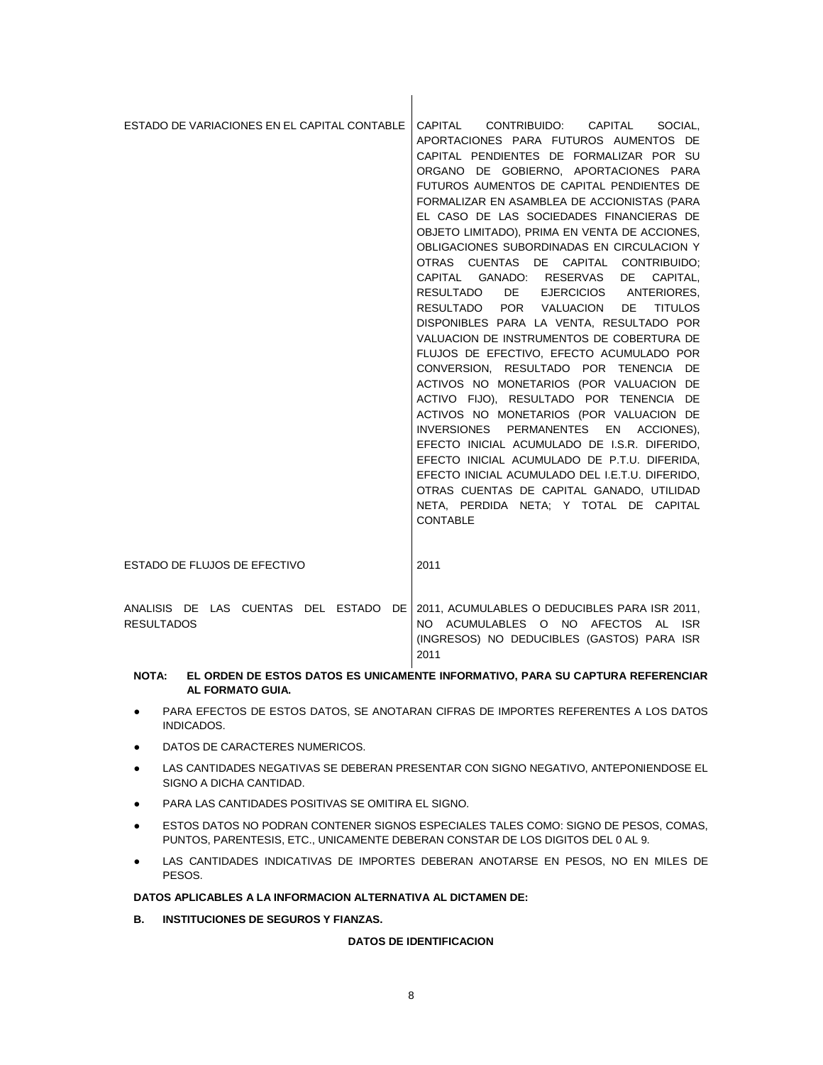| ESTADO DE VARIACIONES EN EL CAPITAL CONTABLE               | CAPITAL CONTRIBUIDO: CAPITAL SOCIAL,<br>APORTACIONES PARA FUTUROS AUMENTOS DE<br>CAPITAL PENDIENTES DE FORMALIZAR POR SU<br>ORGANO DE GOBIERNO, APORTACIONES PARA<br>FUTUROS AUMENTOS DE CAPITAL PENDIENTES DE<br>FORMALIZAR EN ASAMBLEA DE ACCIONISTAS (PARA<br>EL CASO DE LAS SOCIEDADES FINANCIERAS DE<br>OBJETO LIMITADO), PRIMA EN VENTA DE ACCIONES,<br>OBLIGACIONES SUBORDINADAS EN CIRCULACION Y<br>OTRAS CUENTAS DE CAPITAL CONTRIBUIDO:<br>CAPITAL GANADO: RESERVAS<br>CAPITAL,<br>DE<br>RESULTADO DE EJERCICIOS ANTERIORES.<br>RESULTADO POR VALUACION<br>DE <b>DE</b><br><b>TITULOS</b><br>DISPONIBLES PARA LA VENTA, RESULTADO POR<br>VALUACION DE INSTRUMENTOS DE COBERTURA DE<br>FLUJOS DE EFECTIVO, EFECTO ACUMULADO POR<br>CONVERSION, RESULTADO POR TENENCIA DE<br>ACTIVOS NO MONETARIOS (POR VALUACION DE<br>ACTIVO FIJO), RESULTADO POR TENENCIA DE<br>ACTIVOS NO MONETARIOS (POR VALUACION DE<br>INVERSIONES PERMANENTES EN ACCIONES).<br>EFECTO INICIAL ACUMULADO DE I.S.R. DIFERIDO,<br>EFECTO INICIAL ACUMULADO DE P.T.U. DIFERIDA,<br>EFECTO INICIAL ACUMULADO DEL I.E.T.U. DIFERIDO,<br>OTRAS CUENTAS DE CAPITAL GANADO, UTILIDAD<br>NETA, PERDIDA NETA; Y TOTAL DE CAPITAL<br><b>CONTABLE</b> |
|------------------------------------------------------------|--------------------------------------------------------------------------------------------------------------------------------------------------------------------------------------------------------------------------------------------------------------------------------------------------------------------------------------------------------------------------------------------------------------------------------------------------------------------------------------------------------------------------------------------------------------------------------------------------------------------------------------------------------------------------------------------------------------------------------------------------------------------------------------------------------------------------------------------------------------------------------------------------------------------------------------------------------------------------------------------------------------------------------------------------------------------------------------------------------------------------------------------------------------------------------------------------------------------------|
| ESTADO DE FLUJOS DE EFECTIVO                               | 2011                                                                                                                                                                                                                                                                                                                                                                                                                                                                                                                                                                                                                                                                                                                                                                                                                                                                                                                                                                                                                                                                                                                                                                                                                     |
| ANALISIS DE LAS CUENTAS DEL ESTADO DE<br><b>RESULTADOS</b> | 2011, ACUMULABLES O DEDUCIBLES PARA ISR 2011,<br>NO ACUMULABLES O NO AFECTOS AL<br>ISR.<br>(INGRESOS) NO DEDUCIBLES (GASTOS) PARA ISR<br>2011                                                                                                                                                                                                                                                                                                                                                                                                                                                                                                                                                                                                                                                                                                                                                                                                                                                                                                                                                                                                                                                                            |

 $\mathbf{I}$ 

# **NOTA: EL ORDEN DE ESTOS DATOS ES UNICAMENTE INFORMATIVO, PARA SU CAPTURA REFERENCIAR AL FORMATO GUIA.**

- PARA EFECTOS DE ESTOS DATOS, SE ANOTARAN CIFRAS DE IMPORTES REFERENTES A LOS DATOS INDICADOS.
- **DATOS DE CARACTERES NUMERICOS.**
- LAS CANTIDADES NEGATIVAS SE DEBERAN PRESENTAR CON SIGNO NEGATIVO, ANTEPONIENDOSE EL SIGNO A DICHA CANTIDAD.
- PARA LAS CANTIDADES POSITIVAS SE OMITIRA EL SIGNO.
- **ESTOS DATOS NO PODRAN CONTENER SIGNOS ESPECIALES TALES COMO: SIGNO DE PESOS, COMAS,** PUNTOS, PARENTESIS, ETC., UNICAMENTE DEBERAN CONSTAR DE LOS DIGITOS DEL 0 AL 9.
- LAS CANTIDADES INDICATIVAS DE IMPORTES DEBERAN ANOTARSE EN PESOS, NO EN MILES DE PESOS.

# **DATOS APLICABLES A LA INFORMACION ALTERNATIVA AL DICTAMEN DE:**

**B. INSTITUCIONES DE SEGUROS Y FIANZAS.**

# **DATOS DE IDENTIFICACION**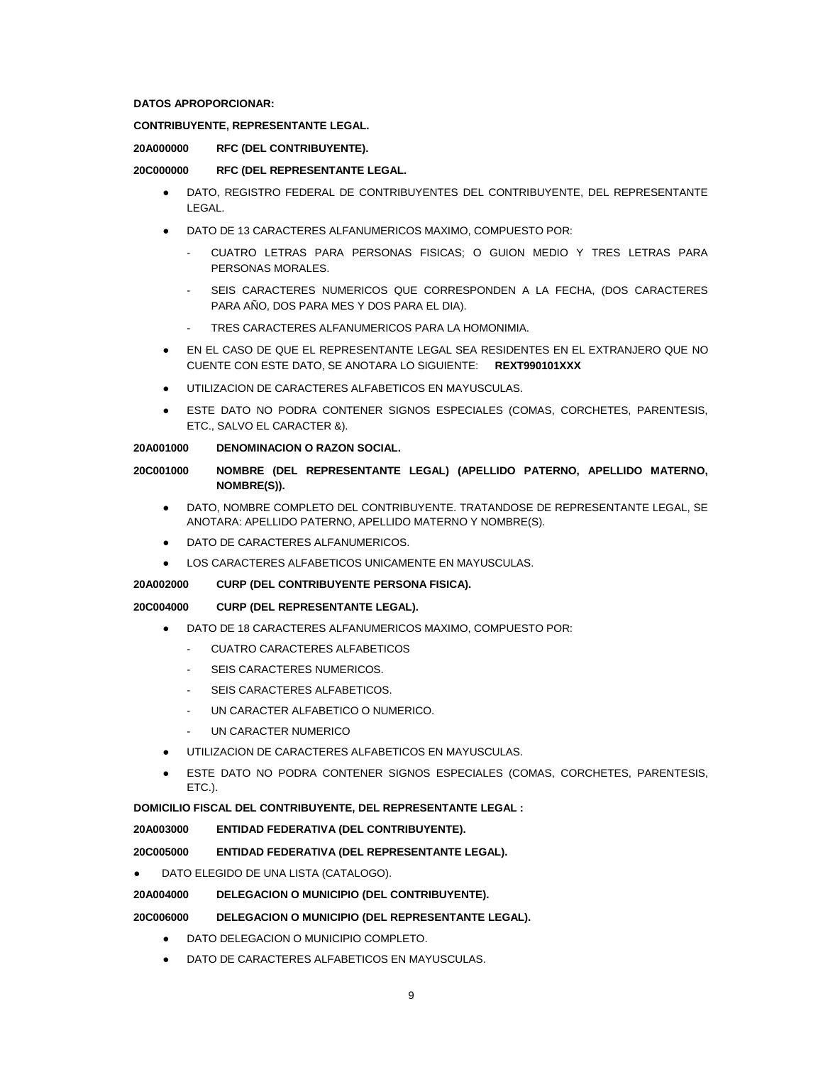### **DATOS APROPORCIONAR:**

# **CONTRIBUYENTE, REPRESENTANTE LEGAL.**

### **20A000000 RFC (DEL CONTRIBUYENTE).**

## **20C000000 RFC (DEL REPRESENTANTE LEGAL.**

- DATO, REGISTRO FEDERAL DE CONTRIBUYENTES DEL CONTRIBUYENTE, DEL REPRESENTANTE LEGAL.
- DATO DE 13 CARACTERES ALFANUMERICOS MAXIMO, COMPUESTO POR:
	- CUATRO LETRAS PARA PERSONAS FISICAS; O GUION MEDIO Y TRES LETRAS PARA PERSONAS MORALES.
	- SEIS CARACTERES NUMERICOS QUE CORRESPONDEN A LA FECHA, (DOS CARACTERES PARA AÑO, DOS PARA MES Y DOS PARA EL DIA).
	- TRES CARACTERES ALFANUMERICOS PARA LA HOMONIMIA.
- EN EL CASO DE QUE EL REPRESENTANTE LEGAL SEA RESIDENTES EN EL EXTRANJERO QUE NO CUENTE CON ESTE DATO, SE ANOTARA LO SIGUIENTE: **REXT990101XXX**
- UTILIZACION DE CARACTERES ALFABETICOS EN MAYUSCULAS.
- ESTE DATO NO PODRA CONTENER SIGNOS ESPECIALES (COMAS, CORCHETES, PARENTESIS, ETC., SALVO EL CARACTER &).

## **20A001000 DENOMINACION O RAZON SOCIAL.**

# **20C001000 NOMBRE (DEL REPRESENTANTE LEGAL) (APELLIDO PATERNO, APELLIDO MATERNO, NOMBRE(S)).**

- DATO, NOMBRE COMPLETO DEL CONTRIBUYENTE. TRATANDOSE DE REPRESENTANTE LEGAL, SE ANOTARA: APELLIDO PATERNO, APELLIDO MATERNO Y NOMBRE(S).
- DATO DE CARACTERES ALFANUMERICOS.
- LOS CARACTERES ALFABETICOS UNICAMENTE EN MAYUSCULAS.

### **20A002000 CURP (DEL CONTRIBUYENTE PERSONA FISICA).**

# **20C004000 CURP (DEL REPRESENTANTE LEGAL).**

- DATO DE 18 CARACTERES ALFANUMERICOS MAXIMO, COMPUESTO POR:
	- CUATRO CARACTERES ALFABETICOS
	- SEIS CARACTERES NUMERICOS.
	- SEIS CARACTERES ALFABETICOS.
	- UN CARACTER ALFABETICO O NUMERICO.
	- UN CARACTER NUMERICO
- UTILIZACION DE CARACTERES ALFABETICOS EN MAYUSCULAS.
- ESTE DATO NO PODRA CONTENER SIGNOS ESPECIALES (COMAS, CORCHETES, PARENTESIS, ETC.).

# **DOMICILIO FISCAL DEL CONTRIBUYENTE, DEL REPRESENTANTE LEGAL :**

**20A003000 ENTIDAD FEDERATIVA (DEL CONTRIBUYENTE).**

# **20C005000 ENTIDAD FEDERATIVA (DEL REPRESENTANTE LEGAL).**

DATO ELEGIDO DE UNA LISTA (CATALOGO).

# **20A004000 DELEGACION O MUNICIPIO (DEL CONTRIBUYENTE).**

# **20C006000 DELEGACION O MUNICIPIO (DEL REPRESENTANTE LEGAL).**

- DATO DELEGACION O MUNICIPIO COMPLETO.
- DATO DE CARACTERES ALFABETICOS EN MAYUSCULAS.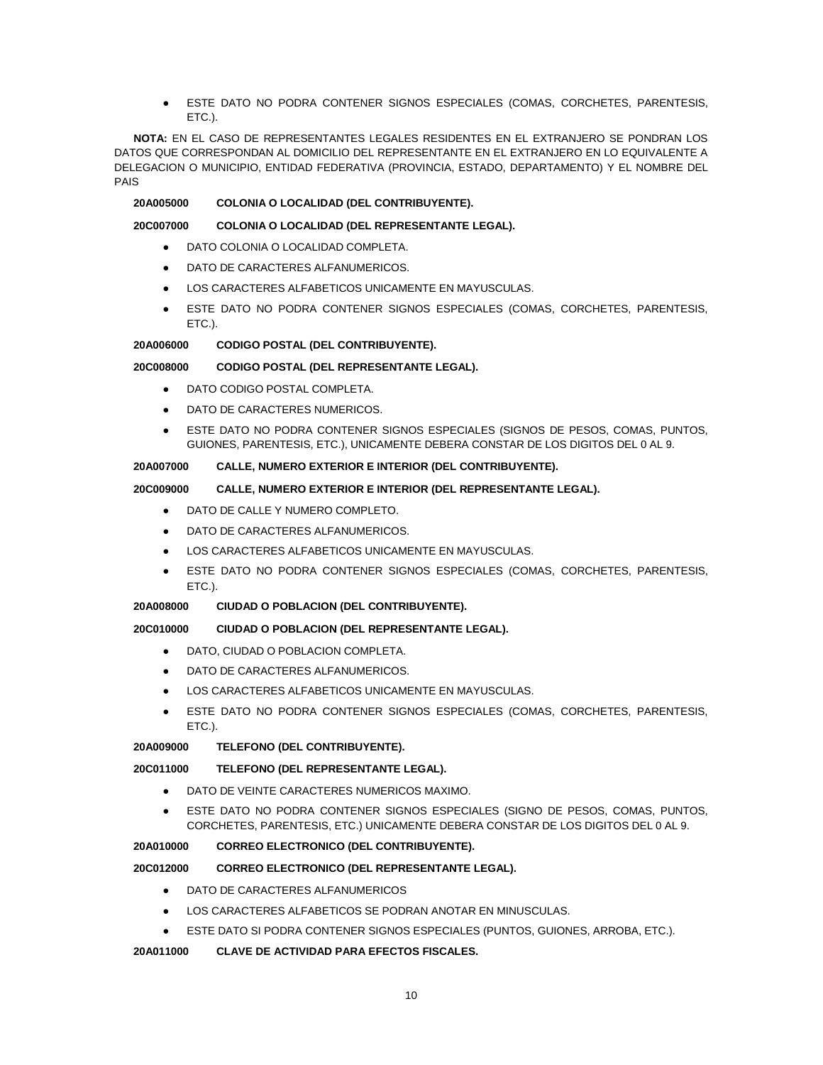ESTE DATO NO PODRA CONTENER SIGNOS ESPECIALES (COMAS, CORCHETES, PARENTESIS, ETC.).

**NOTA:** EN EL CASO DE REPRESENTANTES LEGALES RESIDENTES EN EL EXTRANJERO SE PONDRAN LOS DATOS QUE CORRESPONDAN AL DOMICILIO DEL REPRESENTANTE EN EL EXTRANJERO EN LO EQUIVALENTE A DELEGACION O MUNICIPIO, ENTIDAD FEDERATIVA (PROVINCIA, ESTADO, DEPARTAMENTO) Y EL NOMBRE DEL PAIS

### **20A005000 COLONIA O LOCALIDAD (DEL CONTRIBUYENTE).**

### **20C007000 COLONIA O LOCALIDAD (DEL REPRESENTANTE LEGAL).**

- DATO COLONIA O LOCALIDAD COMPLETA.
- DATO DE CARACTERES ALFANUMERICOS.
- LOS CARACTERES ALFABETICOS UNICAMENTE EN MAYUSCULAS.
- ESTE DATO NO PODRA CONTENER SIGNOS ESPECIALES (COMAS, CORCHETES, PARENTESIS, ETC.).

### **20A006000 CODIGO POSTAL (DEL CONTRIBUYENTE).**

### **20C008000 CODIGO POSTAL (DEL REPRESENTANTE LEGAL).**

- DATO CODIGO POSTAL COMPLETA
- DATO DE CARACTERES NUMERICOS.
- ESTE DATO NO PODRA CONTENER SIGNOS ESPECIALES (SIGNOS DE PESOS, COMAS, PUNTOS, GUIONES, PARENTESIS, ETC.), UNICAMENTE DEBERA CONSTAR DE LOS DIGITOS DEL 0 AL 9.

## **20A007000 CALLE, NUMERO EXTERIOR E INTERIOR (DEL CONTRIBUYENTE).**

# **20C009000 CALLE, NUMERO EXTERIOR E INTERIOR (DEL REPRESENTANTE LEGAL).**

- DATO DE CALLE Y NUMERO COMPLETO.
- DATO DE CARACTERES ALFANUMERICOS.
- LOS CARACTERES ALFABETICOS UNICAMENTE EN MAYUSCULAS.
- ESTE DATO NO PODRA CONTENER SIGNOS ESPECIALES (COMAS, CORCHETES, PARENTESIS, ETC.).

# **20A008000 CIUDAD O POBLACION (DEL CONTRIBUYENTE).**

# **20C010000 CIUDAD O POBLACION (DEL REPRESENTANTE LEGAL).**

- DATO, CIUDAD O POBLACION COMPLETA.
- DATO DE CARACTERES ALFANUMERICOS.
- LOS CARACTERES ALFABETICOS UNICAMENTE EN MAYUSCULAS.
- ESTE DATO NO PODRA CONTENER SIGNOS ESPECIALES (COMAS, CORCHETES, PARENTESIS, ETC.).

# **20A009000 TELEFONO (DEL CONTRIBUYENTE).**

# **20C011000 TELEFONO (DEL REPRESENTANTE LEGAL).**

- DATO DE VEINTE CARACTERES NUMERICOS MAXIMO.
- ESTE DATO NO PODRA CONTENER SIGNOS ESPECIALES (SIGNO DE PESOS, COMAS, PUNTOS, CORCHETES, PARENTESIS, ETC.) UNICAMENTE DEBERA CONSTAR DE LOS DIGITOS DEL 0 AL 9.

# **20A010000 CORREO ELECTRONICO (DEL CONTRIBUYENTE).**

# **20C012000 CORREO ELECTRONICO (DEL REPRESENTANTE LEGAL).**

- DATO DE CARACTERES ALFANUMERICOS
- LOS CARACTERES ALFABETICOS SE PODRAN ANOTAR EN MINUSCULAS.
- ESTE DATO SI PODRA CONTENER SIGNOS ESPECIALES (PUNTOS, GUIONES, ARROBA, ETC.).

# **20A011000 CLAVE DE ACTIVIDAD PARA EFECTOS FISCALES.**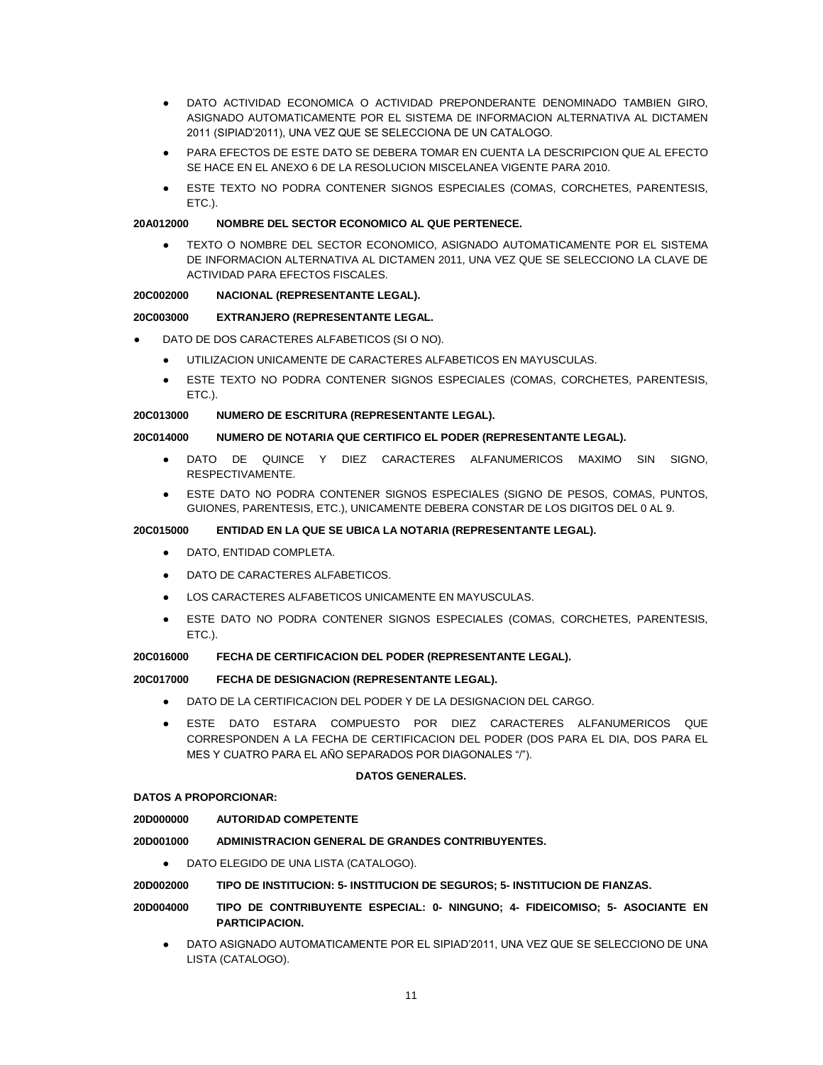- DATO ACTIVIDAD ECONOMICA O ACTIVIDAD PREPONDERANTE DENOMINADO TAMBIEN GIRO, ASIGNADO AUTOMATICAMENTE POR EL SISTEMA DE INFORMACION ALTERNATIVA AL DICTAMEN 2011 (SIPIAD'2011), UNA VEZ QUE SE SELECCIONA DE UN CATALOGO.
- PARA EFECTOS DE ESTE DATO SE DEBERA TOMAR EN CUENTA LA DESCRIPCION QUE AL EFECTO SE HACE EN EL ANEXO 6 DE LA RESOLUCION MISCELANEA VIGENTE PARA 2010.
- ESTE TEXTO NO PODRA CONTENER SIGNOS ESPECIALES (COMAS, CORCHETES, PARENTESIS, ETC.).

### **20A012000 NOMBRE DEL SECTOR ECONOMICO AL QUE PERTENECE.**

TEXTO O NOMBRE DEL SECTOR ECONOMICO, ASIGNADO AUTOMATICAMENTE POR EL SISTEMA DE INFORMACION ALTERNATIVA AL DICTAMEN 2011, UNA VEZ QUE SE SELECCIONO LA CLAVE DE ACTIVIDAD PARA EFECTOS FISCALES.

### **20C002000 NACIONAL (REPRESENTANTE LEGAL).**

### **20C003000 EXTRANJERO (REPRESENTANTE LEGAL.**

- DATO DE DOS CARACTERES ALFABETICOS (SI O NO).
	- UTILIZACION UNICAMENTE DE CARACTERES ALFABETICOS EN MAYUSCULAS.
	- ESTE TEXTO NO PODRA CONTENER SIGNOS ESPECIALES (COMAS, CORCHETES, PARENTESIS, ETC.).

### **20C013000 NUMERO DE ESCRITURA (REPRESENTANTE LEGAL).**

## **20C014000 NUMERO DE NOTARIA QUE CERTIFICO EL PODER (REPRESENTANTE LEGAL).**

- DATO DE QUINCE Y DIEZ CARACTERES ALFANUMERICOS MAXIMO SIN SIGNO. RESPECTIVAMENTE.
- ESTE DATO NO PODRA CONTENER SIGNOS ESPECIALES (SIGNO DE PESOS, COMAS, PUNTOS, GUIONES, PARENTESIS, ETC.), UNICAMENTE DEBERA CONSTAR DE LOS DIGITOS DEL 0 AL 9.

## **20C015000 ENTIDAD EN LA QUE SE UBICA LA NOTARIA (REPRESENTANTE LEGAL).**

- DATO, ENTIDAD COMPLETA.
- DATO DE CARACTERES ALFABETICOS.
- LOS CARACTERES ALFABETICOS UNICAMENTE EN MAYUSCULAS.
- ESTE DATO NO PODRA CONTENER SIGNOS ESPECIALES (COMAS, CORCHETES, PARENTESIS, ETC.).

#### **20C016000 FECHA DE CERTIFICACION DEL PODER (REPRESENTANTE LEGAL).**

#### **20C017000 FECHA DE DESIGNACION (REPRESENTANTE LEGAL).**

- DATO DE LA CERTIFICACION DEL PODER Y DE LA DESIGNACION DEL CARGO.
- ESTE DATO ESTARA COMPUESTO POR DIEZ CARACTERES ALFANUMERICOS QUE CORRESPONDEN A LA FECHA DE CERTIFICACION DEL PODER (DOS PARA EL DIA, DOS PARA EL MES Y CUATRO PARA EL AÑO SEPARADOS POR DIAGONALES "/").

#### **DATOS GENERALES.**

#### **DATOS A PROPORCIONAR:**

**20D000000 AUTORIDAD COMPETENTE**

#### **20D001000 ADMINISTRACION GENERAL DE GRANDES CONTRIBUYENTES.**

● DATO ELEGIDO DE UNA LISTA (CATALOGO).

### **20D002000 TIPO DE INSTITUCION: 5- INSTITUCION DE SEGUROS; 5- INSTITUCION DE FIANZAS.**

- **20D004000 TIPO DE CONTRIBUYENTE ESPECIAL: 0- NINGUNO; 4- FIDEICOMISO; 5- ASOCIANTE EN PARTICIPACION.**
	- DATO ASIGNADO AUTOMATICAMENTE POR EL SIPIAD'2011, UNA VEZ QUE SE SELECCIONO DE UNA LISTA (CATALOGO).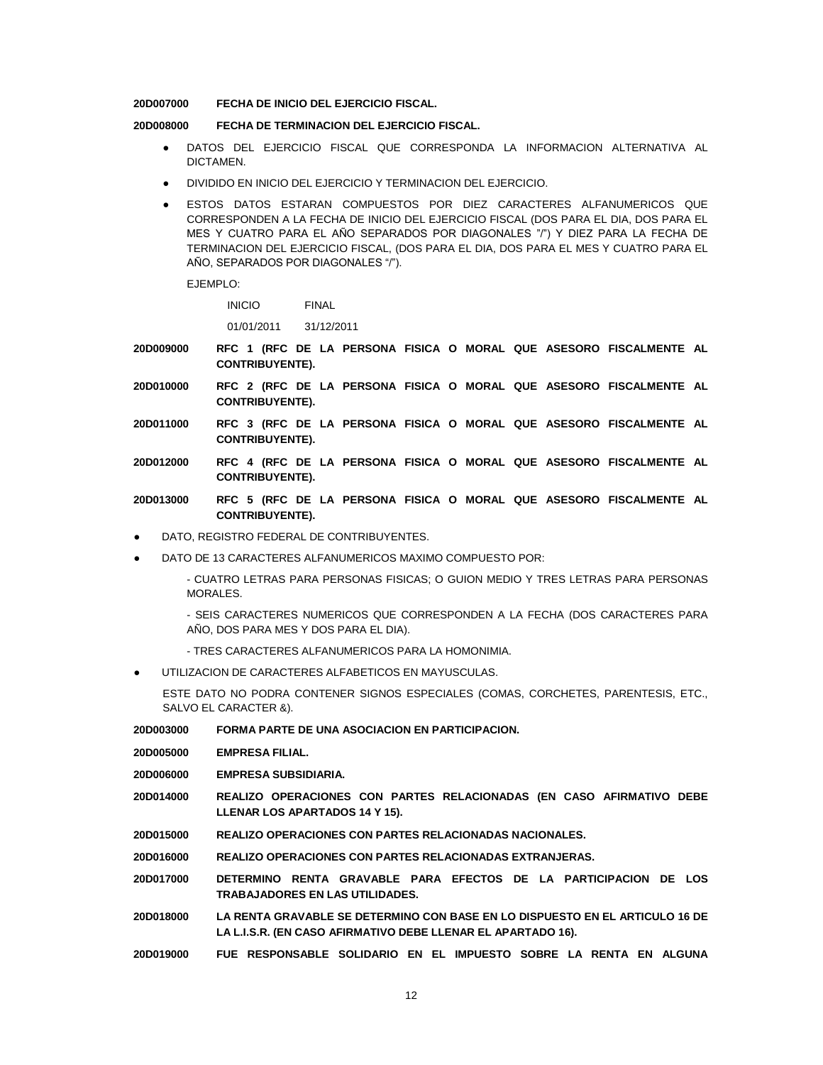#### **20D007000 FECHA DE INICIO DEL EJERCICIO FISCAL.**

## **20D008000 FECHA DE TERMINACION DEL EJERCICIO FISCAL.**

- DATOS DEL EJERCICIO FISCAL QUE CORRESPONDA LA INFORMACION ALTERNATIVA AL DICTAMEN.
- DIVIDIDO EN INICIO DEL EJERCICIO Y TERMINACION DEL EJERCICIO.
- ESTOS DATOS ESTARAN COMPUESTOS POR DIEZ CARACTERES ALFANUMERICOS QUE CORRESPONDEN A LA FECHA DE INICIO DEL EJERCICIO FISCAL (DOS PARA EL DIA, DOS PARA EL MES Y CUATRO PARA EL AÑO SEPARADOS POR DIAGONALES "/") Y DIEZ PARA LA FECHA DE TERMINACION DEL EJERCICIO FISCAL, (DOS PARA EL DIA, DOS PARA EL MES Y CUATRO PARA EL AÑO, SEPARADOS POR DIAGONALES "/").

EJEMPLO:

INICIO FINAL

01/01/2011 31/12/2011

- **20D009000 RFC 1 (RFC DE LA PERSONA FISICA O MORAL QUE ASESORO FISCALMENTE AL CONTRIBUYENTE).**
- **20D010000 RFC 2 (RFC DE LA PERSONA FISICA O MORAL QUE ASESORO FISCALMENTE AL CONTRIBUYENTE).**
- **20D011000 RFC 3 (RFC DE LA PERSONA FISICA O MORAL QUE ASESORO FISCALMENTE AL CONTRIBUYENTE).**
- **20D012000 RFC 4 (RFC DE LA PERSONA FISICA O MORAL QUE ASESORO FISCALMENTE AL CONTRIBUYENTE).**
- **20D013000 RFC 5 (RFC DE LA PERSONA FISICA O MORAL QUE ASESORO FISCALMENTE AL CONTRIBUYENTE).**
- DATO, REGISTRO FEDERAL DE CONTRIBUYENTES.
- DATO DE 13 CARACTERES ALFANUMERICOS MAXIMO COMPUESTO POR:

- CUATRO LETRAS PARA PERSONAS FISICAS; O GUION MEDIO Y TRES LETRAS PARA PERSONAS MORALES.

- SEIS CARACTERES NUMERICOS QUE CORRESPONDEN A LA FECHA (DOS CARACTERES PARA AÑO, DOS PARA MES Y DOS PARA EL DIA).

- TRES CARACTERES ALFANUMERICOS PARA LA HOMONIMIA.
- UTILIZACION DE CARACTERES ALFABETICOS EN MAYUSCULAS.

ESTE DATO NO PODRA CONTENER SIGNOS ESPECIALES (COMAS, CORCHETES, PARENTESIS, ETC., SALVO EL CARACTER &).

- **20D003000 FORMA PARTE DE UNA ASOCIACION EN PARTICIPACION.**
- **20D005000 EMPRESA FILIAL.**
- **20D006000 EMPRESA SUBSIDIARIA.**
- **20D014000 REALIZO OPERACIONES CON PARTES RELACIONADAS (EN CASO AFIRMATIVO DEBE LLENAR LOS APARTADOS 14 Y 15).**
- **20D015000 REALIZO OPERACIONES CON PARTES RELACIONADAS NACIONALES.**
- **20D016000 REALIZO OPERACIONES CON PARTES RELACIONADAS EXTRANJERAS.**
- **20D017000 DETERMINO RENTA GRAVABLE PARA EFECTOS DE LA PARTICIPACION DE LOS TRABAJADORES EN LAS UTILIDADES.**
- **20D018000 LA RENTA GRAVABLE SE DETERMINO CON BASE EN LO DISPUESTO EN EL ARTICULO 16 DE LA L.I.S.R. (EN CASO AFIRMATIVO DEBE LLENAR EL APARTADO 16).**
- **20D019000 FUE RESPONSABLE SOLIDARIO EN EL IMPUESTO SOBRE LA RENTA EN ALGUNA**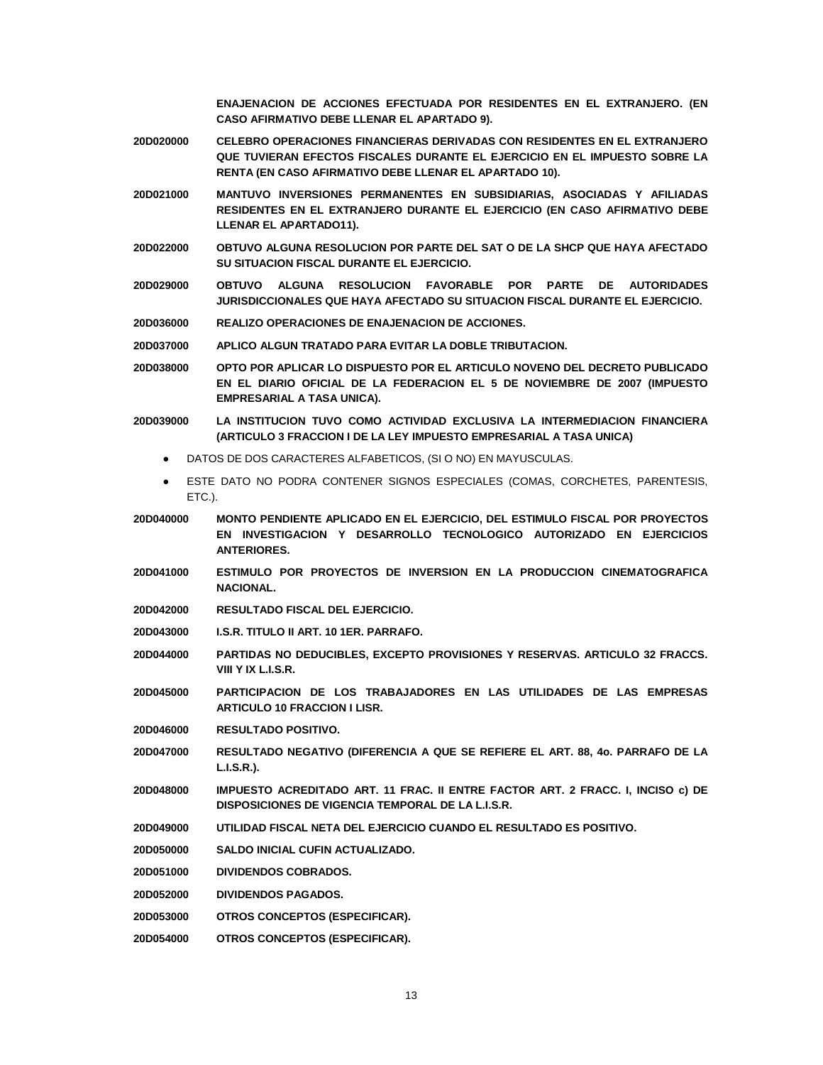**ENAJENACION DE ACCIONES EFECTUADA POR RESIDENTES EN EL EXTRANJERO. (EN CASO AFIRMATIVO DEBE LLENAR EL APARTADO 9).**

- **20D020000 CELEBRO OPERACIONES FINANCIERAS DERIVADAS CON RESIDENTES EN EL EXTRANJERO QUE TUVIERAN EFECTOS FISCALES DURANTE EL EJERCICIO EN EL IMPUESTO SOBRE LA RENTA (EN CASO AFIRMATIVO DEBE LLENAR EL APARTADO 10).**
- **20D021000 MANTUVO INVERSIONES PERMANENTES EN SUBSIDIARIAS, ASOCIADAS Y AFILIADAS RESIDENTES EN EL EXTRANJERO DURANTE EL EJERCICIO (EN CASO AFIRMATIVO DEBE LLENAR EL APARTADO11).**
- **20D022000 OBTUVO ALGUNA RESOLUCION POR PARTE DEL SAT O DE LA SHCP QUE HAYA AFECTADO SU SITUACION FISCAL DURANTE EL EJERCICIO.**
- **20D029000 OBTUVO ALGUNA RESOLUCION FAVORABLE POR PARTE DE AUTORIDADES JURISDICCIONALES QUE HAYA AFECTADO SU SITUACION FISCAL DURANTE EL EJERCICIO.**
- **20D036000 REALIZO OPERACIONES DE ENAJENACION DE ACCIONES.**
- **20D037000 APLICO ALGUN TRATADO PARA EVITAR LA DOBLE TRIBUTACION.**
- **20D038000 OPTO POR APLICAR LO DISPUESTO POR EL ARTICULO NOVENO DEL DECRETO PUBLICADO EN EL DIARIO OFICIAL DE LA FEDERACION EL 5 DE NOVIEMBRE DE 2007 (IMPUESTO EMPRESARIAL A TASA UNICA).**
- **20D039000 LA INSTITUCION TUVO COMO ACTIVIDAD EXCLUSIVA LA INTERMEDIACION FINANCIERA (ARTICULO 3 FRACCION I DE LA LEY IMPUESTO EMPRESARIAL A TASA UNICA)**
	- DATOS DE DOS CARACTERES ALFABETICOS, (SI O NO) EN MAYUSCULAS.
	- ESTE DATO NO PODRA CONTENER SIGNOS ESPECIALES (COMAS, CORCHETES, PARENTESIS, ETC.).
- **20D040000 MONTO PENDIENTE APLICADO EN EL EJERCICIO, DEL ESTIMULO FISCAL POR PROYECTOS EN INVESTIGACION Y DESARROLLO TECNOLOGICO AUTORIZADO EN EJERCICIOS ANTERIORES.**
- **20D041000 ESTIMULO POR PROYECTOS DE INVERSION EN LA PRODUCCION CINEMATOGRAFICA NACIONAL.**
- **20D042000 RESULTADO FISCAL DEL EJERCICIO.**
- **20D043000 I.S.R. TITULO II ART. 10 1ER. PARRAFO.**
- **20D044000 PARTIDAS NO DEDUCIBLES, EXCEPTO PROVISIONES Y RESERVAS. ARTICULO 32 FRACCS. VIII Y IX L.I.S.R.**
- **20D045000 PARTICIPACION DE LOS TRABAJADORES EN LAS UTILIDADES DE LAS EMPRESAS ARTICULO 10 FRACCION I LISR.**
- **20D046000 RESULTADO POSITIVO.**
- **20D047000 RESULTADO NEGATIVO (DIFERENCIA A QUE SE REFIERE EL ART. 88, 4o. PARRAFO DE LA L.I.S.R.).**
- **20D048000 IMPUESTO ACREDITADO ART. 11 FRAC. II ENTRE FACTOR ART. 2 FRACC. I, INCISO c) DE DISPOSICIONES DE VIGENCIA TEMPORAL DE LA L.I.S.R.**
- **20D049000 UTILIDAD FISCAL NETA DEL EJERCICIO CUANDO EL RESULTADO ES POSITIVO.**
- **20D050000 SALDO INICIAL CUFIN ACTUALIZADO.**
- **20D051000 DIVIDENDOS COBRADOS.**
- **20D052000 DIVIDENDOS PAGADOS.**
- **20D053000 OTROS CONCEPTOS (ESPECIFICAR).**
- **20D054000 OTROS CONCEPTOS (ESPECIFICAR).**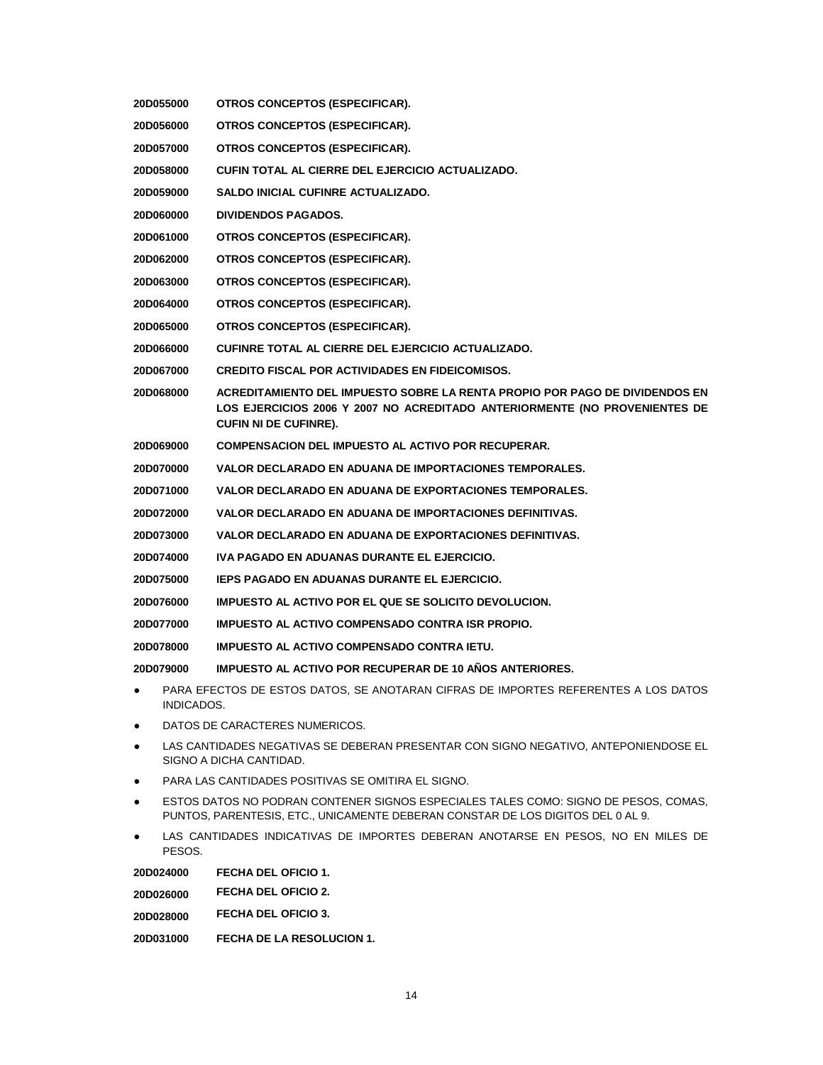| 20D055000                                                                                                                                                                   | OTROS CONCEPTOS (ESPECIFICAR).                                                                                                                                                            |  |
|-----------------------------------------------------------------------------------------------------------------------------------------------------------------------------|-------------------------------------------------------------------------------------------------------------------------------------------------------------------------------------------|--|
| 20D056000                                                                                                                                                                   | OTROS CONCEPTOS (ESPECIFICAR).                                                                                                                                                            |  |
| 20D057000                                                                                                                                                                   | OTROS CONCEPTOS (ESPECIFICAR).                                                                                                                                                            |  |
| 20D058000                                                                                                                                                                   | CUFIN TOTAL AL CIERRE DEL EJERCICIO ACTUALIZADO.                                                                                                                                          |  |
| 20D059000                                                                                                                                                                   | SALDO INICIAL CUFINRE ACTUALIZADO.                                                                                                                                                        |  |
| <b>20D060000</b>                                                                                                                                                            | <b>DIVIDENDOS PAGADOS.</b>                                                                                                                                                                |  |
| 20D061000                                                                                                                                                                   | OTROS CONCEPTOS (ESPECIFICAR).                                                                                                                                                            |  |
| <b>20D062000</b>                                                                                                                                                            | OTROS CONCEPTOS (ESPECIFICAR).                                                                                                                                                            |  |
| <b>20D063000</b>                                                                                                                                                            | OTROS CONCEPTOS (ESPECIFICAR).                                                                                                                                                            |  |
| 20D064000                                                                                                                                                                   | OTROS CONCEPTOS (ESPECIFICAR).                                                                                                                                                            |  |
| 20D065000                                                                                                                                                                   | OTROS CONCEPTOS (ESPECIFICAR).                                                                                                                                                            |  |
| <b>20D066000</b>                                                                                                                                                            | CUFINRE TOTAL AL CIERRE DEL EJERCICIO ACTUALIZADO.                                                                                                                                        |  |
| 20D067000                                                                                                                                                                   | <b>CREDITO FISCAL POR ACTIVIDADES EN FIDEICOMISOS.</b>                                                                                                                                    |  |
| <b>20D068000</b>                                                                                                                                                            | ACREDITAMIENTO DEL IMPUESTO SOBRE LA RENTA PROPIO POR PAGO DE DIVIDENDOS EN<br>LOS EJERCICIOS 2006 Y 2007 NO ACREDITADO ANTERIORMENTE (NO PROVENIENTES DE<br><b>CUFIN NI DE CUFINRE).</b> |  |
| 20D069000                                                                                                                                                                   | <b>COMPENSACION DEL IMPUESTO AL ACTIVO POR RECUPERAR.</b>                                                                                                                                 |  |
| 20D070000                                                                                                                                                                   | VALOR DECLARADO EN ADUANA DE IMPORTACIONES TEMPORALES.                                                                                                                                    |  |
| 20D071000                                                                                                                                                                   | VALOR DECLARADO EN ADUANA DE EXPORTACIONES TEMPORALES.                                                                                                                                    |  |
| 20D072000                                                                                                                                                                   | VALOR DECLARADO EN ADUANA DE IMPORTACIONES DEFINITIVAS.                                                                                                                                   |  |
| 20D073000                                                                                                                                                                   | VALOR DECLARADO EN ADUANA DE EXPORTACIONES DEFINITIVAS.                                                                                                                                   |  |
| 20D074000                                                                                                                                                                   | IVA PAGADO EN ADUANAS DURANTE EL EJERCICIO.                                                                                                                                               |  |
| 20D075000                                                                                                                                                                   | <b>IEPS PAGADO EN ADUANAS DURANTE EL EJERCICIO.</b>                                                                                                                                       |  |
| <b>20D076000</b>                                                                                                                                                            | <b>IMPUESTO AL ACTIVO POR EL QUE SE SOLICITO DEVOLUCION.</b>                                                                                                                              |  |
| 20D077000                                                                                                                                                                   | IMPUESTO AL ACTIVO COMPENSADO CONTRA ISR PROPIO.                                                                                                                                          |  |
| <b>20D078000</b>                                                                                                                                                            | IMPUESTO AL ACTIVO COMPENSADO CONTRA IETU.                                                                                                                                                |  |
| 20D079000                                                                                                                                                                   | <b>IMPUESTO AL ACTIVO POR RECUPERAR DE 10 AÑOS ANTERIORES.</b>                                                                                                                            |  |
| PARA EFECTOS DE ESTOS DATOS, SE ANOTARAN CIFRAS DE IMPORTES REFERENTES A LOS DATOS<br>INDICADOS.                                                                            |                                                                                                                                                                                           |  |
| DATOS DE CARACTERES NUMERICOS.<br>$\bullet$                                                                                                                                 |                                                                                                                                                                                           |  |
| LAS CANTIDADES NEGATIVAS SE DEBERAN PRESENTAR CON SIGNO NEGATIVO, ANTEPONIENDOSE EL<br>$\bullet$<br>SIGNO A DICHA CANTIDAD.                                                 |                                                                                                                                                                                           |  |
| PARA LAS CANTIDADES POSITIVAS SE OMITIRA EL SIGNO.<br>٠                                                                                                                     |                                                                                                                                                                                           |  |
| ESTOS DATOS NO PODRAN CONTENER SIGNOS ESPECIALES TALES COMO: SIGNO DE PESOS, COMAS,<br>٠<br>PUNTOS, PARENTESIS, ETC., UNICAMENTE DEBERAN CONSTAR DE LOS DIGITOS DEL 0 AL 9. |                                                                                                                                                                                           |  |
| LAS CANTIDADES INDICATIVAS DE IMPORTES DEBERAN ANOTARSE EN PESOS, NO EN MILES DE<br>$\bullet$<br>PESOS.                                                                     |                                                                                                                                                                                           |  |
| 20D024000                                                                                                                                                                   | <b>FECHA DEL OFICIO 1.</b>                                                                                                                                                                |  |
| 20D026000                                                                                                                                                                   | <b>FECHA DEL OFICIO 2.</b>                                                                                                                                                                |  |
| 20D028000                                                                                                                                                                   | <b>FECHA DEL OFICIO 3.</b>                                                                                                                                                                |  |

**20D031000 FECHA DE LA RESOLUCION 1.**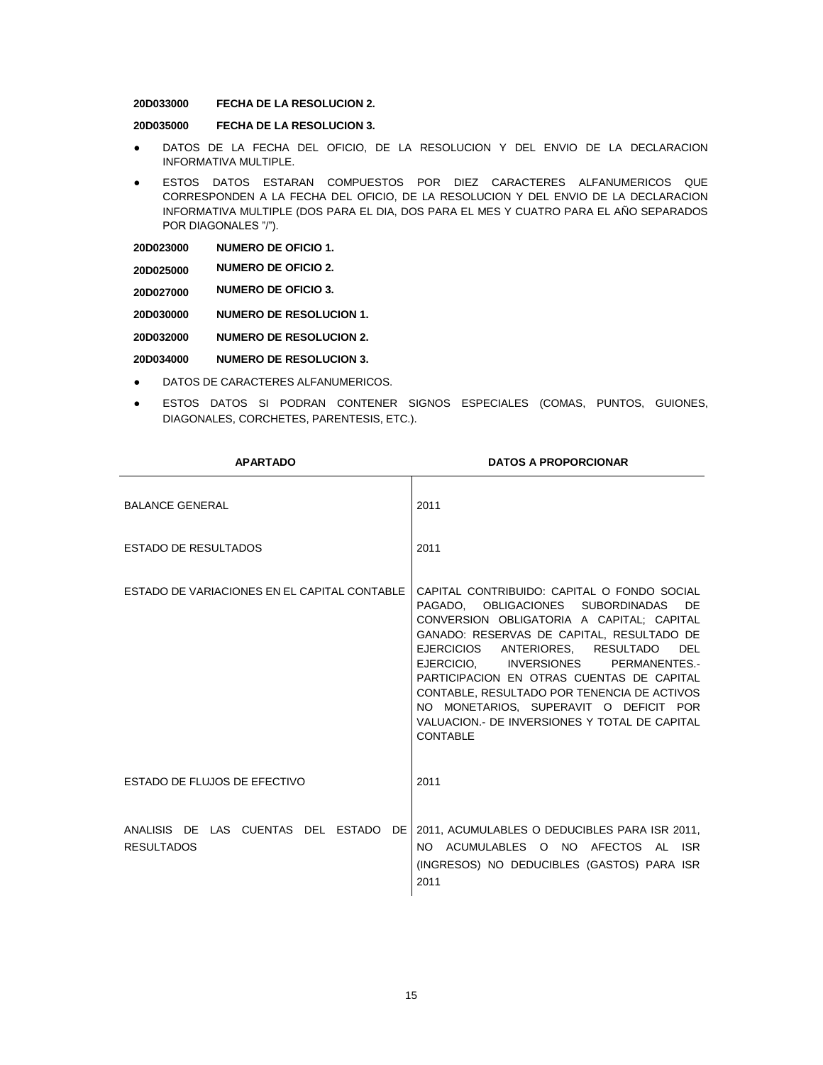#### **20D033000 FECHA DE LA RESOLUCION 2.**

**20D035000 FECHA DE LA RESOLUCION 3.**

- DATOS DE LA FECHA DEL OFICIO, DE LA RESOLUCION Y DEL ENVIO DE LA DECLARACION INFORMATIVA MULTIPLE.
- ESTOS DATOS ESTARAN COMPUESTOS POR DIEZ CARACTERES ALFANUMERICOS QUE CORRESPONDEN A LA FECHA DEL OFICIO, DE LA RESOLUCION Y DEL ENVIO DE LA DECLARACION INFORMATIVA MULTIPLE (DOS PARA EL DIA, DOS PARA EL MES Y CUATRO PARA EL AÑO SEPARADOS POR DIAGONALES "/").

| 20D023000 | <b>NUMERO DE OFICIO 1.</b> |
|-----------|----------------------------|
|           |                            |

|           | <b>NUMERO DE OFICIO 2.</b> |
|-----------|----------------------------|
| 20D025000 |                            |

**20D027000 NUMERO DE OFICIO 3.**

**20D030000 NUMERO DE RESOLUCION 1.**

**20D032000 NUMERO DE RESOLUCION 2.**

**20D034000 NUMERO DE RESOLUCION 3.**

- DATOS DE CARACTERES ALFANUMERICOS.
- ESTOS DATOS SI PODRAN CONTENER SIGNOS ESPECIALES (COMAS, PUNTOS, GUIONES, DIAGONALES, CORCHETES, PARENTESIS, ETC.).

| <b>APARTADO</b>                              | <b>DATOS A PROPORCIONAR</b>                                                                                                                                                                                                                                                                                                                                                                                                                                                          |
|----------------------------------------------|--------------------------------------------------------------------------------------------------------------------------------------------------------------------------------------------------------------------------------------------------------------------------------------------------------------------------------------------------------------------------------------------------------------------------------------------------------------------------------------|
| <b>BALANCE GENERAL</b>                       | 2011                                                                                                                                                                                                                                                                                                                                                                                                                                                                                 |
| <b>ESTADO DE RESULTADOS</b>                  | 2011                                                                                                                                                                                                                                                                                                                                                                                                                                                                                 |
| ESTADO DE VARIACIONES EN EL CAPITAL CONTABLE | CAPITAL CONTRIBUIDO: CAPITAL O FONDO SOCIAL<br>PAGADO. OBLIGACIONES SUBORDINADAS<br>DE.<br>CONVERSION OBLIGATORIA A CAPITAL: CAPITAL<br>GANADO: RESERVAS DE CAPITAL, RESULTADO DE<br>EJERCICIOS ANTERIORES, RESULTADO<br><b>DEL</b><br>EJERCICIO. INVERSIONES PERMANENTES.-<br>PARTICIPACION EN OTRAS CUENTAS DE CAPITAL<br>CONTABLE, RESULTADO POR TENENCIA DE ACTIVOS<br>NO MONETARIOS, SUPERAVIT O DEFICIT POR<br>VALUACION. DE INVERSIONES Y TOTAL DE CAPITAL<br><b>CONTABLE</b> |
| ESTADO DE FLUJOS DE EFECTIVO                 | 2011                                                                                                                                                                                                                                                                                                                                                                                                                                                                                 |
| <b>RESULTADOS</b>                            | ANALISIS DE LAS CUENTAS DEL ESTADO DE 2011, ACUMULABLES O DEDUCIBLES PARA ISR 2011,<br>NO ACUMULABLES O NO AFECTOS AL ISR<br>(INGRESOS) NO DEDUCIBLES (GASTOS) PARA ISR<br>2011                                                                                                                                                                                                                                                                                                      |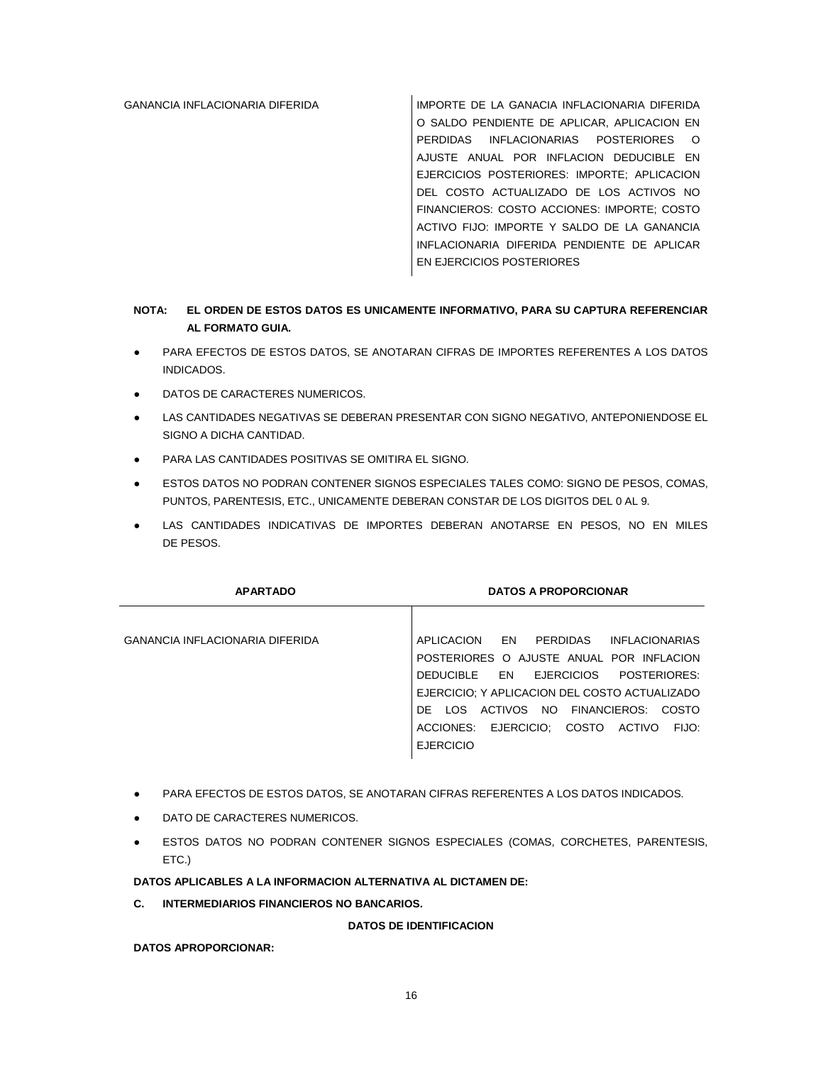GANANCIA INFLACIONARIA DIFERIDA IMPORTE DE LA GANACIA INFLACIONARIA DIFERIDA O SALDO PENDIENTE DE APLICAR, APLICACION EN PERDIDAS INFLACIONARIAS POSTERIORES O AJUSTE ANUAL POR INFLACION DEDUCIBLE EN EJERCICIOS POSTERIORES: IMPORTE; APLICACION DEL COSTO ACTUALIZADO DE LOS ACTIVOS NO FINANCIEROS: COSTO ACCIONES: IMPORTE; COSTO ACTIVO FIJO: IMPORTE Y SALDO DE LA GANANCIA INFLACIONARIA DIFERIDA PENDIENTE DE APLICAR EN EJERCICIOS POSTERIORES

# **NOTA: EL ORDEN DE ESTOS DATOS ES UNICAMENTE INFORMATIVO, PARA SU CAPTURA REFERENCIAR AL FORMATO GUIA.**

- PARA EFECTOS DE ESTOS DATOS, SE ANOTARAN CIFRAS DE IMPORTES REFERENTES A LOS DATOS INDICADOS.
- DATOS DE CARACTERES NUMERICOS.
- LAS CANTIDADES NEGATIVAS SE DEBERAN PRESENTAR CON SIGNO NEGATIVO, ANTEPONIENDOSE EL SIGNO A DICHA CANTIDAD.
- PARA LAS CANTIDADES POSITIVAS SE OMITIRA EL SIGNO.
- ESTOS DATOS NO PODRAN CONTENER SIGNOS ESPECIALES TALES COMO: SIGNO DE PESOS, COMAS, PUNTOS, PARENTESIS, ETC., UNICAMENTE DEBERAN CONSTAR DE LOS DIGITOS DEL 0 AL 9.
- LAS CANTIDADES INDICATIVAS DE IMPORTES DEBERAN ANOTARSE EN PESOS, NO EN MILES DE PESOS.

| <b>APARTADO</b>                        | <b>DATOS A PROPORCIONAR</b>                                                                                                                                                                                                                                                                   |
|----------------------------------------|-----------------------------------------------------------------------------------------------------------------------------------------------------------------------------------------------------------------------------------------------------------------------------------------------|
| <b>GANANCIA INFLACIONARIA DIFERIDA</b> | EN PERDIDAS INFLACIONARIAS<br>APLICACION<br>POSTERIORES O AJUSTE ANUAL POR INFLACION<br>DEDUCIBLE EN EJERCICIOS<br>POSTERIORES:<br>EJERCICIO; Y APLICACION DEL COSTO ACTUALIZADO<br>DE LOS ACTIVOS NO FINANCIEROS: COSTO<br>ACCIONES: EJERCICIO: COSTO<br>ACTIVO<br>FIJO:<br><b>EJERCICIO</b> |

- PARA EFECTOS DE ESTOS DATOS, SE ANOTARAN CIFRAS REFERENTES A LOS DATOS INDICADOS.
- DATO DE CARACTERES NUMERICOS.
- ESTOS DATOS NO PODRAN CONTENER SIGNOS ESPECIALES (COMAS, CORCHETES, PARENTESIS, ETC.)

# **DATOS APLICABLES A LA INFORMACION ALTERNATIVA AL DICTAMEN DE:**

**C. INTERMEDIARIOS FINANCIEROS NO BANCARIOS.**

**DATOS DE IDENTIFICACION**

**DATOS APROPORCIONAR:**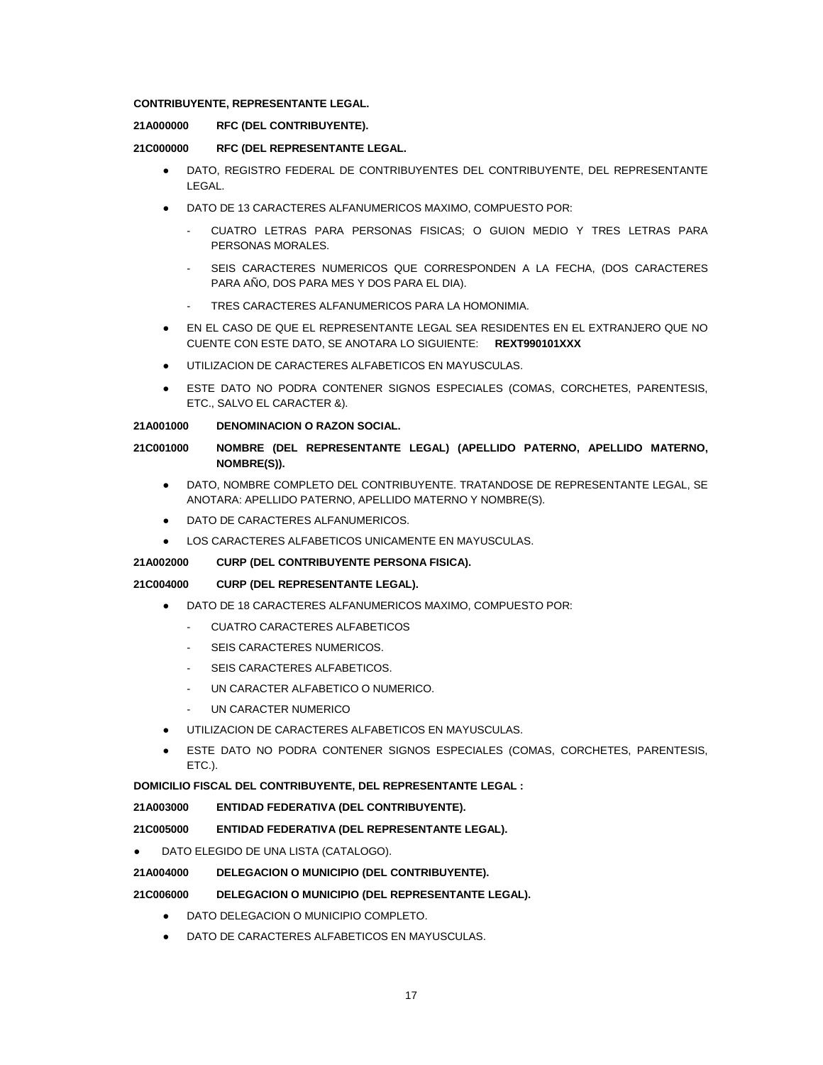# **CONTRIBUYENTE, REPRESENTANTE LEGAL.**

# **21A000000 RFC (DEL CONTRIBUYENTE).**

## **21C000000 RFC (DEL REPRESENTANTE LEGAL.**

- DATO, REGISTRO FEDERAL DE CONTRIBUYENTES DEL CONTRIBUYENTE, DEL REPRESENTANTE LEGAL.
- DATO DE 13 CARACTERES ALFANUMERICOS MAXIMO, COMPUESTO POR:
	- CUATRO LETRAS PARA PERSONAS FISICAS; O GUION MEDIO Y TRES LETRAS PARA PERSONAS MORALES.
	- SEIS CARACTERES NUMERICOS QUE CORRESPONDEN A LA FECHA, (DOS CARACTERES PARA AÑO, DOS PARA MES Y DOS PARA EL DIA).
	- TRES CARACTERES ALFANUMERICOS PARA LA HOMONIMIA.
- EN EL CASO DE QUE EL REPRESENTANTE LEGAL SEA RESIDENTES EN EL EXTRANJERO QUE NO CUENTE CON ESTE DATO, SE ANOTARA LO SIGUIENTE: **REXT990101XXX**
- UTILIZACION DE CARACTERES ALFABETICOS EN MAYUSCULAS.
- ESTE DATO NO PODRA CONTENER SIGNOS ESPECIALES (COMAS, CORCHETES, PARENTESIS, ETC., SALVO EL CARACTER &).

# **21A001000 DENOMINACION O RAZON SOCIAL.**

# **21C001000 NOMBRE (DEL REPRESENTANTE LEGAL) (APELLIDO PATERNO, APELLIDO MATERNO, NOMBRE(S)).**

- DATO, NOMBRE COMPLETO DEL CONTRIBUYENTE. TRATANDOSE DE REPRESENTANTE LEGAL, SE ANOTARA: APELLIDO PATERNO, APELLIDO MATERNO Y NOMBRE(S).
- DATO DE CARACTERES ALFANUMERICOS.
- LOS CARACTERES ALFABETICOS UNICAMENTE EN MAYUSCULAS.

# **21A002000 CURP (DEL CONTRIBUYENTE PERSONA FISICA).**

# **21C004000 CURP (DEL REPRESENTANTE LEGAL).**

- DATO DE 18 CARACTERES ALFANUMERICOS MAXIMO, COMPUESTO POR:
	- CUATRO CARACTERES ALFABETICOS
	- SEIS CARACTERES NUMERICOS.
	- SEIS CARACTERES ALFABETICOS.
	- UN CARACTER ALFABETICO O NUMERICO.
	- UN CARACTER NUMERICO
- UTILIZACION DE CARACTERES ALFABETICOS EN MAYUSCULAS.
- ESTE DATO NO PODRA CONTENER SIGNOS ESPECIALES (COMAS, CORCHETES, PARENTESIS, ETC.).

# **DOMICILIO FISCAL DEL CONTRIBUYENTE, DEL REPRESENTANTE LEGAL :**

**21A003000 ENTIDAD FEDERATIVA (DEL CONTRIBUYENTE).**

**21C005000 ENTIDAD FEDERATIVA (DEL REPRESENTANTE LEGAL).**

DATO ELEGIDO DE UNA LISTA (CATALOGO).

# **21A004000 DELEGACION O MUNICIPIO (DEL CONTRIBUYENTE).**

# **21C006000 DELEGACION O MUNICIPIO (DEL REPRESENTANTE LEGAL).**

- DATO DELEGACION O MUNICIPIO COMPLETO.
- DATO DE CARACTERES ALFABETICOS EN MAYUSCULAS.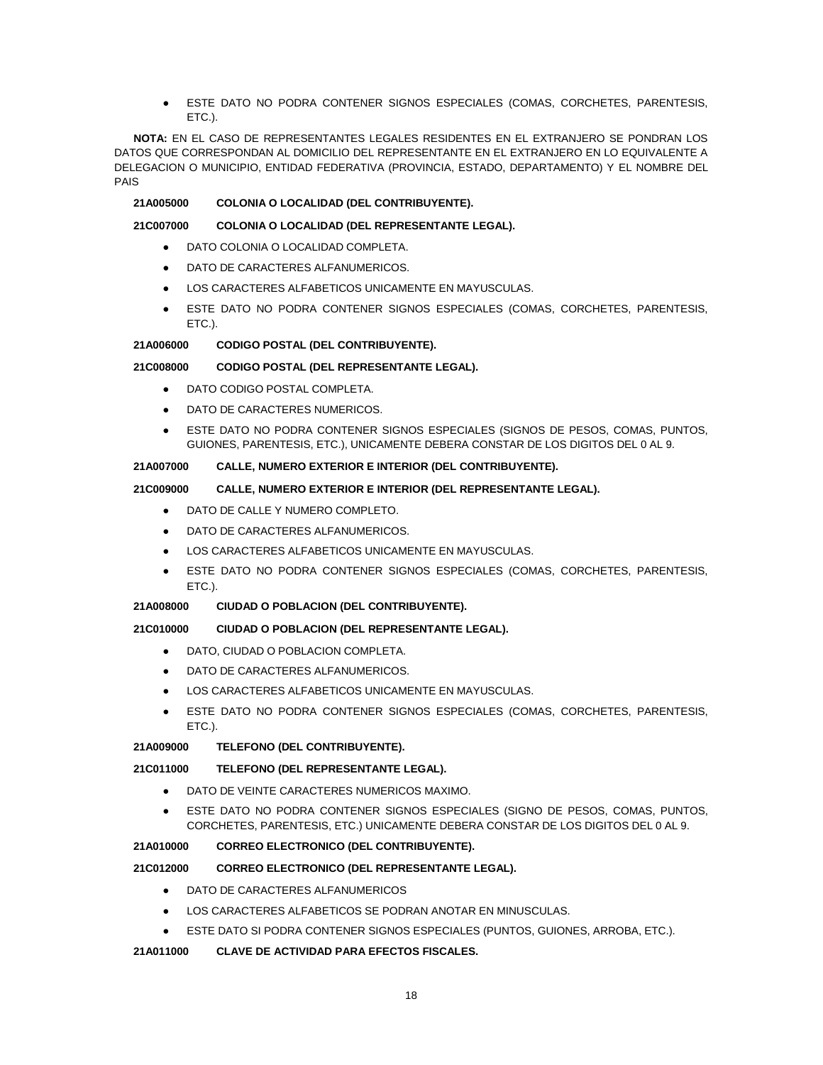ESTE DATO NO PODRA CONTENER SIGNOS ESPECIALES (COMAS, CORCHETES, PARENTESIS, ETC.).

**NOTA:** EN EL CASO DE REPRESENTANTES LEGALES RESIDENTES EN EL EXTRANJERO SE PONDRAN LOS DATOS QUE CORRESPONDAN AL DOMICILIO DEL REPRESENTANTE EN EL EXTRANJERO EN LO EQUIVALENTE A DELEGACION O MUNICIPIO, ENTIDAD FEDERATIVA (PROVINCIA, ESTADO, DEPARTAMENTO) Y EL NOMBRE DEL PAIS

### **21A005000 COLONIA O LOCALIDAD (DEL CONTRIBUYENTE).**

### **21C007000 COLONIA O LOCALIDAD (DEL REPRESENTANTE LEGAL).**

- DATO COLONIA O LOCALIDAD COMPLETA.
- DATO DE CARACTERES ALFANUMERICOS.
- LOS CARACTERES ALFABETICOS UNICAMENTE EN MAYUSCULAS.
- ESTE DATO NO PODRA CONTENER SIGNOS ESPECIALES (COMAS, CORCHETES, PARENTESIS, ETC.).

### **21A006000 CODIGO POSTAL (DEL CONTRIBUYENTE).**

# **21C008000 CODIGO POSTAL (DEL REPRESENTANTE LEGAL).**

- DATO CODIGO POSTAL COMPLETA
- DATO DE CARACTERES NUMERICOS.
- ESTE DATO NO PODRA CONTENER SIGNOS ESPECIALES (SIGNOS DE PESOS, COMAS, PUNTOS, GUIONES, PARENTESIS, ETC.), UNICAMENTE DEBERA CONSTAR DE LOS DIGITOS DEL 0 AL 9.

## **21A007000 CALLE, NUMERO EXTERIOR E INTERIOR (DEL CONTRIBUYENTE).**

# **21C009000 CALLE, NUMERO EXTERIOR E INTERIOR (DEL REPRESENTANTE LEGAL).**

- DATO DE CALLE Y NUMERO COMPLETO.
- DATO DE CARACTERES ALFANUMERICOS.
- LOS CARACTERES ALFABETICOS UNICAMENTE EN MAYUSCULAS.
- ESTE DATO NO PODRA CONTENER SIGNOS ESPECIALES (COMAS, CORCHETES, PARENTESIS, ETC.).

# **21A008000 CIUDAD O POBLACION (DEL CONTRIBUYENTE).**

# **21C010000 CIUDAD O POBLACION (DEL REPRESENTANTE LEGAL).**

- DATO, CIUDAD O POBLACION COMPLETA.
- DATO DE CARACTERES ALFANUMERICOS.
- LOS CARACTERES ALFABETICOS UNICAMENTE EN MAYUSCULAS.
- ESTE DATO NO PODRA CONTENER SIGNOS ESPECIALES (COMAS, CORCHETES, PARENTESIS, ETC.).

# **21A009000 TELEFONO (DEL CONTRIBUYENTE).**

# **21C011000 TELEFONO (DEL REPRESENTANTE LEGAL).**

- DATO DE VEINTE CARACTERES NUMERICOS MAXIMO.
- ESTE DATO NO PODRA CONTENER SIGNOS ESPECIALES (SIGNO DE PESOS, COMAS, PUNTOS, CORCHETES, PARENTESIS, ETC.) UNICAMENTE DEBERA CONSTAR DE LOS DIGITOS DEL 0 AL 9.

# **21A010000 CORREO ELECTRONICO (DEL CONTRIBUYENTE).**

# **21C012000 CORREO ELECTRONICO (DEL REPRESENTANTE LEGAL).**

- DATO DE CARACTERES ALFANUMERICOS
- LOS CARACTERES ALFABETICOS SE PODRAN ANOTAR EN MINUSCULAS.
- ESTE DATO SI PODRA CONTENER SIGNOS ESPECIALES (PUNTOS, GUIONES, ARROBA, ETC.).

# **21A011000 CLAVE DE ACTIVIDAD PARA EFECTOS FISCALES.**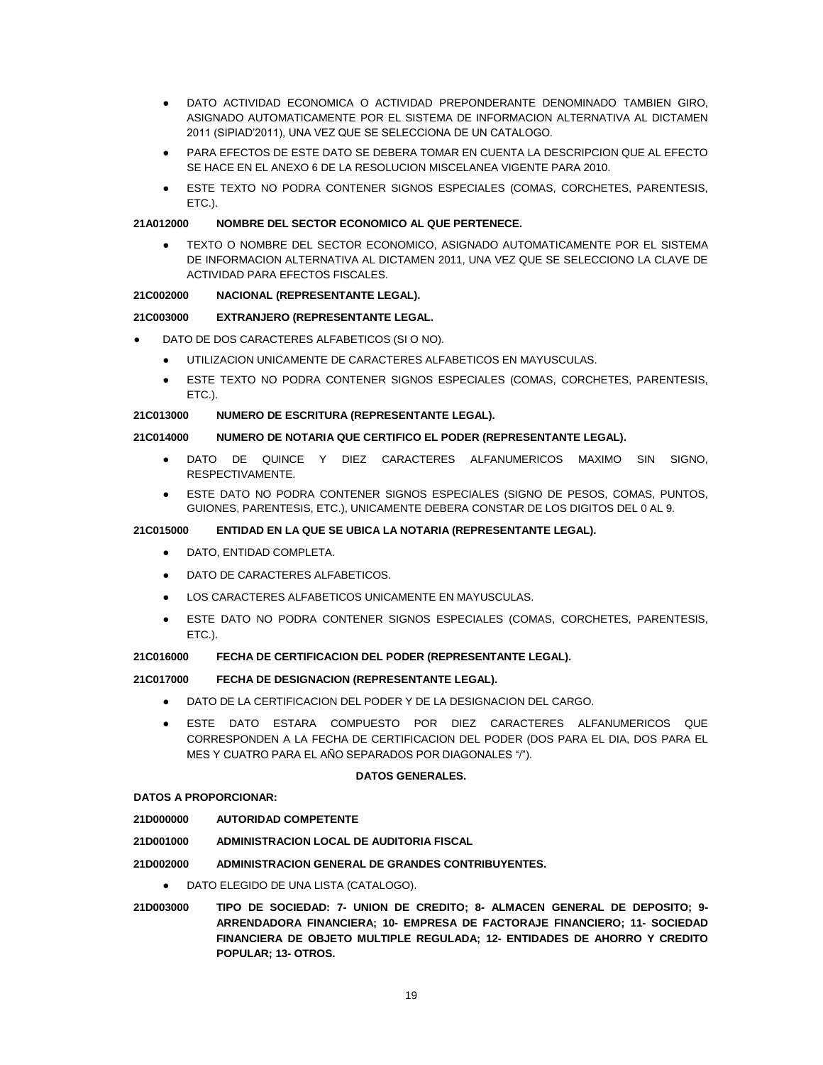- DATO ACTIVIDAD ECONOMICA O ACTIVIDAD PREPONDERANTE DENOMINADO TAMBIEN GIRO, ASIGNADO AUTOMATICAMENTE POR EL SISTEMA DE INFORMACION ALTERNATIVA AL DICTAMEN 2011 (SIPIAD'2011), UNA VEZ QUE SE SELECCIONA DE UN CATALOGO.
- PARA EFECTOS DE ESTE DATO SE DEBERA TOMAR EN CUENTA LA DESCRIPCION QUE AL EFECTO SE HACE EN EL ANEXO 6 DE LA RESOLUCION MISCELANEA VIGENTE PARA 2010.
- ESTE TEXTO NO PODRA CONTENER SIGNOS ESPECIALES (COMAS, CORCHETES, PARENTESIS, ETC.).

### **21A012000 NOMBRE DEL SECTOR ECONOMICO AL QUE PERTENECE.**

TEXTO O NOMBRE DEL SECTOR ECONOMICO, ASIGNADO AUTOMATICAMENTE POR EL SISTEMA DE INFORMACION ALTERNATIVA AL DICTAMEN 2011, UNA VEZ QUE SE SELECCIONO LA CLAVE DE ACTIVIDAD PARA EFECTOS FISCALES.

### **21C002000 NACIONAL (REPRESENTANTE LEGAL).**

### **21C003000 EXTRANJERO (REPRESENTANTE LEGAL.**

- DATO DE DOS CARACTERES ALFABETICOS (SI O NO).
	- UTILIZACION UNICAMENTE DE CARACTERES ALFABETICOS EN MAYUSCULAS.
	- ESTE TEXTO NO PODRA CONTENER SIGNOS ESPECIALES (COMAS, CORCHETES, PARENTESIS, ETC.).

#### **21C013000 NUMERO DE ESCRITURA (REPRESENTANTE LEGAL).**

## **21C014000 NUMERO DE NOTARIA QUE CERTIFICO EL PODER (REPRESENTANTE LEGAL).**

- DATO DE QUINCE Y DIEZ CARACTERES ALFANUMERICOS MAXIMO SIN SIGNO. RESPECTIVAMENTE.
- ESTE DATO NO PODRA CONTENER SIGNOS ESPECIALES (SIGNO DE PESOS, COMAS, PUNTOS, GUIONES, PARENTESIS, ETC.), UNICAMENTE DEBERA CONSTAR DE LOS DIGITOS DEL 0 AL 9.

## **21C015000 ENTIDAD EN LA QUE SE UBICA LA NOTARIA (REPRESENTANTE LEGAL).**

- DATO, ENTIDAD COMPLETA.
- DATO DE CARACTERES ALFABETICOS.
- LOS CARACTERES ALFABETICOS UNICAMENTE EN MAYUSCULAS.
- ESTE DATO NO PODRA CONTENER SIGNOS ESPECIALES (COMAS, CORCHETES, PARENTESIS, ETC.).

#### **21C016000 FECHA DE CERTIFICACION DEL PODER (REPRESENTANTE LEGAL).**

#### **21C017000 FECHA DE DESIGNACION (REPRESENTANTE LEGAL).**

- DATO DE LA CERTIFICACION DEL PODER Y DE LA DESIGNACION DEL CARGO.
- ESTE DATO ESTARA COMPUESTO POR DIEZ CARACTERES ALFANUMERICOS QUE CORRESPONDEN A LA FECHA DE CERTIFICACION DEL PODER (DOS PARA EL DIA, DOS PARA EL MES Y CUATRO PARA EL AÑO SEPARADOS POR DIAGONALES "/").

#### **DATOS GENERALES.**

#### **DATOS A PROPORCIONAR:**

**21D000000 AUTORIDAD COMPETENTE**

**21D001000 ADMINISTRACION LOCAL DE AUDITORIA FISCAL**

**21D002000 ADMINISTRACION GENERAL DE GRANDES CONTRIBUYENTES.**

- DATO ELEGIDO DE UNA LISTA (CATALOGO).
- **21D003000 TIPO DE SOCIEDAD: 7- UNION DE CREDITO; 8- ALMACEN GENERAL DE DEPOSITO; 9- ARRENDADORA FINANCIERA; 10- EMPRESA DE FACTORAJE FINANCIERO; 11- SOCIEDAD FINANCIERA DE OBJETO MULTIPLE REGULADA; 12- ENTIDADES DE AHORRO Y CREDITO POPULAR; 13- OTROS.**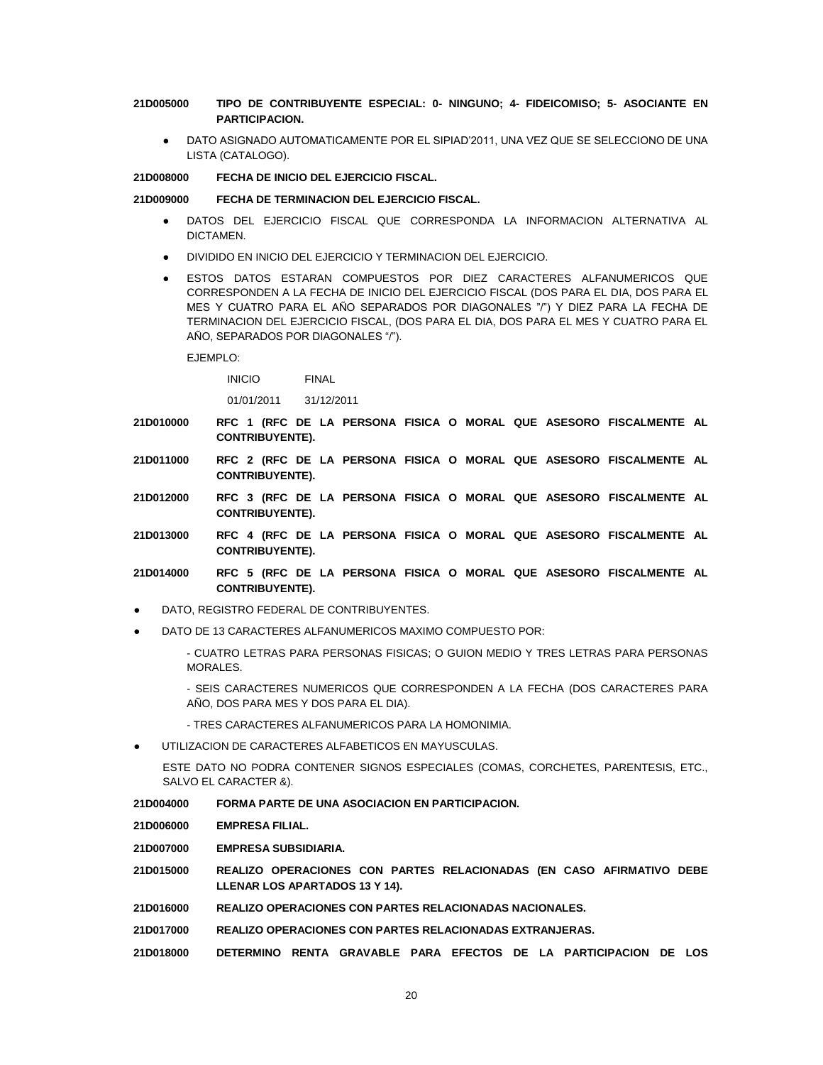## **21D005000 TIPO DE CONTRIBUYENTE ESPECIAL: 0- NINGUNO; 4- FIDEICOMISO; 5- ASOCIANTE EN PARTICIPACION.**

DATO ASIGNADO AUTOMATICAMENTE POR EL SIPIAD'2011, UNA VEZ QUE SE SELECCIONO DE UNA LISTA (CATALOGO).

#### **21D008000 FECHA DE INICIO DEL EJERCICIO FISCAL.**

#### **21D009000 FECHA DE TERMINACION DEL EJERCICIO FISCAL.**

- DATOS DEL EJERCICIO FISCAL QUE CORRESPONDA LA INFORMACION ALTERNATIVA AL DICTAMEN.
- DIVIDIDO EN INICIO DEL EJERCICIO Y TERMINACION DEL EJERCICIO.
- ESTOS DATOS ESTARAN COMPUESTOS POR DIEZ CARACTERES ALFANUMERICOS QUE CORRESPONDEN A LA FECHA DE INICIO DEL EJERCICIO FISCAL (DOS PARA EL DIA, DOS PARA EL MES Y CUATRO PARA EL AÑO SEPARADOS POR DIAGONALES "/") Y DIEZ PARA LA FECHA DE TERMINACION DEL EJERCICIO FISCAL, (DOS PARA EL DIA, DOS PARA EL MES Y CUATRO PARA EL AÑO, SEPARADOS POR DIAGONALES "/").

EJEMPLO:

INICIO FINAL

01/01/2011 31/12/2011

- **21D010000 RFC 1 (RFC DE LA PERSONA FISICA O MORAL QUE ASESORO FISCALMENTE AL CONTRIBUYENTE).**
- **21D011000 RFC 2 (RFC DE LA PERSONA FISICA O MORAL QUE ASESORO FISCALMENTE AL CONTRIBUYENTE).**
- **21D012000 RFC 3 (RFC DE LA PERSONA FISICA O MORAL QUE ASESORO FISCALMENTE AL CONTRIBUYENTE).**
- **21D013000 RFC 4 (RFC DE LA PERSONA FISICA O MORAL QUE ASESORO FISCALMENTE AL CONTRIBUYENTE).**
- **21D014000 RFC 5 (RFC DE LA PERSONA FISICA O MORAL QUE ASESORO FISCALMENTE AL CONTRIBUYENTE).**
- DATO, REGISTRO FEDERAL DE CONTRIBUYENTES.
- DATO DE 13 CARACTERES ALFANUMERICOS MAXIMO COMPUESTO POR:
	- CUATRO LETRAS PARA PERSONAS FISICAS; O GUION MEDIO Y TRES LETRAS PARA PERSONAS MORALES.

- SEIS CARACTERES NUMERICOS QUE CORRESPONDEN A LA FECHA (DOS CARACTERES PARA AÑO, DOS PARA MES Y DOS PARA EL DIA).

- TRES CARACTERES ALFANUMERICOS PARA LA HOMONIMIA.
- UTILIZACION DE CARACTERES ALFABETICOS EN MAYUSCULAS.

ESTE DATO NO PODRA CONTENER SIGNOS ESPECIALES (COMAS, CORCHETES, PARENTESIS, ETC., SALVO EL CARACTER &).

**21D004000 FORMA PARTE DE UNA ASOCIACION EN PARTICIPACION.**

**21D006000 EMPRESA FILIAL.**

- **21D007000 EMPRESA SUBSIDIARIA.**
- **21D015000 REALIZO OPERACIONES CON PARTES RELACIONADAS (EN CASO AFIRMATIVO DEBE LLENAR LOS APARTADOS 13 Y 14).**
- **21D016000 REALIZO OPERACIONES CON PARTES RELACIONADAS NACIONALES.**
- **21D017000 REALIZO OPERACIONES CON PARTES RELACIONADAS EXTRANJERAS.**
- **21D018000 DETERMINO RENTA GRAVABLE PARA EFECTOS DE LA PARTICIPACION DE LOS**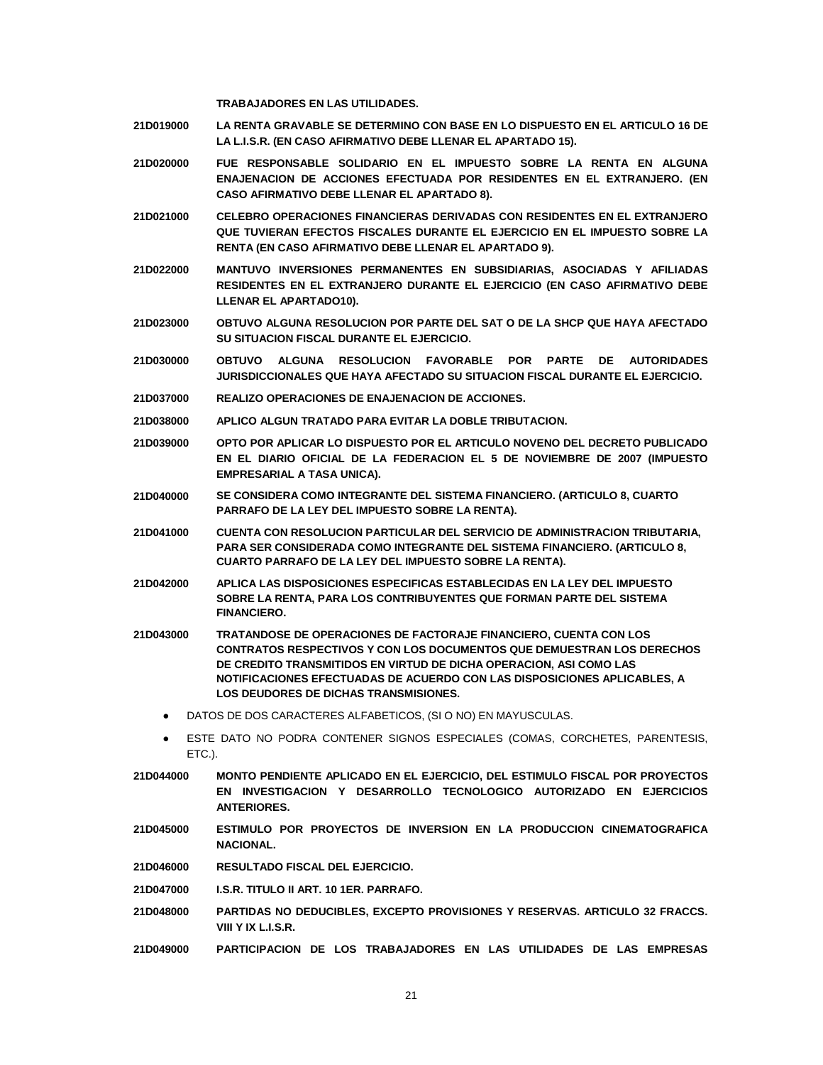**TRABAJADORES EN LAS UTILIDADES.**

- **21D019000 LA RENTA GRAVABLE SE DETERMINO CON BASE EN LO DISPUESTO EN EL ARTICULO 16 DE LA L.I.S.R. (EN CASO AFIRMATIVO DEBE LLENAR EL APARTADO 15).**
- **21D020000 FUE RESPONSABLE SOLIDARIO EN EL IMPUESTO SOBRE LA RENTA EN ALGUNA ENAJENACION DE ACCIONES EFECTUADA POR RESIDENTES EN EL EXTRANJERO. (EN CASO AFIRMATIVO DEBE LLENAR EL APARTADO 8).**
- **21D021000 CELEBRO OPERACIONES FINANCIERAS DERIVADAS CON RESIDENTES EN EL EXTRANJERO QUE TUVIERAN EFECTOS FISCALES DURANTE EL EJERCICIO EN EL IMPUESTO SOBRE LA RENTA (EN CASO AFIRMATIVO DEBE LLENAR EL APARTADO 9).**
- **21D022000 MANTUVO INVERSIONES PERMANENTES EN SUBSIDIARIAS, ASOCIADAS Y AFILIADAS RESIDENTES EN EL EXTRANJERO DURANTE EL EJERCICIO (EN CASO AFIRMATIVO DEBE LLENAR EL APARTADO10).**
- **21D023000 OBTUVO ALGUNA RESOLUCION POR PARTE DEL SAT O DE LA SHCP QUE HAYA AFECTADO SU SITUACION FISCAL DURANTE EL EJERCICIO.**
- **21D030000 OBTUVO ALGUNA RESOLUCION FAVORABLE POR PARTE DE AUTORIDADES JURISDICCIONALES QUE HAYA AFECTADO SU SITUACION FISCAL DURANTE EL EJERCICIO.**
- **21D037000 REALIZO OPERACIONES DE ENAJENACION DE ACCIONES.**
- **21D038000 APLICO ALGUN TRATADO PARA EVITAR LA DOBLE TRIBUTACION.**
- **21D039000 OPTO POR APLICAR LO DISPUESTO POR EL ARTICULO NOVENO DEL DECRETO PUBLICADO EN EL DIARIO OFICIAL DE LA FEDERACION EL 5 DE NOVIEMBRE DE 2007 (IMPUESTO EMPRESARIAL A TASA UNICA).**
- **21D040000 SE CONSIDERA COMO INTEGRANTE DEL SISTEMA FINANCIERO. (ARTICULO 8, CUARTO PARRAFO DE LA LEY DEL IMPUESTO SOBRE LA RENTA).**
- **21D041000 CUENTA CON RESOLUCION PARTICULAR DEL SERVICIO DE ADMINISTRACION TRIBUTARIA, PARA SER CONSIDERADA COMO INTEGRANTE DEL SISTEMA FINANCIERO. (ARTICULO 8, CUARTO PARRAFO DE LA LEY DEL IMPUESTO SOBRE LA RENTA).**
- **21D042000 APLICA LAS DISPOSICIONES ESPECIFICAS ESTABLECIDAS EN LA LEY DEL IMPUESTO SOBRE LA RENTA, PARA LOS CONTRIBUYENTES QUE FORMAN PARTE DEL SISTEMA FINANCIERO.**
- **21D043000 TRATANDOSE DE OPERACIONES DE FACTORAJE FINANCIERO, CUENTA CON LOS CONTRATOS RESPECTIVOS Y CON LOS DOCUMENTOS QUE DEMUESTRAN LOS DERECHOS DE CREDITO TRANSMITIDOS EN VIRTUD DE DICHA OPERACION, ASI COMO LAS NOTIFICACIONES EFECTUADAS DE ACUERDO CON LAS DISPOSICIONES APLICABLES, A LOS DEUDORES DE DICHAS TRANSMISIONES.** 
	- DATOS DE DOS CARACTERES ALFABETICOS, (SI O NO) EN MAYUSCULAS.
	- ESTE DATO NO PODRA CONTENER SIGNOS ESPECIALES (COMAS, CORCHETES, PARENTESIS, ETC.).
- **21D044000 MONTO PENDIENTE APLICADO EN EL EJERCICIO, DEL ESTIMULO FISCAL POR PROYECTOS EN INVESTIGACION Y DESARROLLO TECNOLOGICO AUTORIZADO EN EJERCICIOS ANTERIORES.**
- **21D045000 ESTIMULO POR PROYECTOS DE INVERSION EN LA PRODUCCION CINEMATOGRAFICA NACIONAL.**
- **21D046000 RESULTADO FISCAL DEL EJERCICIO.**
- **21D047000 I.S.R. TITULO II ART. 10 1ER. PARRAFO.**
- **21D048000 PARTIDAS NO DEDUCIBLES, EXCEPTO PROVISIONES Y RESERVAS. ARTICULO 32 FRACCS. VIII Y IX L.I.S.R.**
- **21D049000 PARTICIPACION DE LOS TRABAJADORES EN LAS UTILIDADES DE LAS EMPRESAS**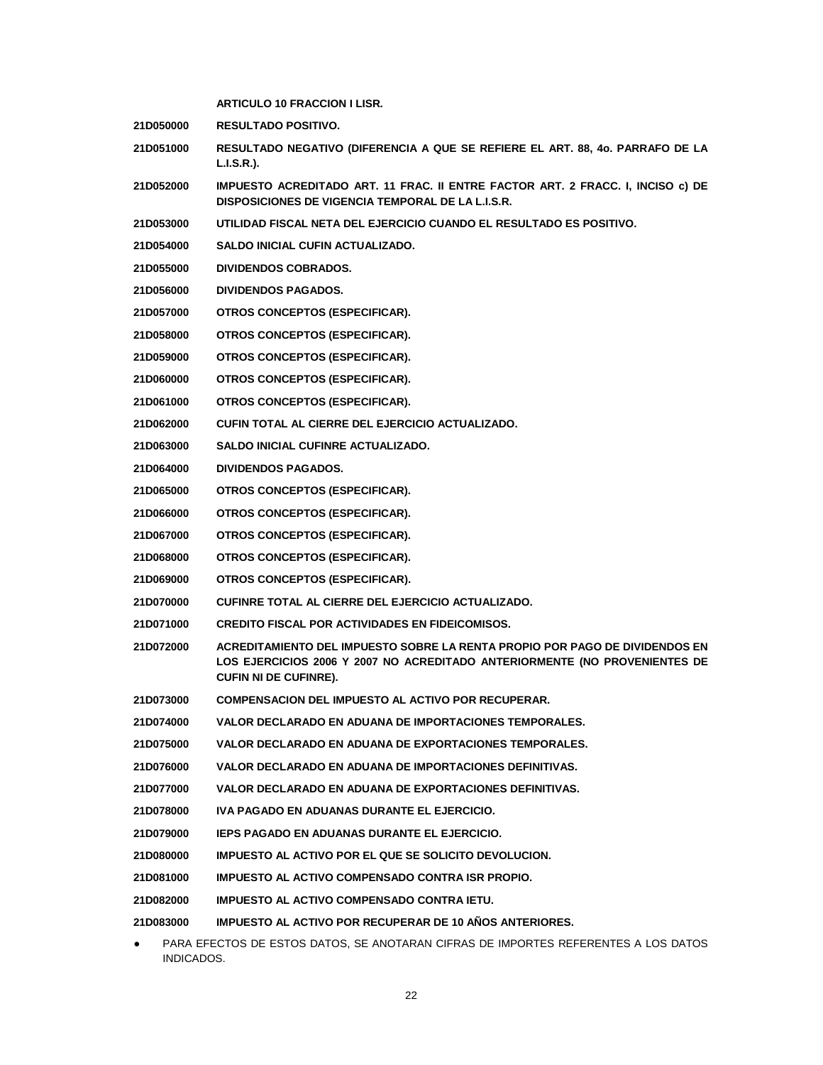| <b>ARTICULO 10 FRACCION I LISR.</b>                                                                                                                                                       |
|-------------------------------------------------------------------------------------------------------------------------------------------------------------------------------------------|
| <b>RESULTADO POSITIVO.</b>                                                                                                                                                                |
| RESULTADO NEGATIVO (DIFERENCIA A QUE SE REFIERE EL ART. 88, 40. PARRAFO DE LA<br>L.I.S.R.).                                                                                               |
| IMPUESTO ACREDITADO ART. 11 FRAC. II ENTRE FACTOR ART. 2 FRACC. I, INCISO c) DE<br>DISPOSICIONES DE VIGENCIA TEMPORAL DE LA L.I.S.R.                                                      |
| UTILIDAD FISCAL NETA DEL EJERCICIO CUANDO EL RESULTADO ES POSITIVO.                                                                                                                       |
| <b>SALDO INICIAL CUFIN ACTUALIZADO.</b>                                                                                                                                                   |
| <b>DIVIDENDOS COBRADOS.</b>                                                                                                                                                               |
| <b>DIVIDENDOS PAGADOS.</b>                                                                                                                                                                |
| OTROS CONCEPTOS (ESPECIFICAR).                                                                                                                                                            |
| OTROS CONCEPTOS (ESPECIFICAR).                                                                                                                                                            |
| OTROS CONCEPTOS (ESPECIFICAR).                                                                                                                                                            |
| OTROS CONCEPTOS (ESPECIFICAR).                                                                                                                                                            |
| OTROS CONCEPTOS (ESPECIFICAR).                                                                                                                                                            |
| CUFIN TOTAL AL CIERRE DEL EJERCICIO ACTUALIZADO.                                                                                                                                          |
| SALDO INICIAL CUFINRE ACTUALIZADO.                                                                                                                                                        |
| <b>DIVIDENDOS PAGADOS.</b>                                                                                                                                                                |
| OTROS CONCEPTOS (ESPECIFICAR).                                                                                                                                                            |
| OTROS CONCEPTOS (ESPECIFICAR).                                                                                                                                                            |
| OTROS CONCEPTOS (ESPECIFICAR).                                                                                                                                                            |
| OTROS CONCEPTOS (ESPECIFICAR).                                                                                                                                                            |
| OTROS CONCEPTOS (ESPECIFICAR).                                                                                                                                                            |
| CUFINRE TOTAL AL CIERRE DEL EJERCICIO ACTUALIZADO.                                                                                                                                        |
| <b>CREDITO FISCAL POR ACTIVIDADES EN FIDEICOMISOS.</b>                                                                                                                                    |
| ACREDITAMIENTO DEL IMPUESTO SOBRE LA RENTA PROPIO POR PAGO DE DIVIDENDOS EN<br>LOS EJERCICIOS 2006 Y 2007 NO ACREDITADO ANTERIORMENTE (NO PROVENIENTES DE<br><b>CUFIN NI DE CUFINRE).</b> |
| COMPENSACION DEL IMPUESTO AL ACTIVO POR RECUPERAR.                                                                                                                                        |
| VALOR DECLARADO EN ADUANA DE IMPORTACIONES TEMPORALES.                                                                                                                                    |
| VALOR DECLARADO EN ADUANA DE EXPORTACIONES TEMPORALES.                                                                                                                                    |
| VALOR DECLARADO EN ADUANA DE IMPORTACIONES DEFINITIVAS.                                                                                                                                   |
| VALOR DECLARADO EN ADUANA DE EXPORTACIONES DEFINITIVAS.                                                                                                                                   |
| IVA PAGADO EN ADUANAS DURANTE EL EJERCICIO.                                                                                                                                               |
| <b>IEPS PAGADO EN ADUANAS DURANTE EL EJERCICIO.</b>                                                                                                                                       |
| IMPUESTO AL ACTIVO POR EL QUE SE SOLICITO DEVOLUCION.                                                                                                                                     |
| IMPUESTO AL ACTIVO COMPENSADO CONTRA ISR PROPIO.                                                                                                                                          |
| IMPUESTO AL ACTIVO COMPENSADO CONTRA IETU.                                                                                                                                                |
| <b>IMPUESTO AL ACTIVO POR RECUPERAR DE 10 AÑOS ANTERIORES.</b>                                                                                                                            |
|                                                                                                                                                                                           |

● PARA EFECTOS DE ESTOS DATOS, SE ANOTARAN CIFRAS DE IMPORTES REFERENTES A LOS DATOS INDICADOS.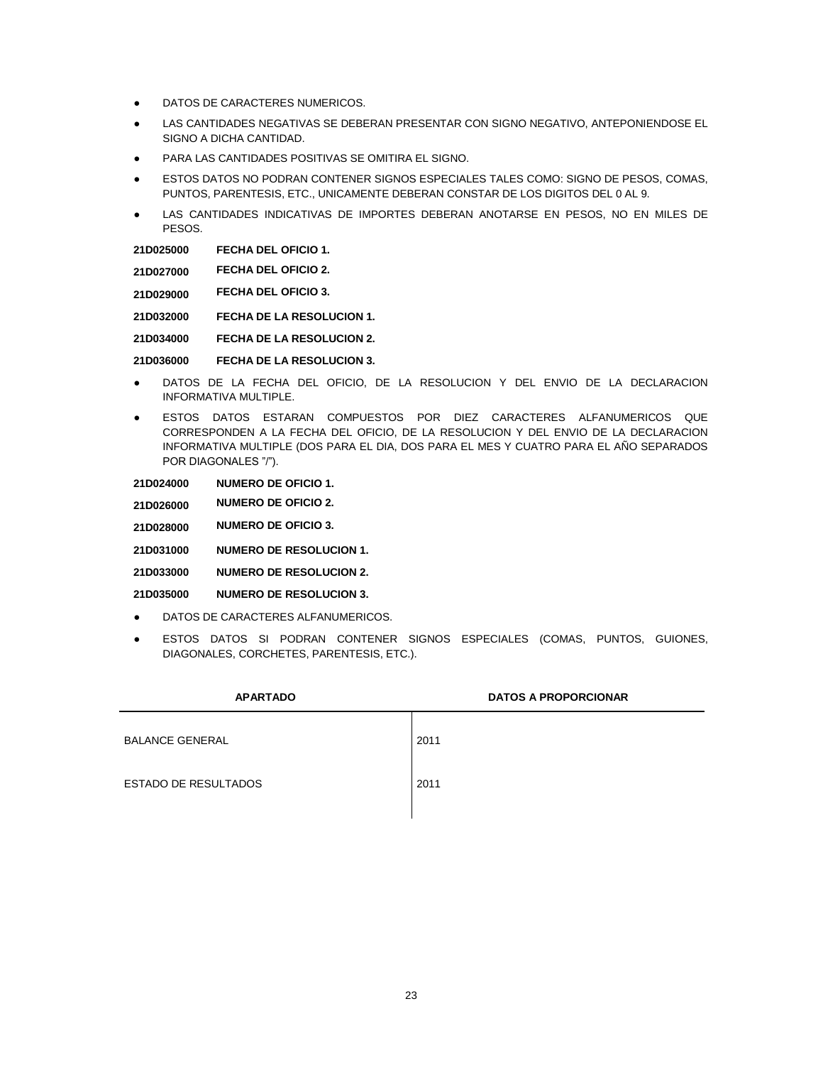- **.** DATOS DE CARACTERES NUMERICOS.
- LAS CANTIDADES NEGATIVAS SE DEBERAN PRESENTAR CON SIGNO NEGATIVO, ANTEPONIENDOSE EL SIGNO A DICHA CANTIDAD.
- PARA LAS CANTIDADES POSITIVAS SE OMITIRA EL SIGNO.
- ESTOS DATOS NO PODRAN CONTENER SIGNOS ESPECIALES TALES COMO: SIGNO DE PESOS, COMAS, PUNTOS, PARENTESIS, ETC., UNICAMENTE DEBERAN CONSTAR DE LOS DIGITOS DEL 0 AL 9.
- LAS CANTIDADES INDICATIVAS DE IMPORTES DEBERAN ANOTARSE EN PESOS, NO EN MILES DE PESOS.

| 21D025000 | <b>FECHA DEL OFICIO 1.</b> |  |
|-----------|----------------------------|--|
|           |                            |  |

**21D027000 FECHA DEL OFICIO 2.**

**21D029000 FECHA DEL OFICIO 3.**

**21D032000 FECHA DE LA RESOLUCION 1.**

**21D034000 FECHA DE LA RESOLUCION 2.**

**21D036000 FECHA DE LA RESOLUCION 3.**

- DATOS DE LA FECHA DEL OFICIO, DE LA RESOLUCION Y DEL ENVIO DE LA DECLARACION INFORMATIVA MULTIPLE.
- ESTOS DATOS ESTARAN COMPUESTOS POR DIEZ CARACTERES ALFANUMERICOS QUE CORRESPONDEN A LA FECHA DEL OFICIO, DE LA RESOLUCION Y DEL ENVIO DE LA DECLARACION INFORMATIVA MULTIPLE (DOS PARA EL DIA, DOS PARA EL MES Y CUATRO PARA EL AÑO SEPARADOS POR DIAGONALES "/").

**21D024000 NUMERO DE OFICIO 1.**

**21D026000 NUMERO DE OFICIO 2.**

**21D028000 NUMERO DE OFICIO 3.**

**21D031000 NUMERO DE RESOLUCION 1.**

**21D033000 NUMERO DE RESOLUCION 2.**

**21D035000 NUMERO DE RESOLUCION 3.**

- DATOS DE CARACTERES ALFANUMERICOS.
- ESTOS DATOS SI PODRAN CONTENER SIGNOS ESPECIALES (COMAS, PUNTOS, GUIONES, DIAGONALES, CORCHETES, PARENTESIS, ETC.).

| <b>APARTADO</b>             | <b>DATOS A PROPORCIONAR</b> |
|-----------------------------|-----------------------------|
| <b>BALANCE GENERAL</b>      | 2011                        |
| <b>ESTADO DE RESULTADOS</b> | 2011                        |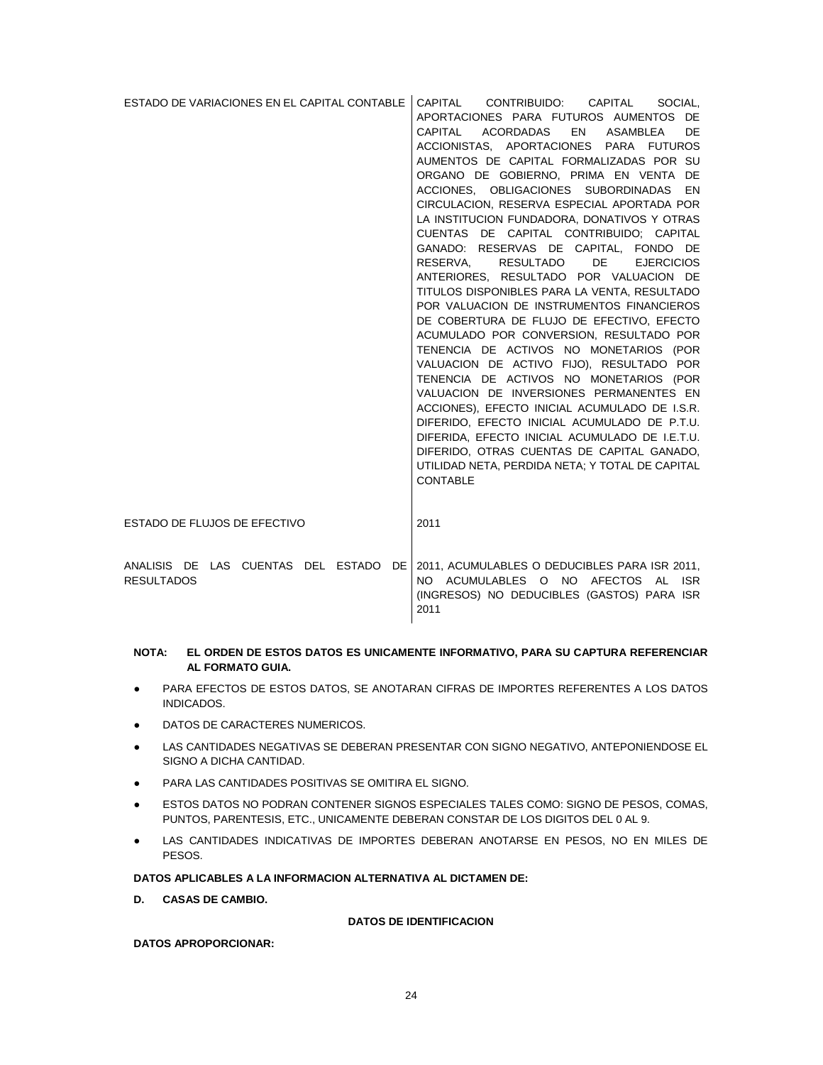| ESTADO DE VARIACIONES EN EL CAPITAL CONTABLE               | CAPITAL<br>CONTRIBUIDO: CAPITAL<br>SOCIAL.<br>APORTACIONES PARA FUTUROS AUMENTOS DE<br>EN<br>CAPITAL<br>ACORDADAS<br>ASAMBLEA<br>DE.<br>ACCIONISTAS, APORTACIONES PARA FUTUROS<br>AUMENTOS DE CAPITAL FORMALIZADAS POR SU<br>ORGANO DE GOBIERNO, PRIMA EN VENTA DE<br>ACCIONES, OBLIGACIONES SUBORDINADAS EN<br>CIRCULACION, RESERVA ESPECIAL APORTADA POR<br>LA INSTITUCION FUNDADORA, DONATIVOS Y OTRAS<br>CUENTAS DE CAPITAL CONTRIBUIDO; CAPITAL<br>GANADO: RESERVAS DE CAPITAL, FONDO DE<br>RESERVA,<br>RESULTADO<br><b>DE</b><br><b>EJERCICIOS</b><br>ANTERIORES, RESULTADO POR VALUACION DE<br>TITULOS DISPONIBLES PARA LA VENTA, RESULTADO<br>POR VALUACION DE INSTRUMENTOS FINANCIEROS<br>DE COBERTURA DE FLUJO DE EFECTIVO, EFECTO<br>ACUMULADO POR CONVERSION, RESULTADO POR<br>TENENCIA DE ACTIVOS NO MONETARIOS (POR<br>VALUACION DE ACTIVO FIJO), RESULTADO POR<br>TENENCIA DE ACTIVOS NO MONETARIOS (POR<br>VALUACION DE INVERSIONES PERMANENTES EN<br>ACCIONES), EFECTO INICIAL ACUMULADO DE I.S.R.<br>DIFERIDO, EFECTO INICIAL ACUMULADO DE P.T.U.<br>DIFERIDA, EFECTO INICIAL ACUMULADO DE I.E.T.U.<br>DIFERIDO, OTRAS CUENTAS DE CAPITAL GANADO,<br>UTILIDAD NETA, PERDIDA NETA; Y TOTAL DE CAPITAL |
|------------------------------------------------------------|------------------------------------------------------------------------------------------------------------------------------------------------------------------------------------------------------------------------------------------------------------------------------------------------------------------------------------------------------------------------------------------------------------------------------------------------------------------------------------------------------------------------------------------------------------------------------------------------------------------------------------------------------------------------------------------------------------------------------------------------------------------------------------------------------------------------------------------------------------------------------------------------------------------------------------------------------------------------------------------------------------------------------------------------------------------------------------------------------------------------------------------------------------------------------------------------------------------------|
|                                                            | <b>CONTABLE</b>                                                                                                                                                                                                                                                                                                                                                                                                                                                                                                                                                                                                                                                                                                                                                                                                                                                                                                                                                                                                                                                                                                                                                                                                        |
| ESTADO DE FLUJOS DE EFECTIVO                               | 2011                                                                                                                                                                                                                                                                                                                                                                                                                                                                                                                                                                                                                                                                                                                                                                                                                                                                                                                                                                                                                                                                                                                                                                                                                   |
| ANALISIS DE LAS CUENTAS DEL ESTADO DE<br><b>RESULTADOS</b> | 2011, ACUMULABLES O DEDUCIBLES PARA ISR 2011,<br>NO ACUMULABLES O NO AFECTOS AL ISR<br>(INGRESOS) NO DEDUCIBLES (GASTOS) PARA ISR<br>2011                                                                                                                                                                                                                                                                                                                                                                                                                                                                                                                                                                                                                                                                                                                                                                                                                                                                                                                                                                                                                                                                              |

### **NOTA: EL ORDEN DE ESTOS DATOS ES UNICAMENTE INFORMATIVO, PARA SU CAPTURA REFERENCIAR AL FORMATO GUIA.**

- PARA EFECTOS DE ESTOS DATOS, SE ANOTARAN CIFRAS DE IMPORTES REFERENTES A LOS DATOS INDICADOS.
- **DATOS DE CARACTERES NUMERICOS.**
- LAS CANTIDADES NEGATIVAS SE DEBERAN PRESENTAR CON SIGNO NEGATIVO, ANTEPONIENDOSE EL SIGNO A DICHA CANTIDAD.
- PARA LAS CANTIDADES POSITIVAS SE OMITIRA EL SIGNO.
- ESTOS DATOS NO PODRAN CONTENER SIGNOS ESPECIALES TALES COMO: SIGNO DE PESOS, COMAS, PUNTOS, PARENTESIS, ETC., UNICAMENTE DEBERAN CONSTAR DE LOS DIGITOS DEL 0 AL 9.
- LAS CANTIDADES INDICATIVAS DE IMPORTES DEBERAN ANOTARSE EN PESOS, NO EN MILES DE PESOS.

## **DATOS APLICABLES A LA INFORMACION ALTERNATIVA AL DICTAMEN DE:**

**D. CASAS DE CAMBIO.**

#### **DATOS DE IDENTIFICACION**

**DATOS APROPORCIONAR:**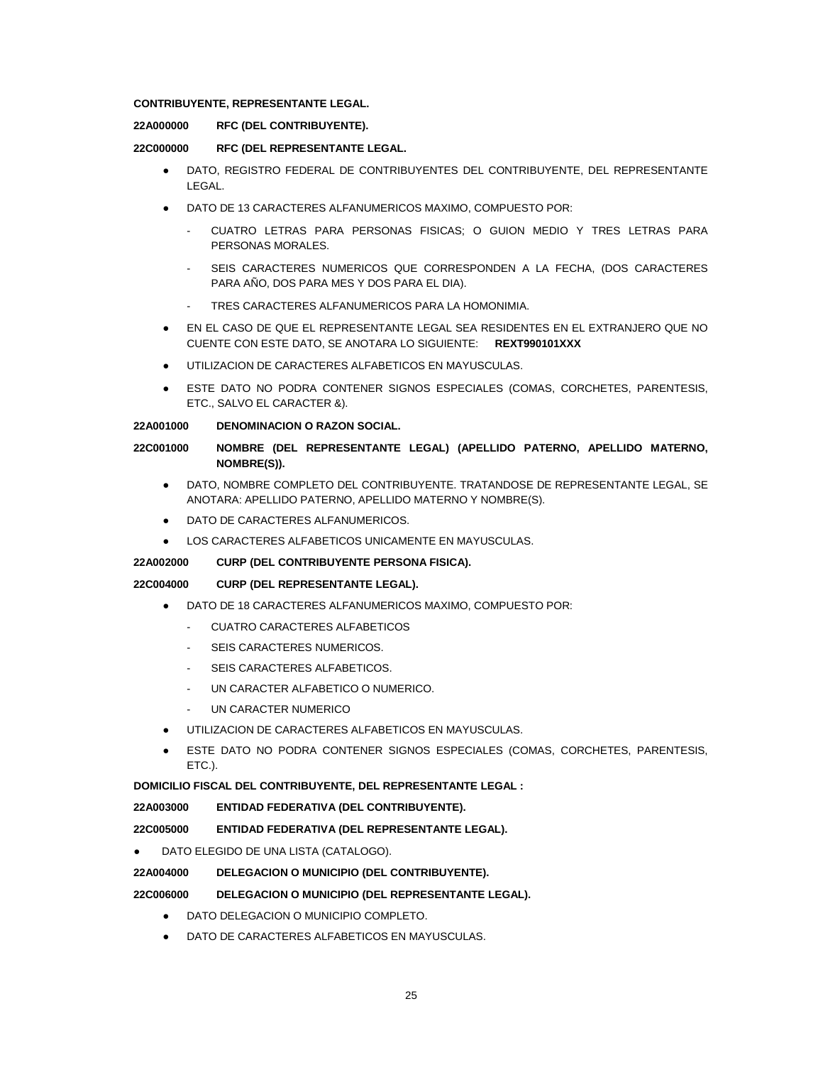# **CONTRIBUYENTE, REPRESENTANTE LEGAL.**

# **22A000000 RFC (DEL CONTRIBUYENTE).**

### **22C000000 RFC (DEL REPRESENTANTE LEGAL.**

- DATO, REGISTRO FEDERAL DE CONTRIBUYENTES DEL CONTRIBUYENTE, DEL REPRESENTANTE LEGAL.
- DATO DE 13 CARACTERES ALFANUMERICOS MAXIMO, COMPUESTO POR:
	- CUATRO LETRAS PARA PERSONAS FISICAS; O GUION MEDIO Y TRES LETRAS PARA PERSONAS MORALES.
	- SEIS CARACTERES NUMERICOS QUE CORRESPONDEN A LA FECHA, (DOS CARACTERES PARA AÑO, DOS PARA MES Y DOS PARA EL DIA).
	- TRES CARACTERES ALFANUMERICOS PARA LA HOMONIMIA.
- EN EL CASO DE QUE EL REPRESENTANTE LEGAL SEA RESIDENTES EN EL EXTRANJERO QUE NO CUENTE CON ESTE DATO, SE ANOTARA LO SIGUIENTE: **REXT990101XXX**
- UTILIZACION DE CARACTERES ALFABETICOS EN MAYUSCULAS.
- ESTE DATO NO PODRA CONTENER SIGNOS ESPECIALES (COMAS, CORCHETES, PARENTESIS, ETC., SALVO EL CARACTER &).

#### **22A001000 DENOMINACION O RAZON SOCIAL.**

## **22C001000 NOMBRE (DEL REPRESENTANTE LEGAL) (APELLIDO PATERNO, APELLIDO MATERNO, NOMBRE(S)).**

- DATO, NOMBRE COMPLETO DEL CONTRIBUYENTE. TRATANDOSE DE REPRESENTANTE LEGAL, SE ANOTARA: APELLIDO PATERNO, APELLIDO MATERNO Y NOMBRE(S).
- DATO DE CARACTERES ALFANUMERICOS.
- LOS CARACTERES ALFABETICOS UNICAMENTE EN MAYUSCULAS.

### **22A002000 CURP (DEL CONTRIBUYENTE PERSONA FISICA).**

# **22C004000 CURP (DEL REPRESENTANTE LEGAL).**

- DATO DE 18 CARACTERES ALFANUMERICOS MAXIMO, COMPUESTO POR:
	- CUATRO CARACTERES ALFABETICOS
	- SEIS CARACTERES NUMERICOS.
	- SEIS CARACTERES ALFABETICOS.
	- UN CARACTER ALFABETICO O NUMERICO.
	- UN CARACTER NUMERICO
- UTILIZACION DE CARACTERES ALFABETICOS EN MAYUSCULAS.
- ESTE DATO NO PODRA CONTENER SIGNOS ESPECIALES (COMAS, CORCHETES, PARENTESIS, ETC.).

# **DOMICILIO FISCAL DEL CONTRIBUYENTE, DEL REPRESENTANTE LEGAL :**

**22A003000 ENTIDAD FEDERATIVA (DEL CONTRIBUYENTE).**

**22C005000 ENTIDAD FEDERATIVA (DEL REPRESENTANTE LEGAL).**

DATO ELEGIDO DE UNA LISTA (CATALOGO).

# **22A004000 DELEGACION O MUNICIPIO (DEL CONTRIBUYENTE).**

# **22C006000 DELEGACION O MUNICIPIO (DEL REPRESENTANTE LEGAL).**

- DATO DELEGACION O MUNICIPIO COMPLETO.
- DATO DE CARACTERES ALFABETICOS EN MAYUSCULAS.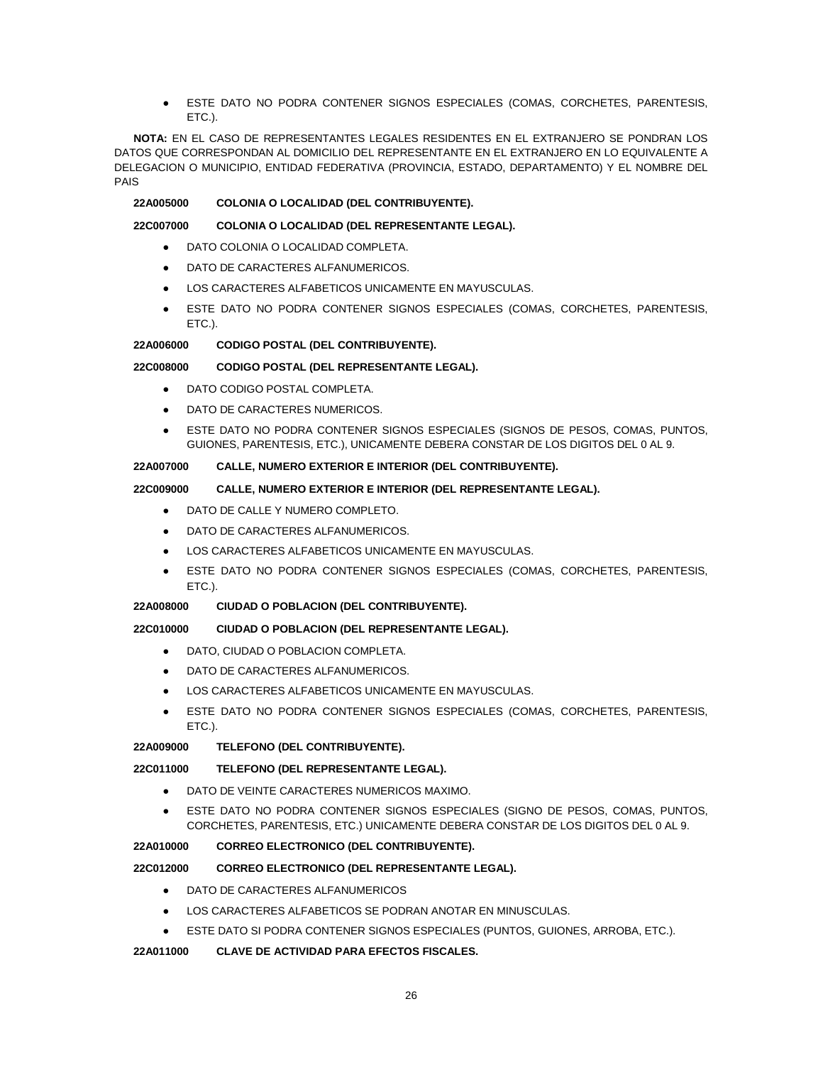ESTE DATO NO PODRA CONTENER SIGNOS ESPECIALES (COMAS, CORCHETES, PARENTESIS, ETC.).

**NOTA:** EN EL CASO DE REPRESENTANTES LEGALES RESIDENTES EN EL EXTRANJERO SE PONDRAN LOS DATOS QUE CORRESPONDAN AL DOMICILIO DEL REPRESENTANTE EN EL EXTRANJERO EN LO EQUIVALENTE A DELEGACION O MUNICIPIO, ENTIDAD FEDERATIVA (PROVINCIA, ESTADO, DEPARTAMENTO) Y EL NOMBRE DEL PAIS

### **22A005000 COLONIA O LOCALIDAD (DEL CONTRIBUYENTE).**

### **22C007000 COLONIA O LOCALIDAD (DEL REPRESENTANTE LEGAL).**

- DATO COLONIA O LOCALIDAD COMPLETA.
- DATO DE CARACTERES ALFANUMERICOS.
- LOS CARACTERES ALFABETICOS UNICAMENTE EN MAYUSCULAS.
- ESTE DATO NO PODRA CONTENER SIGNOS ESPECIALES (COMAS, CORCHETES, PARENTESIS, ETC.).

### **22A006000 CODIGO POSTAL (DEL CONTRIBUYENTE).**

# **22C008000 CODIGO POSTAL (DEL REPRESENTANTE LEGAL).**

- DATO CODIGO POSTAL COMPLETA
- DATO DE CARACTERES NUMERICOS.
- ESTE DATO NO PODRA CONTENER SIGNOS ESPECIALES (SIGNOS DE PESOS, COMAS, PUNTOS, GUIONES, PARENTESIS, ETC.), UNICAMENTE DEBERA CONSTAR DE LOS DIGITOS DEL 0 AL 9.

## **22A007000 CALLE, NUMERO EXTERIOR E INTERIOR (DEL CONTRIBUYENTE).**

# **22C009000 CALLE, NUMERO EXTERIOR E INTERIOR (DEL REPRESENTANTE LEGAL).**

- DATO DE CALLE Y NUMERO COMPLETO.
- DATO DE CARACTERES ALFANUMERICOS.
- LOS CARACTERES ALFABETICOS UNICAMENTE EN MAYUSCULAS.
- ESTE DATO NO PODRA CONTENER SIGNOS ESPECIALES (COMAS, CORCHETES, PARENTESIS, ETC.).

# **22A008000 CIUDAD O POBLACION (DEL CONTRIBUYENTE).**

# **22C010000 CIUDAD O POBLACION (DEL REPRESENTANTE LEGAL).**

- DATO, CIUDAD O POBLACION COMPLETA.
- DATO DE CARACTERES ALFANUMERICOS.
- LOS CARACTERES ALFABETICOS UNICAMENTE EN MAYUSCULAS.
- ESTE DATO NO PODRA CONTENER SIGNOS ESPECIALES (COMAS, CORCHETES, PARENTESIS, ETC.).

# **22A009000 TELEFONO (DEL CONTRIBUYENTE).**

# **22C011000 TELEFONO (DEL REPRESENTANTE LEGAL).**

- DATO DE VEINTE CARACTERES NUMERICOS MAXIMO.
- ESTE DATO NO PODRA CONTENER SIGNOS ESPECIALES (SIGNO DE PESOS, COMAS, PUNTOS, CORCHETES, PARENTESIS, ETC.) UNICAMENTE DEBERA CONSTAR DE LOS DIGITOS DEL 0 AL 9.

# **22A010000 CORREO ELECTRONICO (DEL CONTRIBUYENTE).**

# **22C012000 CORREO ELECTRONICO (DEL REPRESENTANTE LEGAL).**

- DATO DE CARACTERES ALFANUMERICOS
- LOS CARACTERES ALFABETICOS SE PODRAN ANOTAR EN MINUSCULAS.
- ESTE DATO SI PODRA CONTENER SIGNOS ESPECIALES (PUNTOS, GUIONES, ARROBA, ETC.).

# **22A011000 CLAVE DE ACTIVIDAD PARA EFECTOS FISCALES.**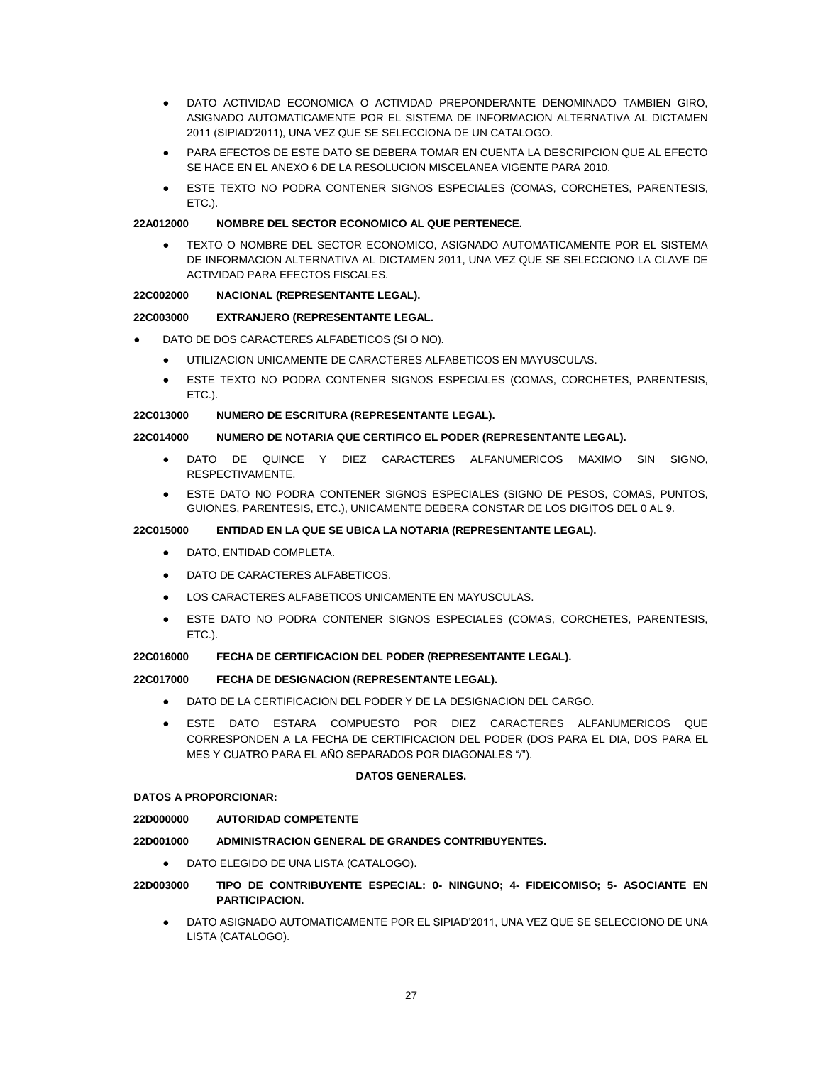- DATO ACTIVIDAD ECONOMICA O ACTIVIDAD PREPONDERANTE DENOMINADO TAMBIEN GIRO, ASIGNADO AUTOMATICAMENTE POR EL SISTEMA DE INFORMACION ALTERNATIVA AL DICTAMEN 2011 (SIPIAD'2011), UNA VEZ QUE SE SELECCIONA DE UN CATALOGO.
- PARA EFECTOS DE ESTE DATO SE DEBERA TOMAR EN CUENTA LA DESCRIPCION QUE AL EFECTO SE HACE EN EL ANEXO 6 DE LA RESOLUCION MISCELANEA VIGENTE PARA 2010.
- ESTE TEXTO NO PODRA CONTENER SIGNOS ESPECIALES (COMAS, CORCHETES, PARENTESIS, ETC.).

### **22A012000 NOMBRE DEL SECTOR ECONOMICO AL QUE PERTENECE.**

TEXTO O NOMBRE DEL SECTOR ECONOMICO, ASIGNADO AUTOMATICAMENTE POR EL SISTEMA DE INFORMACION ALTERNATIVA AL DICTAMEN 2011, UNA VEZ QUE SE SELECCIONO LA CLAVE DE ACTIVIDAD PARA EFECTOS FISCALES.

### **22C002000 NACIONAL (REPRESENTANTE LEGAL).**

### **22C003000 EXTRANJERO (REPRESENTANTE LEGAL.**

- DATO DE DOS CARACTERES ALFABETICOS (SI O NO).
	- UTILIZACION UNICAMENTE DE CARACTERES ALFABETICOS EN MAYUSCULAS.
	- ESTE TEXTO NO PODRA CONTENER SIGNOS ESPECIALES (COMAS, CORCHETES, PARENTESIS, ETC.).

#### **22C013000 NUMERO DE ESCRITURA (REPRESENTANTE LEGAL).**

## **22C014000 NUMERO DE NOTARIA QUE CERTIFICO EL PODER (REPRESENTANTE LEGAL).**

- DATO DE QUINCE Y DIEZ CARACTERES ALFANUMERICOS MAXIMO SIN SIGNO. RESPECTIVAMENTE.
- ESTE DATO NO PODRA CONTENER SIGNOS ESPECIALES (SIGNO DE PESOS, COMAS, PUNTOS, GUIONES, PARENTESIS, ETC.), UNICAMENTE DEBERA CONSTAR DE LOS DIGITOS DEL 0 AL 9.

## **22C015000 ENTIDAD EN LA QUE SE UBICA LA NOTARIA (REPRESENTANTE LEGAL).**

- DATO, ENTIDAD COMPLETA.
- DATO DE CARACTERES ALFABETICOS.
- LOS CARACTERES ALFABETICOS UNICAMENTE EN MAYUSCULAS.
- ESTE DATO NO PODRA CONTENER SIGNOS ESPECIALES (COMAS, CORCHETES, PARENTESIS, ETC.).

#### **22C016000 FECHA DE CERTIFICACION DEL PODER (REPRESENTANTE LEGAL).**

#### **22C017000 FECHA DE DESIGNACION (REPRESENTANTE LEGAL).**

- DATO DE LA CERTIFICACION DEL PODER Y DE LA DESIGNACION DEL CARGO.
- ESTE DATO ESTARA COMPUESTO POR DIEZ CARACTERES ALFANUMERICOS QUE CORRESPONDEN A LA FECHA DE CERTIFICACION DEL PODER (DOS PARA EL DIA, DOS PARA EL MES Y CUATRO PARA EL AÑO SEPARADOS POR DIAGONALES "/").

### **DATOS GENERALES.**

#### **DATOS A PROPORCIONAR:**

#### **22D000000 AUTORIDAD COMPETENTE**

#### **22D001000 ADMINISTRACION GENERAL DE GRANDES CONTRIBUYENTES.**

● DATO ELEGIDO DE UNA LISTA (CATALOGO).

# **22D003000 TIPO DE CONTRIBUYENTE ESPECIAL: 0- NINGUNO; 4- FIDEICOMISO; 5- ASOCIANTE EN PARTICIPACION.**

DATO ASIGNADO AUTOMATICAMENTE POR EL SIPIAD'2011, UNA VEZ QUE SE SELECCIONO DE UNA LISTA (CATALOGO).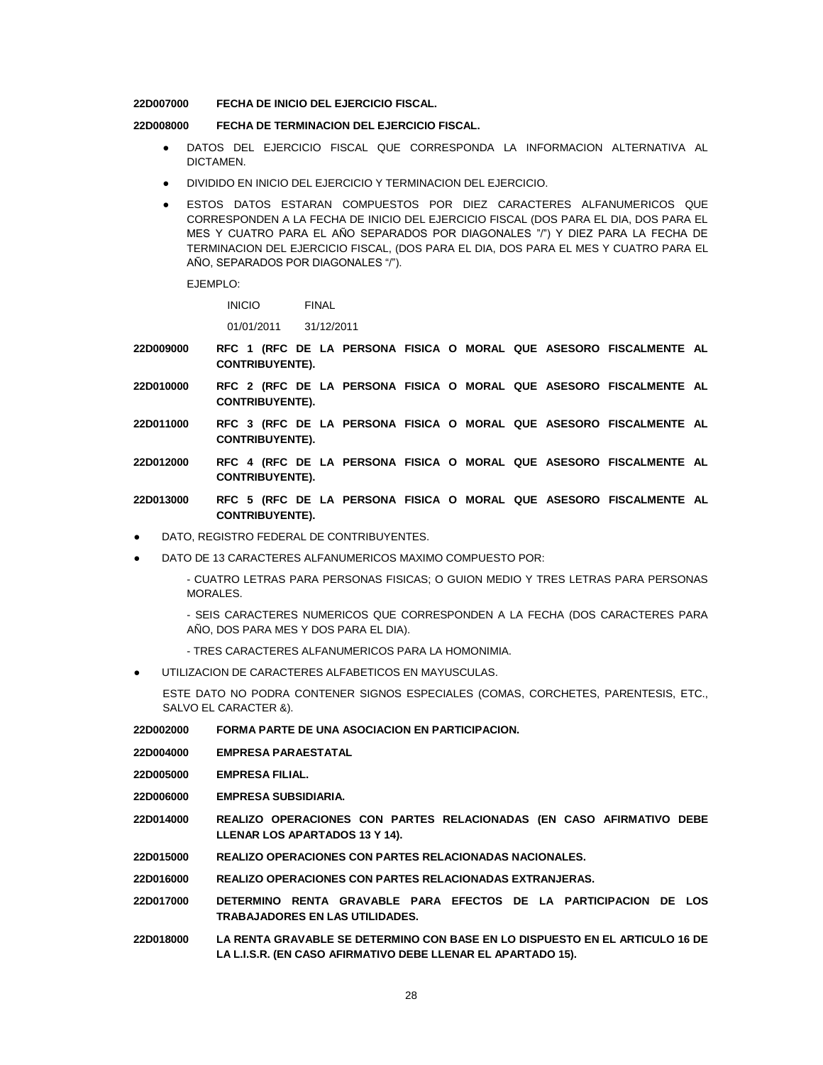#### **22D007000 FECHA DE INICIO DEL EJERCICIO FISCAL.**

### **22D008000 FECHA DE TERMINACION DEL EJERCICIO FISCAL.**

- DATOS DEL EJERCICIO FISCAL QUE CORRESPONDA LA INFORMACION ALTERNATIVA AL DICTAMEN.
- DIVIDIDO EN INICIO DEL EJERCICIO Y TERMINACION DEL EJERCICIO.
- ESTOS DATOS ESTARAN COMPUESTOS POR DIEZ CARACTERES ALFANUMERICOS QUE CORRESPONDEN A LA FECHA DE INICIO DEL EJERCICIO FISCAL (DOS PARA EL DIA, DOS PARA EL MES Y CUATRO PARA EL AÑO SEPARADOS POR DIAGONALES "/") Y DIEZ PARA LA FECHA DE TERMINACION DEL EJERCICIO FISCAL, (DOS PARA EL DIA, DOS PARA EL MES Y CUATRO PARA EL AÑO, SEPARADOS POR DIAGONALES "/").

EJEMPLO:

INICIO FINAL

01/01/2011 31/12/2011

- **22D009000 RFC 1 (RFC DE LA PERSONA FISICA O MORAL QUE ASESORO FISCALMENTE AL CONTRIBUYENTE).**
- **22D010000 RFC 2 (RFC DE LA PERSONA FISICA O MORAL QUE ASESORO FISCALMENTE AL CONTRIBUYENTE).**
- **22D011000 RFC 3 (RFC DE LA PERSONA FISICA O MORAL QUE ASESORO FISCALMENTE AL CONTRIBUYENTE).**
- **22D012000 RFC 4 (RFC DE LA PERSONA FISICA O MORAL QUE ASESORO FISCALMENTE AL CONTRIBUYENTE).**
- **22D013000 RFC 5 (RFC DE LA PERSONA FISICA O MORAL QUE ASESORO FISCALMENTE AL CONTRIBUYENTE).**
- DATO, REGISTRO FEDERAL DE CONTRIBUYENTES.
- DATO DE 13 CARACTERES ALFANUMERICOS MAXIMO COMPUESTO POR:

- CUATRO LETRAS PARA PERSONAS FISICAS; O GUION MEDIO Y TRES LETRAS PARA PERSONAS MORALES.

- SEIS CARACTERES NUMERICOS QUE CORRESPONDEN A LA FECHA (DOS CARACTERES PARA AÑO, DOS PARA MES Y DOS PARA EL DIA).

- TRES CARACTERES ALFANUMERICOS PARA LA HOMONIMIA.
- UTILIZACION DE CARACTERES ALFABETICOS EN MAYUSCULAS.

ESTE DATO NO PODRA CONTENER SIGNOS ESPECIALES (COMAS, CORCHETES, PARENTESIS, ETC., SALVO EL CARACTER &).

- **22D002000 FORMA PARTE DE UNA ASOCIACION EN PARTICIPACION.**
- **22D004000 EMPRESA PARAESTATAL**
- **22D005000 EMPRESA FILIAL.**
- **22D006000 EMPRESA SUBSIDIARIA.**
- **22D014000 REALIZO OPERACIONES CON PARTES RELACIONADAS (EN CASO AFIRMATIVO DEBE LLENAR LOS APARTADOS 13 Y 14).**
- **22D015000 REALIZO OPERACIONES CON PARTES RELACIONADAS NACIONALES.**

**22D016000 REALIZO OPERACIONES CON PARTES RELACIONADAS EXTRANJERAS.**

- **22D017000 DETERMINO RENTA GRAVABLE PARA EFECTOS DE LA PARTICIPACION DE LOS TRABAJADORES EN LAS UTILIDADES.**
- **22D018000 LA RENTA GRAVABLE SE DETERMINO CON BASE EN LO DISPUESTO EN EL ARTICULO 16 DE LA L.I.S.R. (EN CASO AFIRMATIVO DEBE LLENAR EL APARTADO 15).**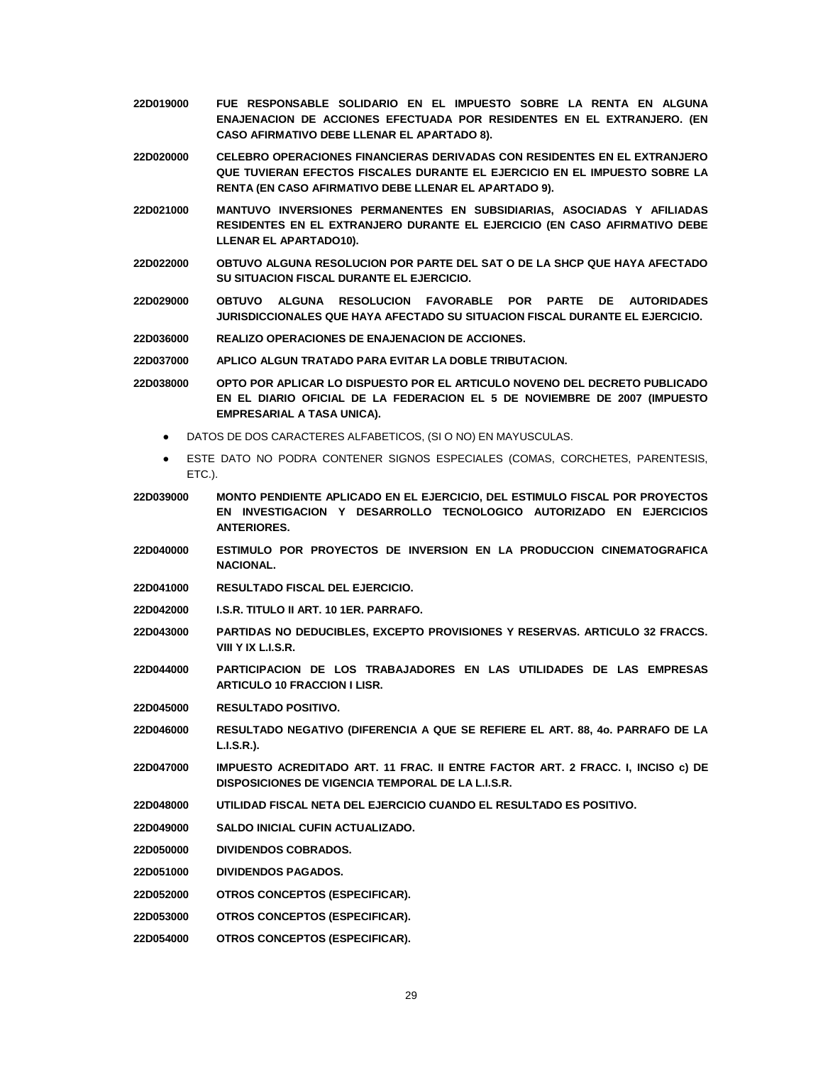- **22D019000 FUE RESPONSABLE SOLIDARIO EN EL IMPUESTO SOBRE LA RENTA EN ALGUNA ENAJENACION DE ACCIONES EFECTUADA POR RESIDENTES EN EL EXTRANJERO. (EN CASO AFIRMATIVO DEBE LLENAR EL APARTADO 8).**
- **22D020000 CELEBRO OPERACIONES FINANCIERAS DERIVADAS CON RESIDENTES EN EL EXTRANJERO QUE TUVIERAN EFECTOS FISCALES DURANTE EL EJERCICIO EN EL IMPUESTO SOBRE LA RENTA (EN CASO AFIRMATIVO DEBE LLENAR EL APARTADO 9).**
- **22D021000 MANTUVO INVERSIONES PERMANENTES EN SUBSIDIARIAS, ASOCIADAS Y AFILIADAS RESIDENTES EN EL EXTRANJERO DURANTE EL EJERCICIO (EN CASO AFIRMATIVO DEBE LLENAR EL APARTADO10).**
- **22D022000 OBTUVO ALGUNA RESOLUCION POR PARTE DEL SAT O DE LA SHCP QUE HAYA AFECTADO SU SITUACION FISCAL DURANTE EL EJERCICIO.**
- **22D029000 OBTUVO ALGUNA RESOLUCION FAVORABLE POR PARTE DE AUTORIDADES JURISDICCIONALES QUE HAYA AFECTADO SU SITUACION FISCAL DURANTE EL EJERCICIO.**
- **22D036000 REALIZO OPERACIONES DE ENAJENACION DE ACCIONES.**
- **22D037000 APLICO ALGUN TRATADO PARA EVITAR LA DOBLE TRIBUTACION.**
- **22D038000 OPTO POR APLICAR LO DISPUESTO POR EL ARTICULO NOVENO DEL DECRETO PUBLICADO EN EL DIARIO OFICIAL DE LA FEDERACION EL 5 DE NOVIEMBRE DE 2007 (IMPUESTO EMPRESARIAL A TASA UNICA).**
	- DATOS DE DOS CARACTERES ALFABETICOS, (SI O NO) EN MAYUSCULAS.
	- ESTE DATO NO PODRA CONTENER SIGNOS ESPECIALES (COMAS, CORCHETES, PARENTESIS, ETC.).
- **22D039000 MONTO PENDIENTE APLICADO EN EL EJERCICIO, DEL ESTIMULO FISCAL POR PROYECTOS EN INVESTIGACION Y DESARROLLO TECNOLOGICO AUTORIZADO EN EJERCICIOS ANTERIORES.**
- **22D040000 ESTIMULO POR PROYECTOS DE INVERSION EN LA PRODUCCION CINEMATOGRAFICA NACIONAL.**
- **22D041000 RESULTADO FISCAL DEL EJERCICIO.**
- **22D042000 I.S.R. TITULO II ART. 10 1ER. PARRAFO.**
- **22D043000 PARTIDAS NO DEDUCIBLES, EXCEPTO PROVISIONES Y RESERVAS. ARTICULO 32 FRACCS. VIII Y IX L.I.S.R.**
- **22D044000 PARTICIPACION DE LOS TRABAJADORES EN LAS UTILIDADES DE LAS EMPRESAS ARTICULO 10 FRACCION I LISR.**
- **22D045000 RESULTADO POSITIVO.**
- **22D046000 RESULTADO NEGATIVO (DIFERENCIA A QUE SE REFIERE EL ART. 88, 4o. PARRAFO DE LA L.I.S.R.).**
- **22D047000 IMPUESTO ACREDITADO ART. 11 FRAC. II ENTRE FACTOR ART. 2 FRACC. I, INCISO c) DE DISPOSICIONES DE VIGENCIA TEMPORAL DE LA L.I.S.R.**
- **22D048000 UTILIDAD FISCAL NETA DEL EJERCICIO CUANDO EL RESULTADO ES POSITIVO.**
- **22D049000 SALDO INICIAL CUFIN ACTUALIZADO.**
- **22D050000 DIVIDENDOS COBRADOS.**
- **22D051000 DIVIDENDOS PAGADOS.**
- **22D052000 OTROS CONCEPTOS (ESPECIFICAR).**
- **22D053000 OTROS CONCEPTOS (ESPECIFICAR).**
- **22D054000 OTROS CONCEPTOS (ESPECIFICAR).**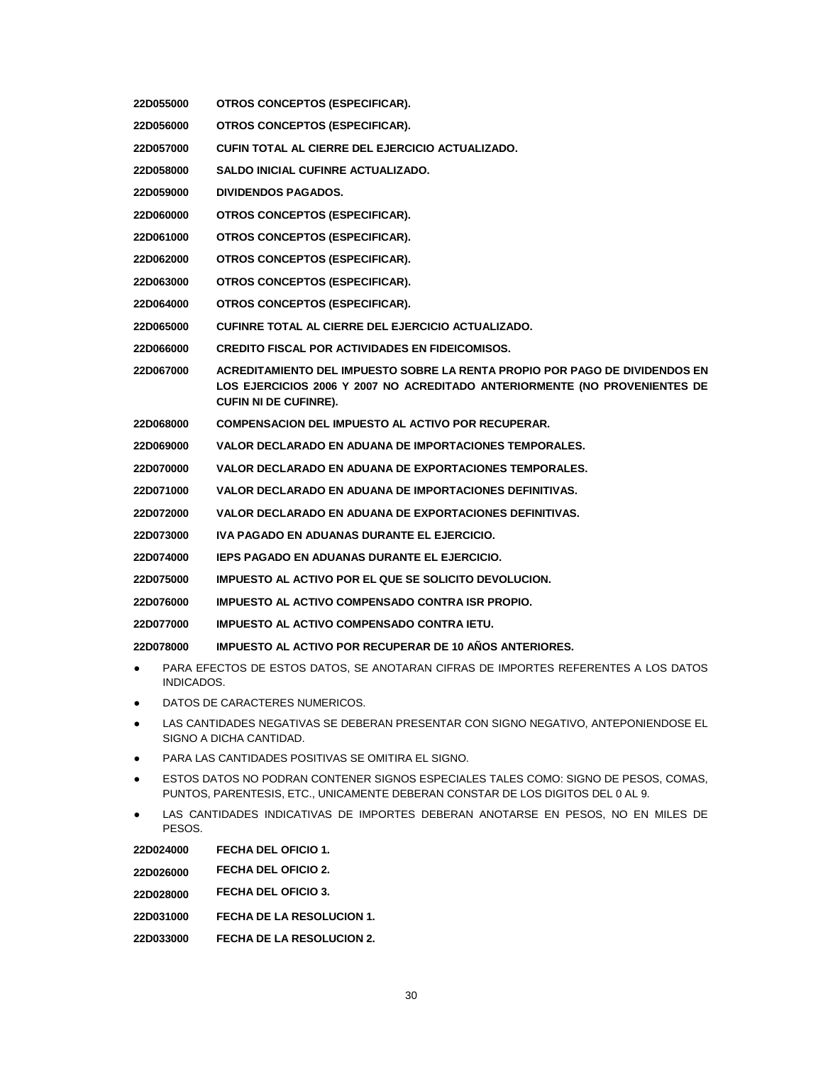|                                                                                                  | 22D055000                                                                                                      | OTROS CONCEPTOS (ESPECIFICAR).                                                                                                                            |  |  |
|--------------------------------------------------------------------------------------------------|----------------------------------------------------------------------------------------------------------------|-----------------------------------------------------------------------------------------------------------------------------------------------------------|--|--|
|                                                                                                  | 22D056000                                                                                                      | OTROS CONCEPTOS (ESPECIFICAR).                                                                                                                            |  |  |
| 22D057000                                                                                        |                                                                                                                | CUFIN TOTAL AL CIERRE DEL EJERCICIO ACTUALIZADO.                                                                                                          |  |  |
| 22D058000                                                                                        |                                                                                                                | <b>SALDO INICIAL CUFINRE ACTUALIZADO.</b>                                                                                                                 |  |  |
| <b>DIVIDENDOS PAGADOS.</b><br>22D059000                                                          |                                                                                                                |                                                                                                                                                           |  |  |
|                                                                                                  | 22D060000                                                                                                      | OTROS CONCEPTOS (ESPECIFICAR).                                                                                                                            |  |  |
|                                                                                                  | 22D061000                                                                                                      | OTROS CONCEPTOS (ESPECIFICAR).                                                                                                                            |  |  |
|                                                                                                  | 22D062000                                                                                                      | OTROS CONCEPTOS (ESPECIFICAR).                                                                                                                            |  |  |
|                                                                                                  | 22D063000                                                                                                      | OTROS CONCEPTOS (ESPECIFICAR).                                                                                                                            |  |  |
|                                                                                                  | 22D064000                                                                                                      | OTROS CONCEPTOS (ESPECIFICAR).                                                                                                                            |  |  |
|                                                                                                  | 22D065000                                                                                                      | CUFINRE TOTAL AL CIERRE DEL EJERCICIO ACTUALIZADO.                                                                                                        |  |  |
|                                                                                                  | 22D066000                                                                                                      | <b>CREDITO FISCAL POR ACTIVIDADES EN FIDEICOMISOS.</b>                                                                                                    |  |  |
| 22D067000<br><b>CUFIN NI DE CUFINRE).</b>                                                        |                                                                                                                | ACREDITAMIENTO DEL IMPUESTO SOBRE LA RENTA PROPIO POR PAGO DE DIVIDENDOS EN<br>LOS EJERCICIOS 2006 Y 2007 NO ACREDITADO ANTERIORMENTE (NO PROVENIENTES DE |  |  |
| 22D068000                                                                                        |                                                                                                                | <b>COMPENSACION DEL IMPUESTO AL ACTIVO POR RECUPERAR.</b>                                                                                                 |  |  |
| 22D069000                                                                                        |                                                                                                                | VALOR DECLARADO EN ADUANA DE IMPORTACIONES TEMPORALES.                                                                                                    |  |  |
| VALOR DECLARADO EN ADUANA DE EXPORTACIONES TEMPORALES.<br>22D070000                              |                                                                                                                |                                                                                                                                                           |  |  |
| VALOR DECLARADO EN ADUANA DE IMPORTACIONES DEFINITIVAS.<br>22D071000                             |                                                                                                                |                                                                                                                                                           |  |  |
| VALOR DECLARADO EN ADUANA DE EXPORTACIONES DEFINITIVAS.<br>22D072000                             |                                                                                                                |                                                                                                                                                           |  |  |
| IVA PAGADO EN ADUANAS DURANTE EL EJERCICIO.<br>22D073000                                         |                                                                                                                |                                                                                                                                                           |  |  |
|                                                                                                  | 22D074000                                                                                                      | IEPS PAGADO EN ADUANAS DURANTE EL EJERCICIO.                                                                                                              |  |  |
| 22D075000                                                                                        |                                                                                                                | <b>IMPUESTO AL ACTIVO POR EL QUE SE SOLICITO DEVOLUCION.</b>                                                                                              |  |  |
| 22D076000                                                                                        |                                                                                                                | IMPUESTO AL ACTIVO COMPENSADO CONTRA ISR PROPIO.                                                                                                          |  |  |
| IMPUESTO AL ACTIVO COMPENSADO CONTRA IETU.<br>22D077000                                          |                                                                                                                |                                                                                                                                                           |  |  |
| <b>IMPUESTO AL ACTIVO POR RECUPERAR DE 10 ANOS ANTERIORES.</b><br>22D078000                      |                                                                                                                |                                                                                                                                                           |  |  |
| PARA EFECTOS DE ESTOS DATOS, SE ANOTARAN CIFRAS DE IMPORTES REFERENTES A LOS DATOS<br>INDICADOS. |                                                                                                                |                                                                                                                                                           |  |  |
|                                                                                                  |                                                                                                                | DATOS DE CARACTERES NUMERICOS.                                                                                                                            |  |  |
|                                                                                                  | LAS CANTIDADES NEGATIVAS SE DEBERAN PRESENTAR CON SIGNO NEGATIVO, ANTEPONIENDOSE EL<br>SIGNO A DICHA CANTIDAD. |                                                                                                                                                           |  |  |
|                                                                                                  | PARA LAS CANTIDADES POSITIVAS SE OMITIRA EL SIGNO.                                                             |                                                                                                                                                           |  |  |
|                                                                                                  | ESTOS DATOS NO PODRAN CONTENER SIGNOS ESPECIALES TALES COMO: SIGNO DE PESOS, COMAS,                            |                                                                                                                                                           |  |  |

- PUNTOS, PARENTESIS, ETC., UNICAMENTE DEBERAN CONSTAR DE LOS DIGITOS DEL 0 AL 9.
- LAS CANTIDADES INDICATIVAS DE IMPORTES DEBERAN ANOTARSE EN PESOS, NO EN MILES DE PESOS.

**22D024000 FECHA DEL OFICIO 1. 22D026000 FECHA DEL OFICIO 2. 22D028000 FECHA DEL OFICIO 3. 22D031000 FECHA DE LA RESOLUCION 1. 22D033000 FECHA DE LA RESOLUCION 2.**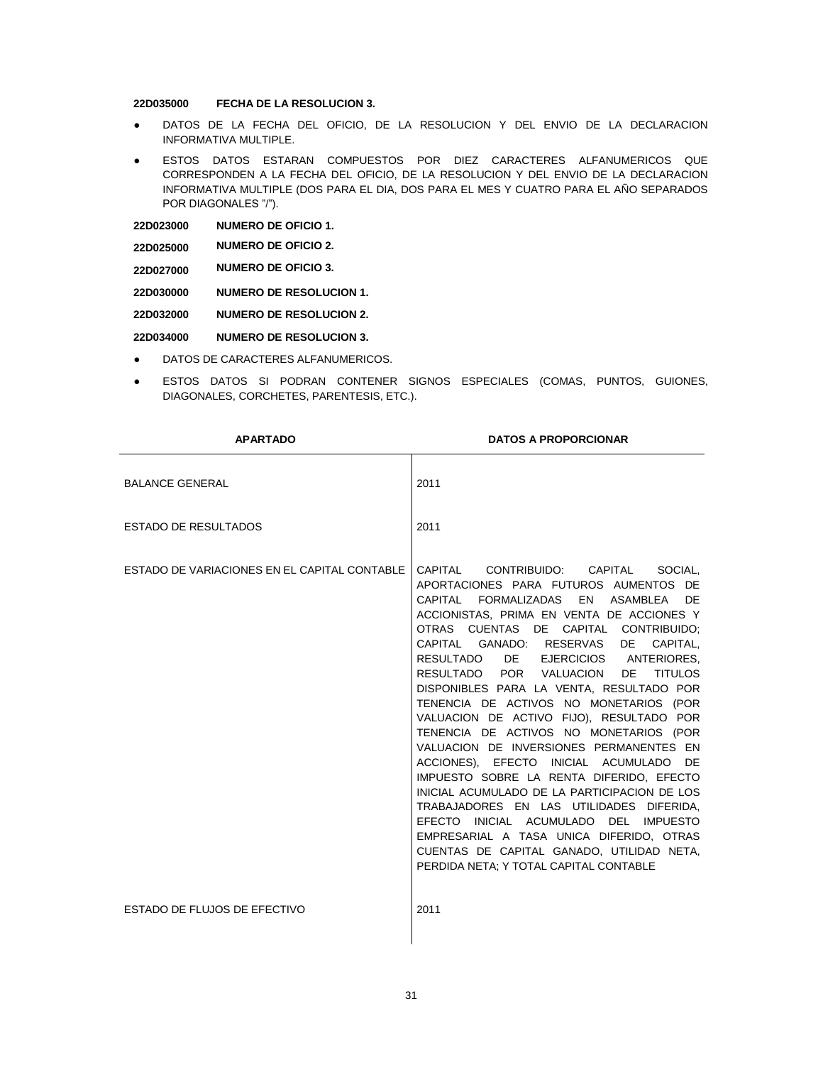## **22D035000 FECHA DE LA RESOLUCION 3.**

- DATOS DE LA FECHA DEL OFICIO, DE LA RESOLUCION Y DEL ENVIO DE LA DECLARACION INFORMATIVA MULTIPLE.
- ESTOS DATOS ESTARAN COMPUESTOS POR DIEZ CARACTERES ALFANUMERICOS QUE CORRESPONDEN A LA FECHA DEL OFICIO, DE LA RESOLUCION Y DEL ENVIO DE LA DECLARACION INFORMATIVA MULTIPLE (DOS PARA EL DIA, DOS PARA EL MES Y CUATRO PARA EL AÑO SEPARADOS POR DIAGONALES "/").

| <b>NUMERO DE OFICIO 1.</b><br>22D023000 |  |
|-----------------------------------------|--|
|-----------------------------------------|--|

- **22D025000 NUMERO DE OFICIO 2.**
- **22D027000 NUMERO DE OFICIO 3.**

**22D030000 NUMERO DE RESOLUCION 1.**

**22D032000 NUMERO DE RESOLUCION 2.**

**22D034000 NUMERO DE RESOLUCION 3.**

- DATOS DE CARACTERES ALFANUMERICOS.
- ESTOS DATOS SI PODRAN CONTENER SIGNOS ESPECIALES (COMAS, PUNTOS, GUIONES, DIAGONALES, CORCHETES, PARENTESIS, ETC.).

| <b>APARTADO</b>                              | <b>DATOS A PROPORCIONAR</b>                                                                                                                                                                                                                                                                                                                                                                                                                                                                                                                                                                                                                                                                                                                                                                                                                                                                                                                             |
|----------------------------------------------|---------------------------------------------------------------------------------------------------------------------------------------------------------------------------------------------------------------------------------------------------------------------------------------------------------------------------------------------------------------------------------------------------------------------------------------------------------------------------------------------------------------------------------------------------------------------------------------------------------------------------------------------------------------------------------------------------------------------------------------------------------------------------------------------------------------------------------------------------------------------------------------------------------------------------------------------------------|
| <b>BALANCE GENERAL</b>                       | 2011                                                                                                                                                                                                                                                                                                                                                                                                                                                                                                                                                                                                                                                                                                                                                                                                                                                                                                                                                    |
| <b>ESTADO DE RESULTADOS</b>                  | 2011                                                                                                                                                                                                                                                                                                                                                                                                                                                                                                                                                                                                                                                                                                                                                                                                                                                                                                                                                    |
| ESTADO DE VARIACIONES EN EL CAPITAL CONTABLE | CAPITAL CONTRIBUIDO: CAPITAL<br>SOCIAL.<br>APORTACIONES PARA FUTUROS AUMENTOS DE<br>CAPITAL FORMALIZADAS EN ASAMBLEA<br>DF<br>ACCIONISTAS, PRIMA EN VENTA DE ACCIONES Y<br>OTRAS CUENTAS DE CAPITAL CONTRIBUIDO:<br>CAPITAL GANADO: RESERVAS<br>DE DE<br>CAPITAL,<br>RESULTADO DE EJERCICIOS ANTERIORES,<br>RESULTADO POR VALUACION<br><b>DE</b><br><b>TITULOS</b><br>DISPONIBLES PARA LA VENTA, RESULTADO POR<br>TENENCIA DE ACTIVOS NO MONETARIOS (POR<br>VALUACION DE ACTIVO FIJO), RESULTADO POR<br>TENENCIA DE ACTIVOS NO MONETARIOS (POR<br>VALUACION DE INVERSIONES PERMANENTES EN<br>ACCIONES), EFECTO INICIAL ACUMULADO DE<br>IMPUESTO SOBRE LA RENTA DIFERIDO, EFECTO<br>INICIAL ACUMULADO DE LA PARTICIPACION DE LOS<br>TRABAJADORES EN LAS UTILIDADES DIFERIDA.<br>EFECTO INICIAL ACUMULADO DEL IMPUESTO<br>EMPRESARIAL A TASA UNICA DIFERIDO, OTRAS<br>CUENTAS DE CAPITAL GANADO, UTILIDAD NETA,<br>PERDIDA NETA; Y TOTAL CAPITAL CONTABLE |
| ESTADO DE FLUJOS DE EFECTIVO                 | 2011                                                                                                                                                                                                                                                                                                                                                                                                                                                                                                                                                                                                                                                                                                                                                                                                                                                                                                                                                    |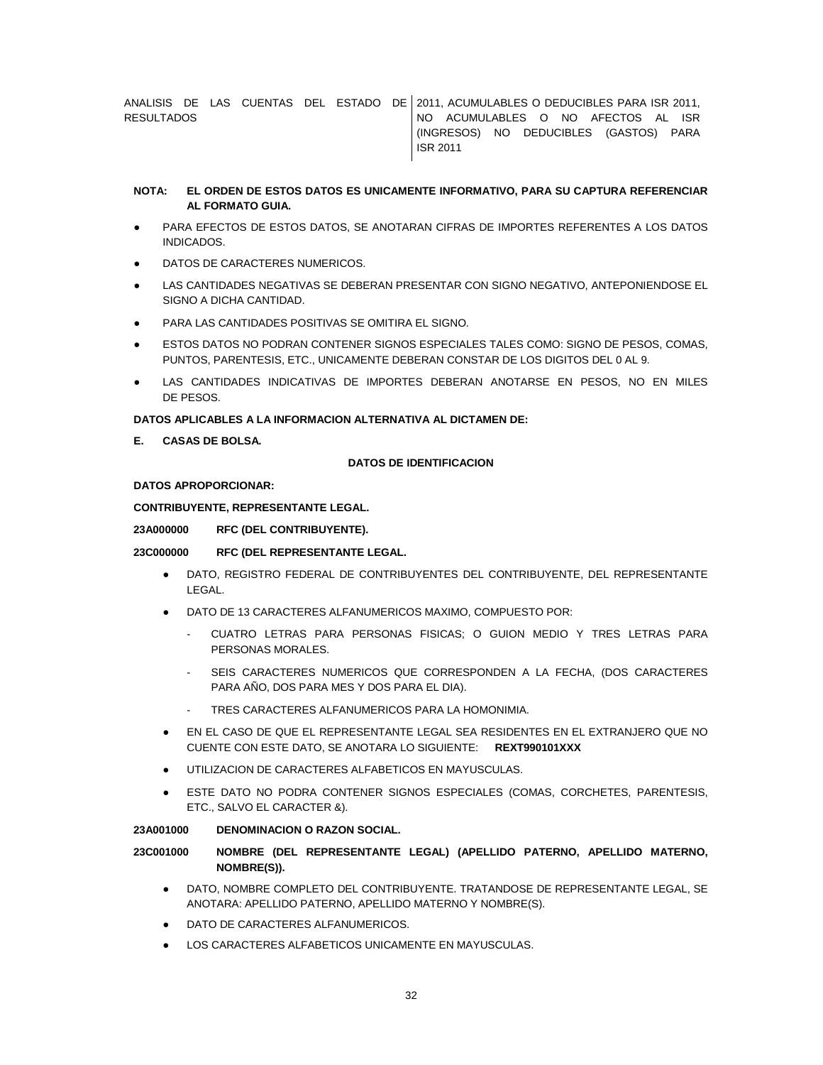ANALISIS DE LAS CUENTAS DEL ESTADO DE 2011, ACUMULABLES O DEDUCIBLES PARA ISR 2011, **RESULTADOS** NO ACUMULABLES O NO AFECTOS AL ISR (INGRESOS) NO DEDUCIBLES (GASTOS) PARA ISR 2011

## **NOTA: EL ORDEN DE ESTOS DATOS ES UNICAMENTE INFORMATIVO, PARA SU CAPTURA REFERENCIAR AL FORMATO GUIA.**

- PARA EFECTOS DE ESTOS DATOS, SE ANOTARAN CIFRAS DE IMPORTES REFERENTES A LOS DATOS INDICADOS.
- DATOS DE CARACTERES NUMERICOS.
- LAS CANTIDADES NEGATIVAS SE DEBERAN PRESENTAR CON SIGNO NEGATIVO, ANTEPONIENDOSE EL SIGNO A DICHA CANTIDAD.
- PARA LAS CANTIDADES POSITIVAS SE OMITIRA EL SIGNO.
- ESTOS DATOS NO PODRAN CONTENER SIGNOS ESPECIALES TALES COMO: SIGNO DE PESOS, COMAS, PUNTOS, PARENTESIS, ETC., UNICAMENTE DEBERAN CONSTAR DE LOS DIGITOS DEL 0 AL 9.
- LAS CANTIDADES INDICATIVAS DE IMPORTES DEBERAN ANOTARSE EN PESOS, NO EN MILES DE PESOS.

### **DATOS APLICABLES A LA INFORMACION ALTERNATIVA AL DICTAMEN DE:**

**E. CASAS DE BOLSA.**

### **DATOS DE IDENTIFICACION**

#### **DATOS APROPORCIONAR:**

**CONTRIBUYENTE, REPRESENTANTE LEGAL.**

**23A000000 RFC (DEL CONTRIBUYENTE).**

# **23C000000 RFC (DEL REPRESENTANTE LEGAL.**

- DATO, REGISTRO FEDERAL DE CONTRIBUYENTES DEL CONTRIBUYENTE, DEL REPRESENTANTE LEGAL.
- DATO DE 13 CARACTERES ALFANUMERICOS MAXIMO, COMPUESTO POR:
	- CUATRO LETRAS PARA PERSONAS FISICAS; O GUION MEDIO Y TRES LETRAS PARA PERSONAS MORALES.
	- SEIS CARACTERES NUMERICOS QUE CORRESPONDEN A LA FECHA, (DOS CARACTERES PARA AÑO, DOS PARA MES Y DOS PARA EL DIA).
	- TRES CARACTERES ALFANUMERICOS PARA LA HOMONIMIA.
- EN EL CASO DE QUE EL REPRESENTANTE LEGAL SEA RESIDENTES EN EL EXTRANJERO QUE NO CUENTE CON ESTE DATO, SE ANOTARA LO SIGUIENTE: **REXT990101XXX**
- UTILIZACION DE CARACTERES ALFABETICOS EN MAYUSCULAS.
- ESTE DATO NO PODRA CONTENER SIGNOS ESPECIALES (COMAS, CORCHETES, PARENTESIS, ETC., SALVO EL CARACTER &).

### **23A001000 DENOMINACION O RAZON SOCIAL.**

## **23C001000 NOMBRE (DEL REPRESENTANTE LEGAL) (APELLIDO PATERNO, APELLIDO MATERNO, NOMBRE(S)).**

- DATO, NOMBRE COMPLETO DEL CONTRIBUYENTE. TRATANDOSE DE REPRESENTANTE LEGAL, SE ANOTARA: APELLIDO PATERNO, APELLIDO MATERNO Y NOMBRE(S).
- DATO DE CARACTERES ALFANUMERICOS.
- LOS CARACTERES ALFABETICOS UNICAMENTE EN MAYUSCULAS.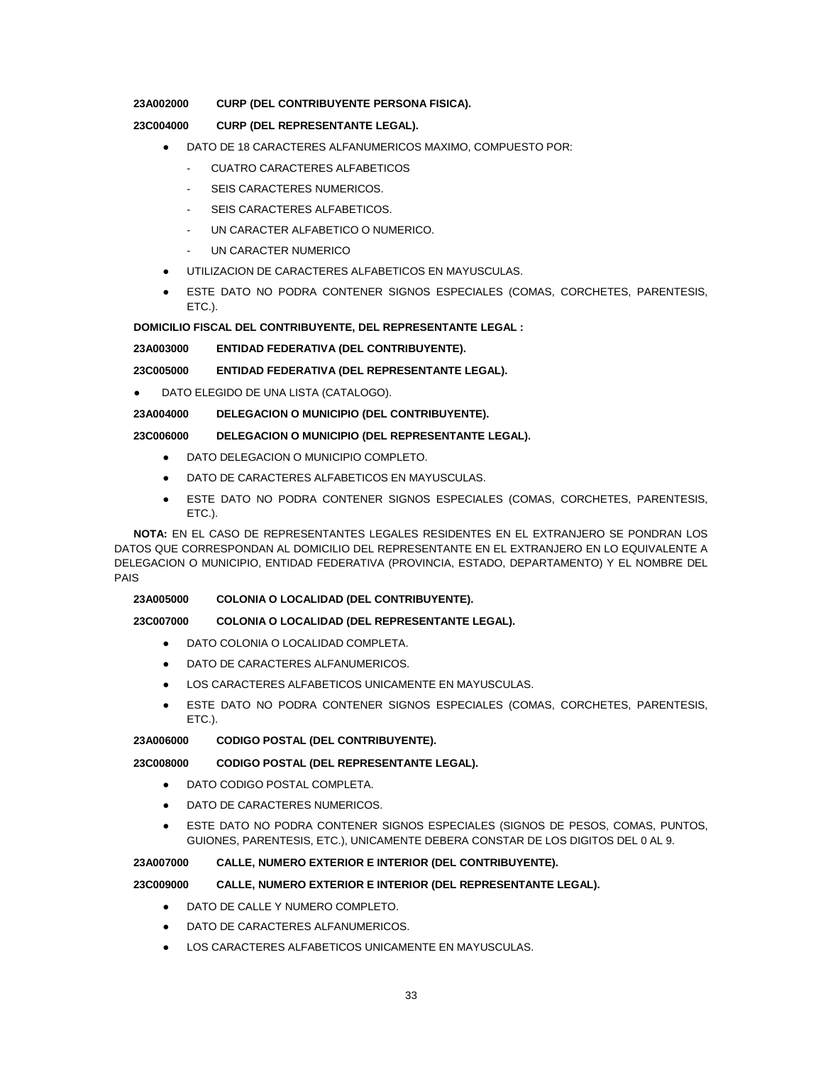### **23A002000 CURP (DEL CONTRIBUYENTE PERSONA FISICA).**

# **23C004000 CURP (DEL REPRESENTANTE LEGAL).**

- DATO DE 18 CARACTERES ALFANUMERICOS MAXIMO, COMPUESTO POR:
	- CUATRO CARACTERES ALFABETICOS
	- SEIS CARACTERES NUMERICOS.
	- SEIS CARACTERES ALFABETICOS.
	- UN CARACTER ALFABETICO O NUMERICO.
	- UN CARACTER NUMERICO
- UTILIZACION DE CARACTERES ALFABETICOS EN MAYUSCULAS.
- ESTE DATO NO PODRA CONTENER SIGNOS ESPECIALES (COMAS, CORCHETES, PARENTESIS, ETC.).

## **DOMICILIO FISCAL DEL CONTRIBUYENTE, DEL REPRESENTANTE LEGAL :**

### **23A003000 ENTIDAD FEDERATIVA (DEL CONTRIBUYENTE).**

## **23C005000 ENTIDAD FEDERATIVA (DEL REPRESENTANTE LEGAL).**

● DATO ELEGIDO DE UNA LISTA (CATALOGO).

# **23A004000 DELEGACION O MUNICIPIO (DEL CONTRIBUYENTE).**

### **23C006000 DELEGACION O MUNICIPIO (DEL REPRESENTANTE LEGAL).**

- DATO DELEGACION O MUNICIPIO COMPLETO.
- DATO DE CARACTERES ALFABETICOS EN MAYUSCULAS.
- ESTE DATO NO PODRA CONTENER SIGNOS ESPECIALES (COMAS, CORCHETES, PARENTESIS, ETC.).

**NOTA:** EN EL CASO DE REPRESENTANTES LEGALES RESIDENTES EN EL EXTRANJERO SE PONDRAN LOS DATOS QUE CORRESPONDAN AL DOMICILIO DEL REPRESENTANTE EN EL EXTRANJERO EN LO EQUIVALENTE A DELEGACION O MUNICIPIO, ENTIDAD FEDERATIVA (PROVINCIA, ESTADO, DEPARTAMENTO) Y EL NOMBRE DEL PAIS

### **23A005000 COLONIA O LOCALIDAD (DEL CONTRIBUYENTE).**

### **23C007000 COLONIA O LOCALIDAD (DEL REPRESENTANTE LEGAL).**

- DATO COLONIA O LOCALIDAD COMPLETA.
- DATO DE CARACTERES ALFANUMERICOS.
- LOS CARACTERES ALFABETICOS UNICAMENTE EN MAYUSCULAS.
- ESTE DATO NO PODRA CONTENER SIGNOS ESPECIALES (COMAS, CORCHETES, PARENTESIS, ETC.).

#### **23A006000 CODIGO POSTAL (DEL CONTRIBUYENTE).**

#### **23C008000 CODIGO POSTAL (DEL REPRESENTANTE LEGAL).**

- DATO CODIGO POSTAL COMPLETA.
- DATO DE CARACTERES NUMERICOS.
- ESTE DATO NO PODRA CONTENER SIGNOS ESPECIALES (SIGNOS DE PESOS, COMAS, PUNTOS, GUIONES, PARENTESIS, ETC.), UNICAMENTE DEBERA CONSTAR DE LOS DIGITOS DEL 0 AL 9.

#### **23A007000 CALLE, NUMERO EXTERIOR E INTERIOR (DEL CONTRIBUYENTE).**

## **23C009000 CALLE, NUMERO EXTERIOR E INTERIOR (DEL REPRESENTANTE LEGAL).**

- DATO DE CALLE Y NUMERO COMPLETO.
- DATO DE CARACTERES ALFANUMERICOS.
- LOS CARACTERES ALFABETICOS UNICAMENTE EN MAYUSCULAS.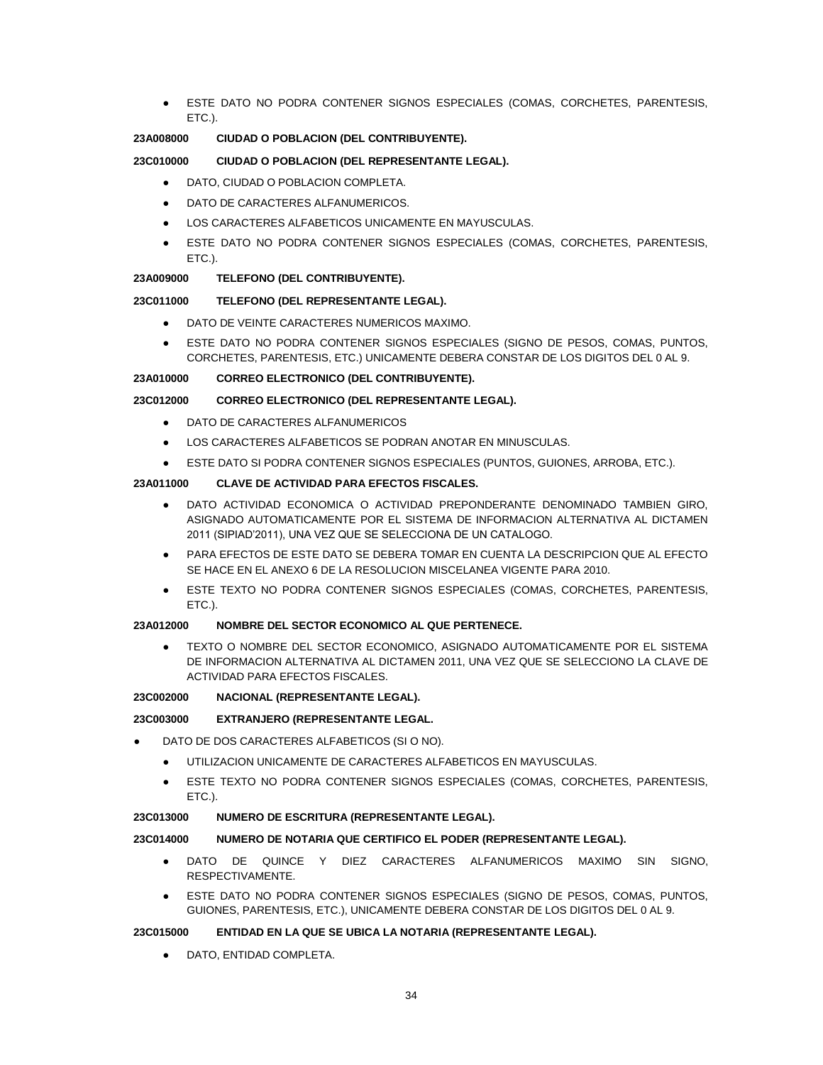ESTE DATO NO PODRA CONTENER SIGNOS ESPECIALES (COMAS, CORCHETES, PARENTESIS, ETC.).

## **23A008000 CIUDAD O POBLACION (DEL CONTRIBUYENTE).**

# **23C010000 CIUDAD O POBLACION (DEL REPRESENTANTE LEGAL).**

- DATO, CIUDAD O POBLACION COMPLETA.
- DATO DE CARACTERES ALFANUMERICOS.
- LOS CARACTERES ALFABETICOS UNICAMENTE EN MAYUSCULAS.
- ESTE DATO NO PODRA CONTENER SIGNOS ESPECIALES (COMAS, CORCHETES, PARENTESIS, ETC.).

# **23A009000 TELEFONO (DEL CONTRIBUYENTE).**

# **23C011000 TELEFONO (DEL REPRESENTANTE LEGAL).**

- DATO DE VEINTE CARACTERES NUMERICOS MAXIMO.
- ESTE DATO NO PODRA CONTENER SIGNOS ESPECIALES (SIGNO DE PESOS, COMAS, PUNTOS, CORCHETES, PARENTESIS, ETC.) UNICAMENTE DEBERA CONSTAR DE LOS DIGITOS DEL 0 AL 9.

# **23A010000 CORREO ELECTRONICO (DEL CONTRIBUYENTE).**

### **23C012000 CORREO ELECTRONICO (DEL REPRESENTANTE LEGAL).**

- DATO DE CARACTERES ALFANUMERICOS
- LOS CARACTERES ALFABETICOS SE PODRAN ANOTAR EN MINUSCULAS.
- ESTE DATO SI PODRA CONTENER SIGNOS ESPECIALES (PUNTOS, GUIONES, ARROBA, ETC.).

### **23A011000 CLAVE DE ACTIVIDAD PARA EFECTOS FISCALES.**

- DATO ACTIVIDAD ECONOMICA O ACTIVIDAD PREPONDERANTE DENOMINADO TAMBIEN GIRO, ASIGNADO AUTOMATICAMENTE POR EL SISTEMA DE INFORMACION ALTERNATIVA AL DICTAMEN 2011 (SIPIAD'2011), UNA VEZ QUE SE SELECCIONA DE UN CATALOGO.
- PARA EFECTOS DE ESTE DATO SE DEBERA TOMAR EN CUENTA LA DESCRIPCION QUE AL EFECTO SE HACE EN EL ANEXO 6 DE LA RESOLUCION MISCELANEA VIGENTE PARA 2010.
- ESTE TEXTO NO PODRA CONTENER SIGNOS ESPECIALES (COMAS, CORCHETES, PARENTESIS, ETC.).

### **23A012000 NOMBRE DEL SECTOR ECONOMICO AL QUE PERTENECE.**

TEXTO O NOMBRE DEL SECTOR ECONOMICO, ASIGNADO AUTOMATICAMENTE POR EL SISTEMA DE INFORMACION ALTERNATIVA AL DICTAMEN 2011, UNA VEZ QUE SE SELECCIONO LA CLAVE DE ACTIVIDAD PARA EFECTOS FISCALES.

### **23C002000 NACIONAL (REPRESENTANTE LEGAL).**

#### **23C003000 EXTRANJERO (REPRESENTANTE LEGAL.**

- DATO DE DOS CARACTERES ALFABETICOS (SI O NO).
	- UTILIZACION UNICAMENTE DE CARACTERES ALFABETICOS EN MAYUSCULAS.
	- ESTE TEXTO NO PODRA CONTENER SIGNOS ESPECIALES (COMAS, CORCHETES, PARENTESIS, ETC.).

### **23C013000 NUMERO DE ESCRITURA (REPRESENTANTE LEGAL).**

#### **23C014000 NUMERO DE NOTARIA QUE CERTIFICO EL PODER (REPRESENTANTE LEGAL).**

- DATO DE QUINCE Y DIEZ CARACTERES ALFANUMERICOS MAXIMO SIN SIGNO, RESPECTIVAMENTE.
- ESTE DATO NO PODRA CONTENER SIGNOS ESPECIALES (SIGNO DE PESOS, COMAS, PUNTOS, GUIONES, PARENTESIS, ETC.), UNICAMENTE DEBERA CONSTAR DE LOS DIGITOS DEL 0 AL 9.

### **23C015000 ENTIDAD EN LA QUE SE UBICA LA NOTARIA (REPRESENTANTE LEGAL).**

DATO, ENTIDAD COMPLETA.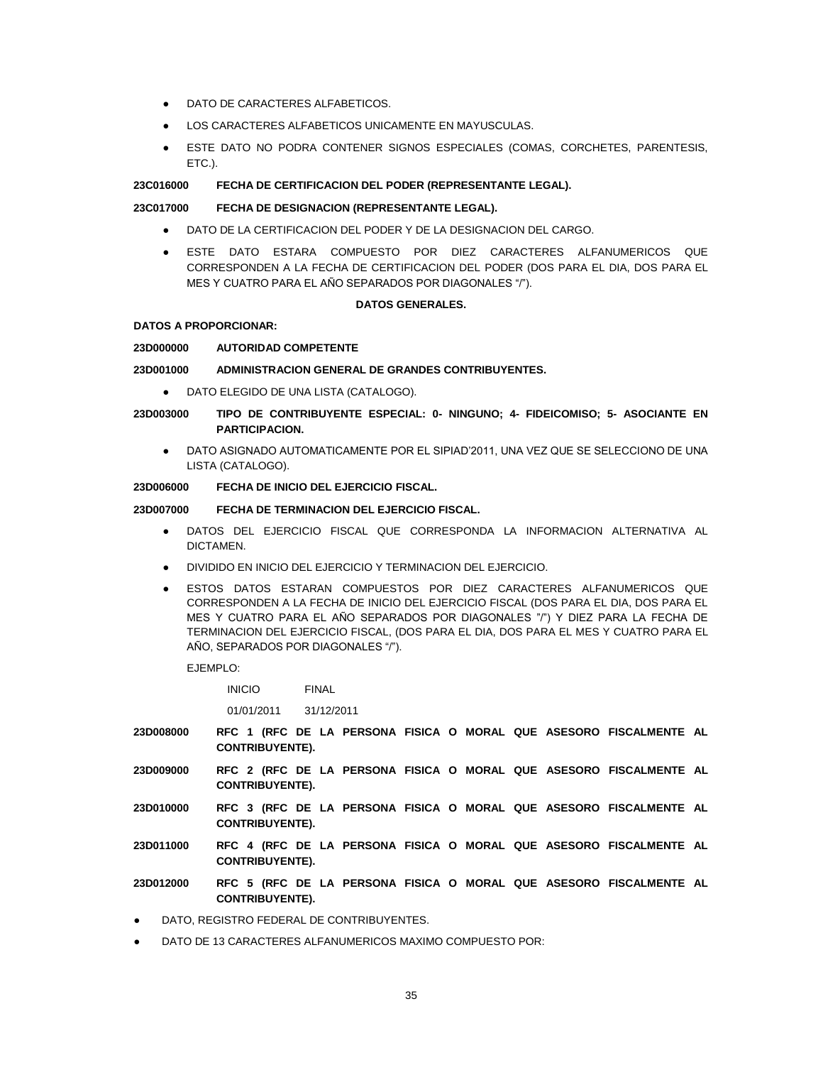- DATO DE CARACTERES ALFABETICOS.
- LOS CARACTERES ALFABETICOS UNICAMENTE EN MAYUSCULAS.
- ESTE DATO NO PODRA CONTENER SIGNOS ESPECIALES (COMAS, CORCHETES, PARENTESIS, ETC.).

## **23C016000 FECHA DE CERTIFICACION DEL PODER (REPRESENTANTE LEGAL).**

#### **23C017000 FECHA DE DESIGNACION (REPRESENTANTE LEGAL).**

- DATO DE LA CERTIFICACION DEL PODER Y DE LA DESIGNACION DEL CARGO.
- ESTE DATO ESTARA COMPUESTO POR DIEZ CARACTERES ALFANUMERICOS QUE CORRESPONDEN A LA FECHA DE CERTIFICACION DEL PODER (DOS PARA EL DIA, DOS PARA EL MES Y CUATRO PARA EL AÑO SEPARADOS POR DIAGONALES "/").

#### **DATOS GENERALES.**

#### **DATOS A PROPORCIONAR:**

#### **23D000000 AUTORIDAD COMPETENTE**

#### **23D001000 ADMINISTRACION GENERAL DE GRANDES CONTRIBUYENTES.**

- DATO ELEGIDO DE UNA LISTA (CATALOGO).
- **23D003000 TIPO DE CONTRIBUYENTE ESPECIAL: 0- NINGUNO; 4- FIDEICOMISO; 5- ASOCIANTE EN PARTICIPACION.**
	- DATO ASIGNADO AUTOMATICAMENTE POR EL SIPIAD'2011, UNA VEZ QUE SE SELECCIONO DE UNA LISTA (CATALOGO).

# **23D006000 FECHA DE INICIO DEL EJERCICIO FISCAL.**

## **23D007000 FECHA DE TERMINACION DEL EJERCICIO FISCAL.**

- DATOS DEL EJERCICIO FISCAL QUE CORRESPONDA LA INFORMACION ALTERNATIVA AL DICTAMEN.
- DIVIDIDO EN INICIO DEL EJERCICIO Y TERMINACION DEL EJERCICIO.
- ESTOS DATOS ESTARAN COMPUESTOS POR DIEZ CARACTERES ALFANUMERICOS QUE CORRESPONDEN A LA FECHA DE INICIO DEL EJERCICIO FISCAL (DOS PARA EL DIA, DOS PARA EL MES Y CUATRO PARA EL AÑO SEPARADOS POR DIAGONALES "/") Y DIEZ PARA LA FECHA DE TERMINACION DEL EJERCICIO FISCAL, (DOS PARA EL DIA, DOS PARA EL MES Y CUATRO PARA EL AÑO, SEPARADOS POR DIAGONALES "/").

EJEMPLO:

INICIO FINAL

01/01/2011 31/12/2011

- **23D008000 RFC 1 (RFC DE LA PERSONA FISICA O MORAL QUE ASESORO FISCALMENTE AL CONTRIBUYENTE).**
- **23D009000 RFC 2 (RFC DE LA PERSONA FISICA O MORAL QUE ASESORO FISCALMENTE AL CONTRIBUYENTE).**
- **23D010000 RFC 3 (RFC DE LA PERSONA FISICA O MORAL QUE ASESORO FISCALMENTE AL CONTRIBUYENTE).**
- **23D011000 RFC 4 (RFC DE LA PERSONA FISICA O MORAL QUE ASESORO FISCALMENTE AL CONTRIBUYENTE).**
- **23D012000 RFC 5 (RFC DE LA PERSONA FISICA O MORAL QUE ASESORO FISCALMENTE AL CONTRIBUYENTE).**
- DATO, REGISTRO FEDERAL DE CONTRIBUYENTES.
- DATO DE 13 CARACTERES ALFANUMERICOS MAXIMO COMPUESTO POR: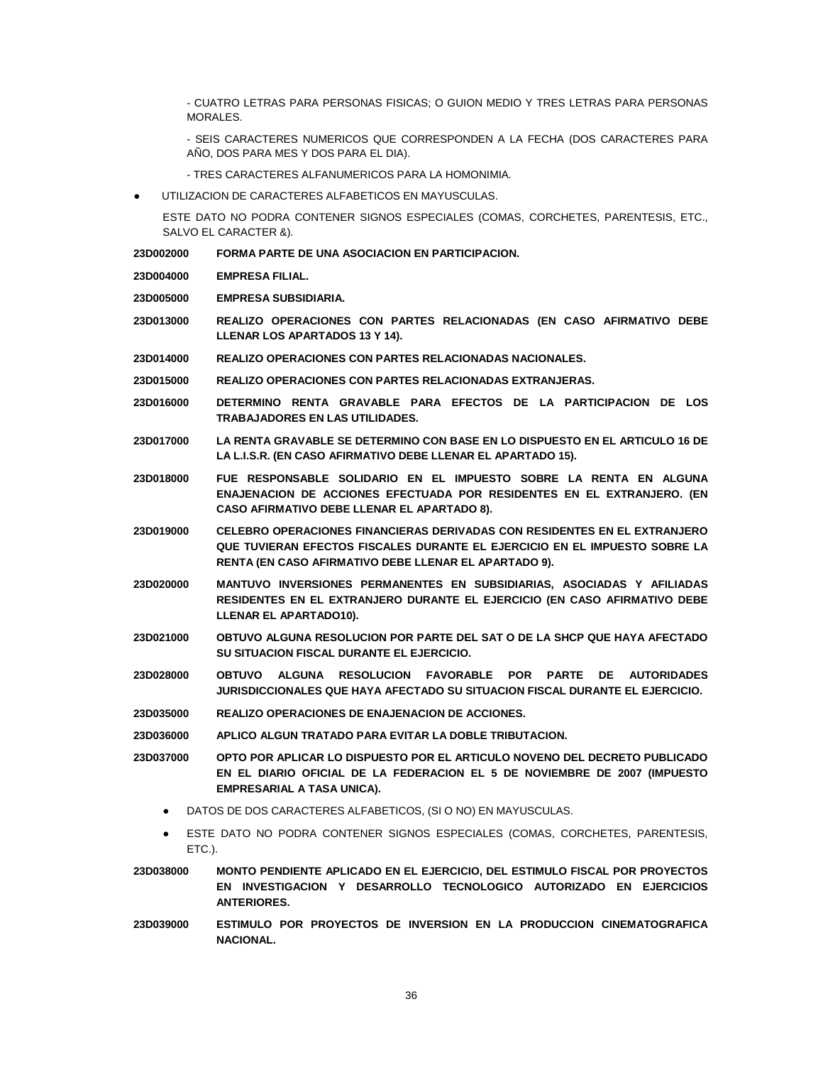- CUATRO LETRAS PARA PERSONAS FISICAS; O GUION MEDIO Y TRES LETRAS PARA PERSONAS MORALES.

- SEIS CARACTERES NUMERICOS QUE CORRESPONDEN A LA FECHA (DOS CARACTERES PARA AÑO, DOS PARA MES Y DOS PARA EL DIA).

- TRES CARACTERES ALFANUMERICOS PARA LA HOMONIMIA.
- UTILIZACION DE CARACTERES ALFABETICOS EN MAYUSCULAS.

ESTE DATO NO PODRA CONTENER SIGNOS ESPECIALES (COMAS, CORCHETES, PARENTESIS, ETC., SALVO EL CARACTER &).

- **23D002000 FORMA PARTE DE UNA ASOCIACION EN PARTICIPACION.**
- **23D004000 EMPRESA FILIAL.**

**23D005000 EMPRESA SUBSIDIARIA.**

- **23D013000 REALIZO OPERACIONES CON PARTES RELACIONADAS (EN CASO AFIRMATIVO DEBE LLENAR LOS APARTADOS 13 Y 14).**
- **23D014000 REALIZO OPERACIONES CON PARTES RELACIONADAS NACIONALES.**
- **23D015000 REALIZO OPERACIONES CON PARTES RELACIONADAS EXTRANJERAS.**
- **23D016000 DETERMINO RENTA GRAVABLE PARA EFECTOS DE LA PARTICIPACION DE LOS TRABAJADORES EN LAS UTILIDADES.**
- **23D017000 LA RENTA GRAVABLE SE DETERMINO CON BASE EN LO DISPUESTO EN EL ARTICULO 16 DE LA L.I.S.R. (EN CASO AFIRMATIVO DEBE LLENAR EL APARTADO 15).**
- **23D018000 FUE RESPONSABLE SOLIDARIO EN EL IMPUESTO SOBRE LA RENTA EN ALGUNA ENAJENACION DE ACCIONES EFECTUADA POR RESIDENTES EN EL EXTRANJERO. (EN CASO AFIRMATIVO DEBE LLENAR EL APARTADO 8).**
- **23D019000 CELEBRO OPERACIONES FINANCIERAS DERIVADAS CON RESIDENTES EN EL EXTRANJERO QUE TUVIERAN EFECTOS FISCALES DURANTE EL EJERCICIO EN EL IMPUESTO SOBRE LA RENTA (EN CASO AFIRMATIVO DEBE LLENAR EL APARTADO 9).**
- **23D020000 MANTUVO INVERSIONES PERMANENTES EN SUBSIDIARIAS, ASOCIADAS Y AFILIADAS RESIDENTES EN EL EXTRANJERO DURANTE EL EJERCICIO (EN CASO AFIRMATIVO DEBE LLENAR EL APARTADO10).**
- **23D021000 OBTUVO ALGUNA RESOLUCION POR PARTE DEL SAT O DE LA SHCP QUE HAYA AFECTADO SU SITUACION FISCAL DURANTE EL EJERCICIO.**
- **23D028000 OBTUVO ALGUNA RESOLUCION FAVORABLE POR PARTE DE AUTORIDADES JURISDICCIONALES QUE HAYA AFECTADO SU SITUACION FISCAL DURANTE EL EJERCICIO.**
- **23D035000 REALIZO OPERACIONES DE ENAJENACION DE ACCIONES.**
- **23D036000 APLICO ALGUN TRATADO PARA EVITAR LA DOBLE TRIBUTACION.**
- **23D037000 OPTO POR APLICAR LO DISPUESTO POR EL ARTICULO NOVENO DEL DECRETO PUBLICADO EN EL DIARIO OFICIAL DE LA FEDERACION EL 5 DE NOVIEMBRE DE 2007 (IMPUESTO EMPRESARIAL A TASA UNICA).**
	- DATOS DE DOS CARACTERES ALFABETICOS, (SI O NO) EN MAYUSCULAS.
	- ESTE DATO NO PODRA CONTENER SIGNOS ESPECIALES (COMAS, CORCHETES, PARENTESIS, ETC.).
- **23D038000 MONTO PENDIENTE APLICADO EN EL EJERCICIO, DEL ESTIMULO FISCAL POR PROYECTOS EN INVESTIGACION Y DESARROLLO TECNOLOGICO AUTORIZADO EN EJERCICIOS ANTERIORES.**
- **23D039000 ESTIMULO POR PROYECTOS DE INVERSION EN LA PRODUCCION CINEMATOGRAFICA NACIONAL.**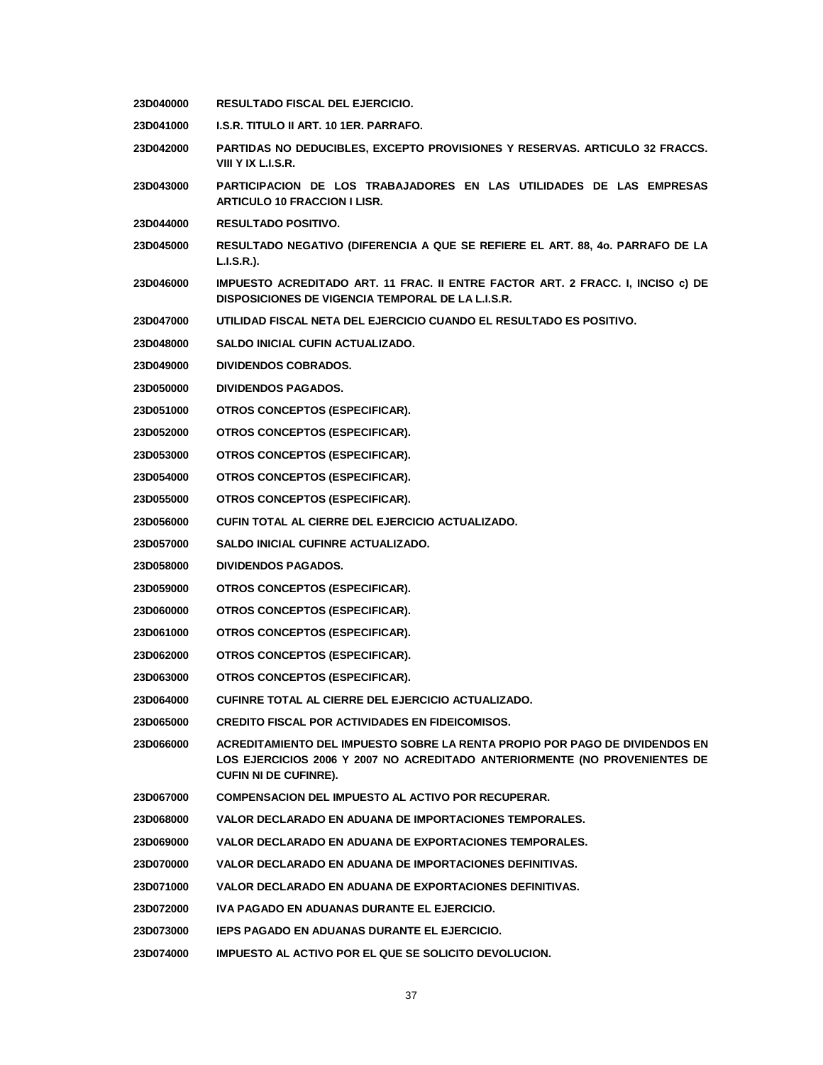- **23D040000 RESULTADO FISCAL DEL EJERCICIO.**
- **23D041000 I.S.R. TITULO II ART. 10 1ER. PARRAFO.**
- **23D042000 PARTIDAS NO DEDUCIBLES, EXCEPTO PROVISIONES Y RESERVAS. ARTICULO 32 FRACCS. VIII Y IX L.I.S.R.**
- **23D043000 PARTICIPACION DE LOS TRABAJADORES EN LAS UTILIDADES DE LAS EMPRESAS ARTICULO 10 FRACCION I LISR.**
- **23D044000 RESULTADO POSITIVO.**
- **23D045000 RESULTADO NEGATIVO (DIFERENCIA A QUE SE REFIERE EL ART. 88, 4o. PARRAFO DE LA L.I.S.R.).**
- **23D046000 IMPUESTO ACREDITADO ART. 11 FRAC. II ENTRE FACTOR ART. 2 FRACC. I, INCISO c) DE DISPOSICIONES DE VIGENCIA TEMPORAL DE LA L.I.S.R.**
- **23D047000 UTILIDAD FISCAL NETA DEL EJERCICIO CUANDO EL RESULTADO ES POSITIVO.**
- **23D048000 SALDO INICIAL CUFIN ACTUALIZADO.**
- **23D049000 DIVIDENDOS COBRADOS.**
- **23D050000 DIVIDENDOS PAGADOS.**
- **23D051000 OTROS CONCEPTOS (ESPECIFICAR).**
- **23D052000 OTROS CONCEPTOS (ESPECIFICAR).**
- **23D053000 OTROS CONCEPTOS (ESPECIFICAR).**
- **23D054000 OTROS CONCEPTOS (ESPECIFICAR).**
- **23D055000 OTROS CONCEPTOS (ESPECIFICAR).**
- **23D056000 CUFIN TOTAL AL CIERRE DEL EJERCICIO ACTUALIZADO.**
- **23D057000 SALDO INICIAL CUFINRE ACTUALIZADO.**
- **23D058000 DIVIDENDOS PAGADOS.**
- **23D059000 OTROS CONCEPTOS (ESPECIFICAR).**
- **23D060000 OTROS CONCEPTOS (ESPECIFICAR).**
- **23D061000 OTROS CONCEPTOS (ESPECIFICAR).**
- **23D062000 OTROS CONCEPTOS (ESPECIFICAR).**
- **23D063000 OTROS CONCEPTOS (ESPECIFICAR).**
- **23D064000 CUFINRE TOTAL AL CIERRE DEL EJERCICIO ACTUALIZADO.**
- **23D065000 CREDITO FISCAL POR ACTIVIDADES EN FIDEICOMISOS.**
- **23D066000 ACREDITAMIENTO DEL IMPUESTO SOBRE LA RENTA PROPIO POR PAGO DE DIVIDENDOS EN LOS EJERCICIOS 2006 Y 2007 NO ACREDITADO ANTERIORMENTE (NO PROVENIENTES DE CUFIN NI DE CUFINRE).**
- **23D067000 COMPENSACION DEL IMPUESTO AL ACTIVO POR RECUPERAR.**
- **23D068000 VALOR DECLARADO EN ADUANA DE IMPORTACIONES TEMPORALES.**
- **23D069000 VALOR DECLARADO EN ADUANA DE EXPORTACIONES TEMPORALES.**
- **23D070000 VALOR DECLARADO EN ADUANA DE IMPORTACIONES DEFINITIVAS.**
- **23D071000 VALOR DECLARADO EN ADUANA DE EXPORTACIONES DEFINITIVAS.**
- **23D072000 IVA PAGADO EN ADUANAS DURANTE EL EJERCICIO.**
- **23D073000 IEPS PAGADO EN ADUANAS DURANTE EL EJERCICIO.**
- **23D074000 IMPUESTO AL ACTIVO POR EL QUE SE SOLICITO DEVOLUCION.**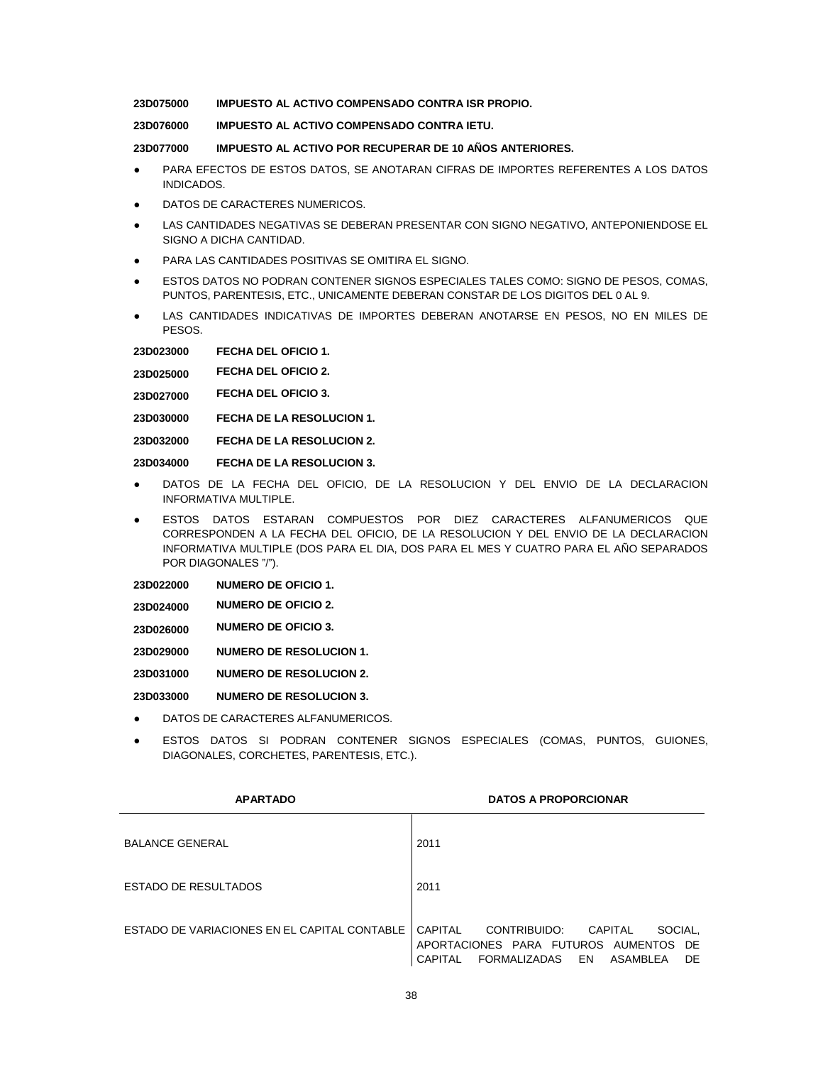**23D075000 IMPUESTO AL ACTIVO COMPENSADO CONTRA ISR PROPIO.**

**23D076000 IMPUESTO AL ACTIVO COMPENSADO CONTRA IETU.**

**23D077000 IMPUESTO AL ACTIVO POR RECUPERAR DE 10 AÑOS ANTERIORES.**

- PARA EFECTOS DE ESTOS DATOS, SE ANOTARAN CIFRAS DE IMPORTES REFERENTES A LOS DATOS INDICADOS.
- DATOS DE CARACTERES NUMERICOS.
- LAS CANTIDADES NEGATIVAS SE DEBERAN PRESENTAR CON SIGNO NEGATIVO, ANTEPONIENDOSE EL SIGNO A DICHA CANTIDAD.
- PARA LAS CANTIDADES POSITIVAS SE OMITIRA EL SIGNO.
- **ESTOS DATOS NO PODRAN CONTENER SIGNOS ESPECIALES TALES COMO: SIGNO DE PESOS, COMAS,** PUNTOS, PARENTESIS, ETC., UNICAMENTE DEBERAN CONSTAR DE LOS DIGITOS DEL 0 AL 9.
- LAS CANTIDADES INDICATIVAS DE IMPORTES DEBERAN ANOTARSE EN PESOS, NO EN MILES DE PESOS.

**23D023000 FECHA DEL OFICIO 1.**

**23D025000 FECHA DEL OFICIO 2.**

**23D027000 FECHA DEL OFICIO 3.**

**23D030000 FECHA DE LA RESOLUCION 1.**

**23D032000 FECHA DE LA RESOLUCION 2.**

**23D034000 FECHA DE LA RESOLUCION 3.**

- DATOS DE LA FECHA DEL OFICIO, DE LA RESOLUCION Y DEL ENVIO DE LA DECLARACION INFORMATIVA MULTIPLE.
- ESTOS DATOS ESTARAN COMPUESTOS POR DIEZ CARACTERES ALFANUMERICOS QUE CORRESPONDEN A LA FECHA DEL OFICIO, DE LA RESOLUCION Y DEL ENVIO DE LA DECLARACION INFORMATIVA MULTIPLE (DOS PARA EL DIA, DOS PARA EL MES Y CUATRO PARA EL AÑO SEPARADOS POR DIAGONALES "/").

**23D022000 NUMERO DE OFICIO 1.**

- **23D024000 NUMERO DE OFICIO 2.**
- **23D026000 NUMERO DE OFICIO 3.**

**23D029000 NUMERO DE RESOLUCION 1.**

**23D031000 NUMERO DE RESOLUCION 2.**

**23D033000 NUMERO DE RESOLUCION 3.**

- DATOS DE CARACTERES ALFANUMERICOS.
- ESTOS DATOS SI PODRAN CONTENER SIGNOS ESPECIALES (COMAS, PUNTOS, GUIONES, DIAGONALES, CORCHETES, PARENTESIS, ETC.).

| <b>APARTADO</b>                              | <b>DATOS A PROPORCIONAR</b>                                                                                                                |
|----------------------------------------------|--------------------------------------------------------------------------------------------------------------------------------------------|
| <b>BALANCE GENERAL</b>                       | 2011                                                                                                                                       |
| ESTADO DE RESULTADOS                         | 2011                                                                                                                                       |
| ESTADO DE VARIACIONES EN EL CAPITAL CONTABLE | CAPITAI<br>CONTRIBUIDO:<br>SOCIAL.<br>CAPITAL<br>APORTACIONES PARA FUTUROS AUMENTOS DE<br>CAPITAL<br>FORMALIZADAS<br>EN<br>ASAMBLEA<br>DE. |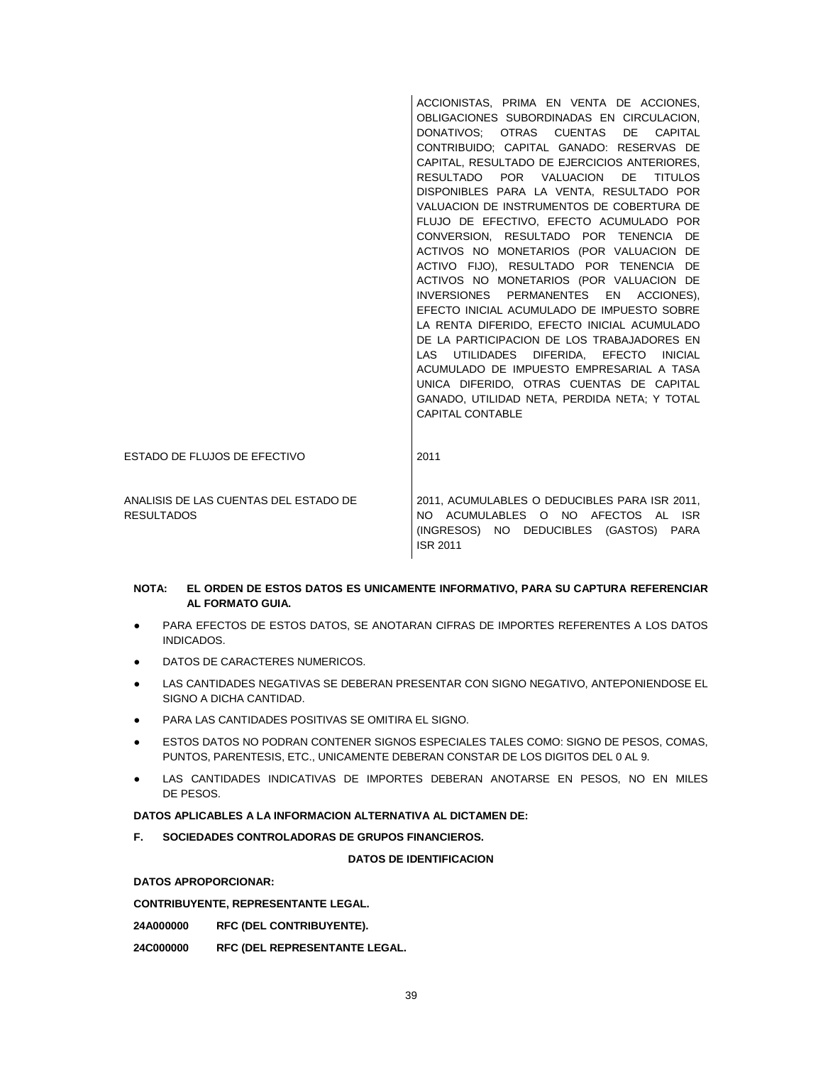ACCIONISTAS, PRIMA EN VENTA DE ACCIONES, OBLIGACIONES SUBORDINADAS EN CIRCULACION, DONATIVOS; OTRAS CUENTAS DE CAPITAL CONTRIBUIDO; CAPITAL GANADO: RESERVAS DE CAPITAL, RESULTADO DE EJERCICIOS ANTERIORES, RESULTADO POR VALUACION DE TITULOS DISPONIBLES PARA LA VENTA, RESULTADO POR VALUACION DE INSTRUMENTOS DE COBERTURA DE FLUJO DE EFECTIVO, EFECTO ACUMULADO POR CONVERSION, RESULTADO POR TENENCIA DE ACTIVOS NO MONETARIOS (POR VALUACION DE ACTIVO FIJO), RESULTADO POR TENENCIA DE ACTIVOS NO MONETARIOS (POR VALUACION DE INVERSIONES PERMANENTES EN ACCIONES), EFECTO INICIAL ACUMULADO DE IMPUESTO SOBRE LA RENTA DIFERIDO, EFECTO INICIAL ACUMULADO DE LA PARTICIPACION DE LOS TRABAJADORES EN LAS UTILIDADES DIFERIDA, EFECTO INICIAL ACUMULADO DE IMPUESTO EMPRESARIAL A TASA UNICA DIFERIDO, OTRAS CUENTAS DE CAPITAL GANADO, UTILIDAD NETA, PERDIDA NETA; Y TOTAL CAPITAL CONTABLE ESTADO DE FLUJOS DE EFECTIVO 2011 ANALISIS DE LAS CUENTAS DEL ESTADO DE **RESULTADOS** 2011, ACUMULABLES O DEDUCIBLES PARA ISR 2011, NO ACUMULABLES O NO AFECTOS AL ISR (INGRESOS) NO DEDUCIBLES (GASTOS) PARA ISR 2011

### **NOTA: EL ORDEN DE ESTOS DATOS ES UNICAMENTE INFORMATIVO, PARA SU CAPTURA REFERENCIAR AL FORMATO GUIA.**

- PARA EFECTOS DE ESTOS DATOS, SE ANOTARAN CIFRAS DE IMPORTES REFERENTES A LOS DATOS INDICADOS.
- DATOS DE CARACTERES NUMERICOS.
- LAS CANTIDADES NEGATIVAS SE DEBERAN PRESENTAR CON SIGNO NEGATIVO, ANTEPONIENDOSE EL SIGNO A DICHA CANTIDAD.
- PARA LAS CANTIDADES POSITIVAS SE OMITIRA EL SIGNO.
- ESTOS DATOS NO PODRAN CONTENER SIGNOS ESPECIALES TALES COMO: SIGNO DE PESOS, COMAS, PUNTOS, PARENTESIS, ETC., UNICAMENTE DEBERAN CONSTAR DE LOS DIGITOS DEL 0 AL 9.
- LAS CANTIDADES INDICATIVAS DE IMPORTES DEBERAN ANOTARSE EN PESOS, NO EN MILES DE PESOS.

#### **DATOS APLICABLES A LA INFORMACION ALTERNATIVA AL DICTAMEN DE:**

**F. SOCIEDADES CONTROLADORAS DE GRUPOS FINANCIEROS.**

#### **DATOS DE IDENTIFICACION**

### **DATOS APROPORCIONAR:**

**CONTRIBUYENTE, REPRESENTANTE LEGAL.**

**24A000000 RFC (DEL CONTRIBUYENTE).**

**24C000000 RFC (DEL REPRESENTANTE LEGAL.**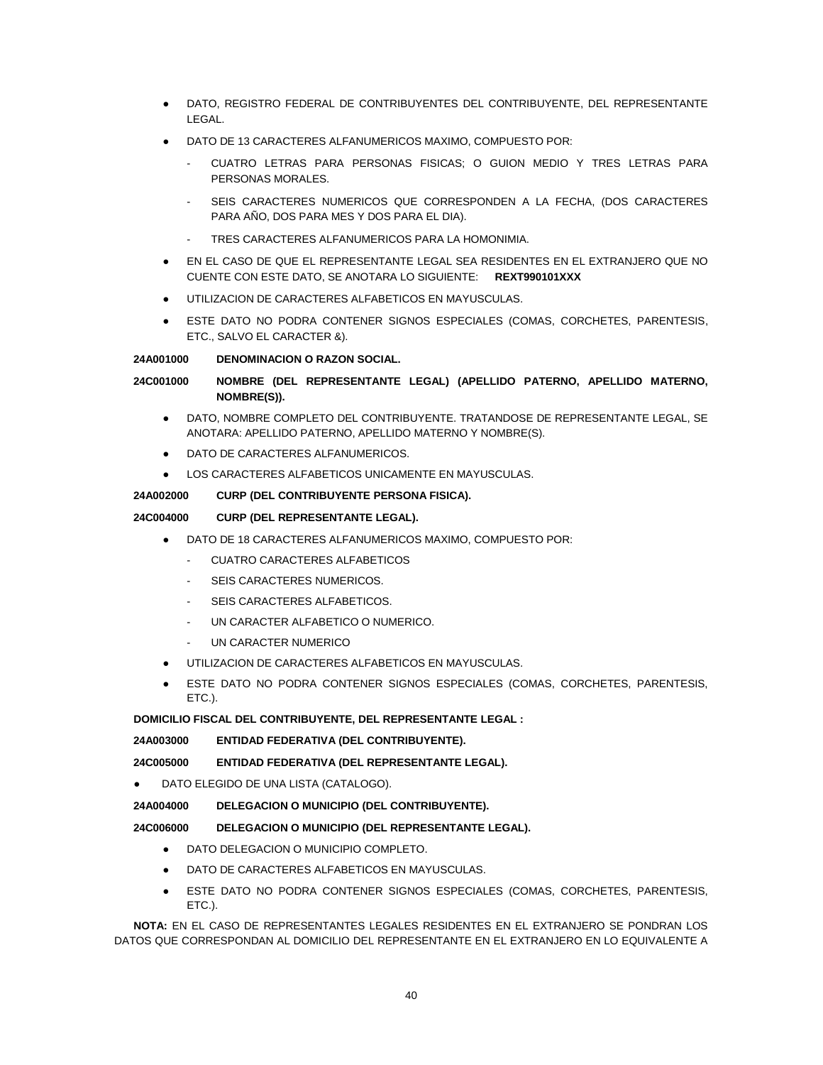- DATO, REGISTRO FEDERAL DE CONTRIBUYENTES DEL CONTRIBUYENTE, DEL REPRESENTANTE LEGAL.
- DATO DE 13 CARACTERES ALFANUMERICOS MAXIMO, COMPUESTO POR:
	- CUATRO LETRAS PARA PERSONAS FISICAS; O GUION MEDIO Y TRES LETRAS PARA PERSONAS MORALES.
	- SEIS CARACTERES NUMERICOS QUE CORRESPONDEN A LA FECHA, (DOS CARACTERES PARA AÑO, DOS PARA MES Y DOS PARA EL DIA).
	- TRES CARACTERES ALFANUMERICOS PARA LA HOMONIMIA.
- EN EL CASO DE QUE EL REPRESENTANTE LEGAL SEA RESIDENTES EN EL EXTRANJERO QUE NO CUENTE CON ESTE DATO, SE ANOTARA LO SIGUIENTE: **REXT990101XXX**
- UTILIZACION DE CARACTERES ALFABETICOS EN MAYUSCULAS.
- ESTE DATO NO PODRA CONTENER SIGNOS ESPECIALES (COMAS, CORCHETES, PARENTESIS, ETC., SALVO EL CARACTER &).

# **24A001000 DENOMINACION O RAZON SOCIAL.**

# **24C001000 NOMBRE (DEL REPRESENTANTE LEGAL) (APELLIDO PATERNO, APELLIDO MATERNO, NOMBRE(S)).**

- DATO, NOMBRE COMPLETO DEL CONTRIBUYENTE. TRATANDOSE DE REPRESENTANTE LEGAL, SE ANOTARA: APELLIDO PATERNO, APELLIDO MATERNO Y NOMBRE(S).
- DATO DE CARACTERES ALFANUMERICOS.
- LOS CARACTERES ALFABETICOS UNICAMENTE EN MAYUSCULAS.

# **24A002000 CURP (DEL CONTRIBUYENTE PERSONA FISICA).**

# **24C004000 CURP (DEL REPRESENTANTE LEGAL).**

- DATO DE 18 CARACTERES ALFANUMERICOS MAXIMO, COMPUESTO POR:
	- CUATRO CARACTERES ALFABETICOS
	- SEIS CARACTERES NUMERICOS.
	- SEIS CARACTERES ALFABETICOS.
	- UN CARACTER ALFABETICO O NUMERICO.
	- UN CARACTER NUMERICO
- UTILIZACION DE CARACTERES ALFABETICOS EN MAYUSCULAS.
- ESTE DATO NO PODRA CONTENER SIGNOS ESPECIALES (COMAS, CORCHETES, PARENTESIS, ETC.).

# **DOMICILIO FISCAL DEL CONTRIBUYENTE, DEL REPRESENTANTE LEGAL :**

# **24A003000 ENTIDAD FEDERATIVA (DEL CONTRIBUYENTE).**

**24C005000 ENTIDAD FEDERATIVA (DEL REPRESENTANTE LEGAL).**

DATO ELEGIDO DE UNA LISTA (CATALOGO).

# **24A004000 DELEGACION O MUNICIPIO (DEL CONTRIBUYENTE).**

# **24C006000 DELEGACION O MUNICIPIO (DEL REPRESENTANTE LEGAL).**

- DATO DELEGACION O MUNICIPIO COMPLETO.
- DATO DE CARACTERES ALFABETICOS EN MAYUSCULAS.
- ESTE DATO NO PODRA CONTENER SIGNOS ESPECIALES (COMAS, CORCHETES, PARENTESIS, ETC.).

**NOTA:** EN EL CASO DE REPRESENTANTES LEGALES RESIDENTES EN EL EXTRANJERO SE PONDRAN LOS DATOS QUE CORRESPONDAN AL DOMICILIO DEL REPRESENTANTE EN EL EXTRANJERO EN LO EQUIVALENTE A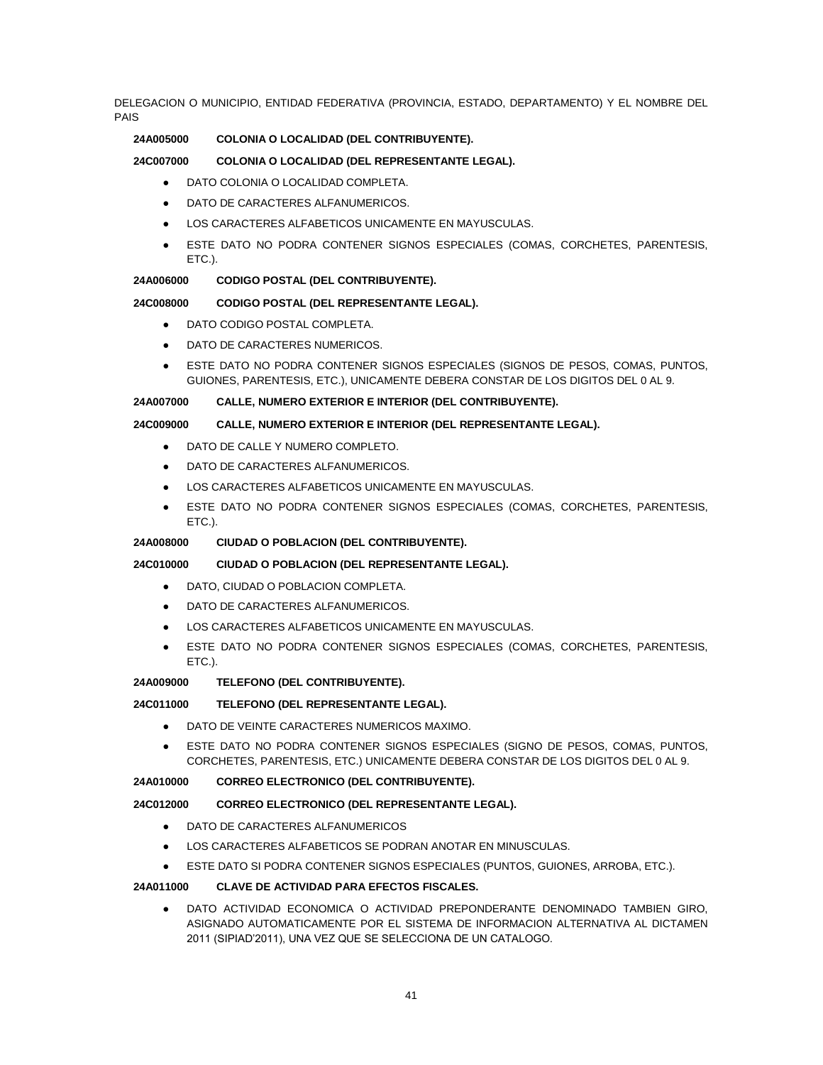DELEGACION O MUNICIPIO, ENTIDAD FEDERATIVA (PROVINCIA, ESTADO, DEPARTAMENTO) Y EL NOMBRE DEL PAIS

# **24A005000 COLONIA O LOCALIDAD (DEL CONTRIBUYENTE).**

## **24C007000 COLONIA O LOCALIDAD (DEL REPRESENTANTE LEGAL).**

- DATO COLONIA O LOCALIDAD COMPLETA.
- DATO DE CARACTERES ALFANUMERICOS.
- LOS CARACTERES ALFABETICOS UNICAMENTE EN MAYUSCULAS.
- ESTE DATO NO PODRA CONTENER SIGNOS ESPECIALES (COMAS, CORCHETES, PARENTESIS, ETC.).

#### **24A006000 CODIGO POSTAL (DEL CONTRIBUYENTE).**

#### **24C008000 CODIGO POSTAL (DEL REPRESENTANTE LEGAL).**

- DATO CODIGO POSTAL COMPLETA.
- DATO DE CARACTERES NUMERICOS.
- ESTE DATO NO PODRA CONTENER SIGNOS ESPECIALES (SIGNOS DE PESOS, COMAS, PUNTOS, GUIONES, PARENTESIS, ETC.), UNICAMENTE DEBERA CONSTAR DE LOS DIGITOS DEL 0 AL 9.

#### **24A007000 CALLE, NUMERO EXTERIOR E INTERIOR (DEL CONTRIBUYENTE).**

#### **24C009000 CALLE, NUMERO EXTERIOR E INTERIOR (DEL REPRESENTANTE LEGAL).**

- DATO DE CALLE Y NUMERO COMPLETO.
- DATO DE CARACTERES ALFANUMERICOS.
- LOS CARACTERES ALFABETICOS UNICAMENTE EN MAYUSCULAS.
- ESTE DATO NO PODRA CONTENER SIGNOS ESPECIALES (COMAS, CORCHETES, PARENTESIS, ETC.).

#### **24A008000 CIUDAD O POBLACION (DEL CONTRIBUYENTE).**

### **24C010000 CIUDAD O POBLACION (DEL REPRESENTANTE LEGAL).**

- DATO, CIUDAD O POBLACION COMPLETA.
- DATO DE CARACTERES ALFANUMERICOS.
- LOS CARACTERES ALFABETICOS UNICAMENTE EN MAYUSCULAS.
- ESTE DATO NO PODRA CONTENER SIGNOS ESPECIALES (COMAS, CORCHETES, PARENTESIS, ETC.).

### **24A009000 TELEFONO (DEL CONTRIBUYENTE).**

# **24C011000 TELEFONO (DEL REPRESENTANTE LEGAL).**

- DATO DE VEINTE CARACTERES NUMERICOS MAXIMO.
- ESTE DATO NO PODRA CONTENER SIGNOS ESPECIALES (SIGNO DE PESOS, COMAS, PUNTOS, CORCHETES, PARENTESIS, ETC.) UNICAMENTE DEBERA CONSTAR DE LOS DIGITOS DEL 0 AL 9.

### **24A010000 CORREO ELECTRONICO (DEL CONTRIBUYENTE).**

# **24C012000 CORREO ELECTRONICO (DEL REPRESENTANTE LEGAL).**

- DATO DE CARACTERES ALFANUMERICOS
- LOS CARACTERES ALFABETICOS SE PODRAN ANOTAR EN MINUSCULAS.
- ESTE DATO SI PODRA CONTENER SIGNOS ESPECIALES (PUNTOS, GUIONES, ARROBA, ETC.).

### **24A011000 CLAVE DE ACTIVIDAD PARA EFECTOS FISCALES.**

DATO ACTIVIDAD ECONOMICA O ACTIVIDAD PREPONDERANTE DENOMINADO TAMBIEN GIRO, ASIGNADO AUTOMATICAMENTE POR EL SISTEMA DE INFORMACION ALTERNATIVA AL DICTAMEN 2011 (SIPIAD'2011), UNA VEZ QUE SE SELECCIONA DE UN CATALOGO.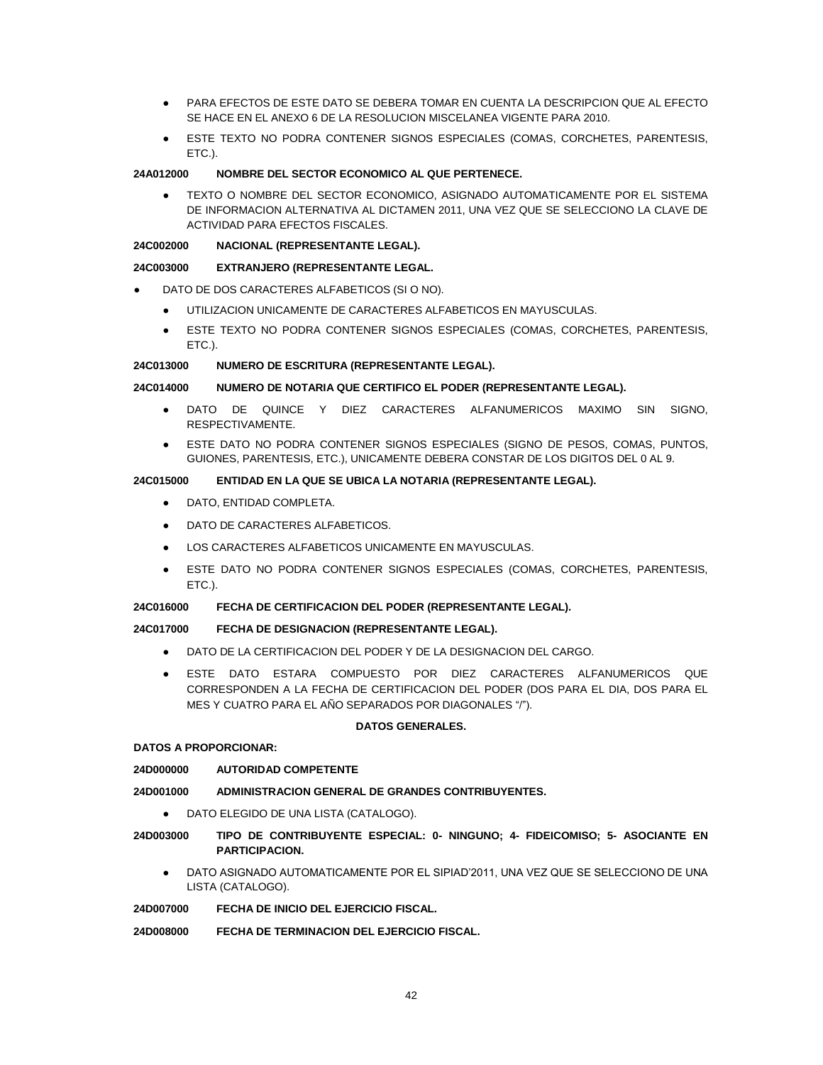- PARA EFECTOS DE ESTE DATO SE DEBERA TOMAR EN CUENTA LA DESCRIPCION QUE AL EFECTO SE HACE EN EL ANEXO 6 DE LA RESOLUCION MISCELANEA VIGENTE PARA 2010.
- ESTE TEXTO NO PODRA CONTENER SIGNOS ESPECIALES (COMAS, CORCHETES, PARENTESIS, ETC.).

## **24A012000 NOMBRE DEL SECTOR ECONOMICO AL QUE PERTENECE.**

TEXTO O NOMBRE DEL SECTOR ECONOMICO, ASIGNADO AUTOMATICAMENTE POR EL SISTEMA DE INFORMACION ALTERNATIVA AL DICTAMEN 2011, UNA VEZ QUE SE SELECCIONO LA CLAVE DE ACTIVIDAD PARA EFECTOS FISCALES.

### **24C002000 NACIONAL (REPRESENTANTE LEGAL).**

### **24C003000 EXTRANJERO (REPRESENTANTE LEGAL.**

- DATO DE DOS CARACTERES ALFABETICOS (SI O NO).
	- UTILIZACION UNICAMENTE DE CARACTERES ALFABETICOS EN MAYUSCULAS.
	- ESTE TEXTO NO PODRA CONTENER SIGNOS ESPECIALES (COMAS, CORCHETES, PARENTESIS, ETC.).

### **24C013000 NUMERO DE ESCRITURA (REPRESENTANTE LEGAL).**

### **24C014000 NUMERO DE NOTARIA QUE CERTIFICO EL PODER (REPRESENTANTE LEGAL).**

- DATO DE QUINCE Y DIEZ CARACTERES ALFANUMERICOS MAXIMO SIN SIGNO. RESPECTIVAMENTE.
- ESTE DATO NO PODRA CONTENER SIGNOS ESPECIALES (SIGNO DE PESOS, COMAS, PUNTOS, GUIONES, PARENTESIS, ETC.), UNICAMENTE DEBERA CONSTAR DE LOS DIGITOS DEL 0 AL 9.

### **24C015000 ENTIDAD EN LA QUE SE UBICA LA NOTARIA (REPRESENTANTE LEGAL).**

- DATO, ENTIDAD COMPLETA.
- DATO DE CARACTERES ALFABETICOS.
- LOS CARACTERES ALFABETICOS UNICAMENTE EN MAYUSCULAS.
- ESTE DATO NO PODRA CONTENER SIGNOS ESPECIALES (COMAS, CORCHETES, PARENTESIS, ETC.).

### **24C016000 FECHA DE CERTIFICACION DEL PODER (REPRESENTANTE LEGAL).**

# **24C017000 FECHA DE DESIGNACION (REPRESENTANTE LEGAL).**

- DATO DE LA CERTIFICACION DEL PODER Y DE LA DESIGNACION DEL CARGO.
- ESTE DATO ESTARA COMPUESTO POR DIEZ CARACTERES ALFANUMERICOS QUE CORRESPONDEN A LA FECHA DE CERTIFICACION DEL PODER (DOS PARA EL DIA, DOS PARA EL MES Y CUATRO PARA EL AÑO SEPARADOS POR DIAGONALES "/").

#### **DATOS GENERALES.**

## **DATOS A PROPORCIONAR:**

# **24D000000 AUTORIDAD COMPETENTE**

# **24D001000 ADMINISTRACION GENERAL DE GRANDES CONTRIBUYENTES.**

● DATO ELEGIDO DE UNA LISTA (CATALOGO).

# **24D003000 TIPO DE CONTRIBUYENTE ESPECIAL: 0- NINGUNO; 4- FIDEICOMISO; 5- ASOCIANTE EN PARTICIPACION.**

DATO ASIGNADO AUTOMATICAMENTE POR EL SIPIAD'2011, UNA VEZ QUE SE SELECCIONO DE UNA LISTA (CATALOGO).

#### **24D007000 FECHA DE INICIO DEL EJERCICIO FISCAL.**

**24D008000 FECHA DE TERMINACION DEL EJERCICIO FISCAL.**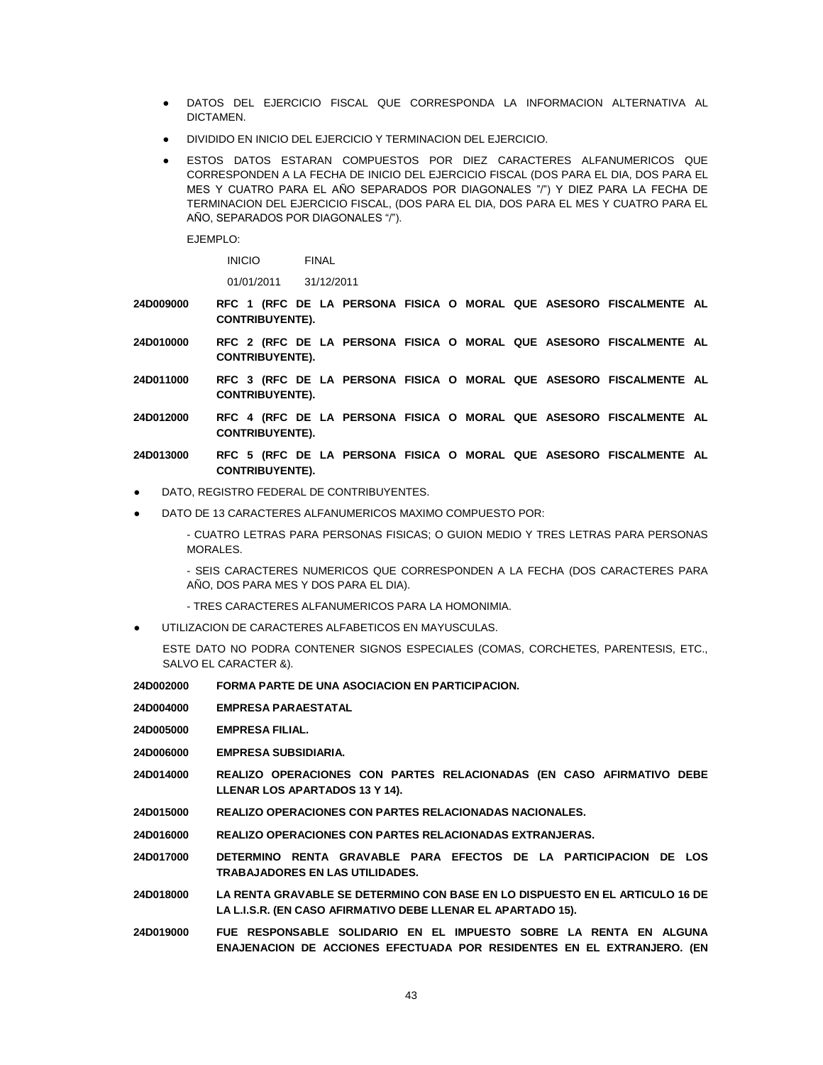- DATOS DEL EJERCICIO FISCAL QUE CORRESPONDA LA INFORMACION ALTERNATIVA AL DICTAMEN.
- DIVIDIDO EN INICIO DEL EJERCICIO Y TERMINACION DEL EJERCICIO.
- ESTOS DATOS ESTARAN COMPUESTOS POR DIEZ CARACTERES ALFANUMERICOS QUE CORRESPONDEN A LA FECHA DE INICIO DEL EJERCICIO FISCAL (DOS PARA EL DIA, DOS PARA EL MES Y CUATRO PARA EL AÑO SEPARADOS POR DIAGONALES "/") Y DIEZ PARA LA FECHA DE TERMINACION DEL EJERCICIO FISCAL, (DOS PARA EL DIA, DOS PARA EL MES Y CUATRO PARA EL AÑO, SEPARADOS POR DIAGONALES "/").

EJEMPLO:

INICIO FINAL

01/01/2011 31/12/2011

- **24D009000 RFC 1 (RFC DE LA PERSONA FISICA O MORAL QUE ASESORO FISCALMENTE AL CONTRIBUYENTE).**
- **24D010000 RFC 2 (RFC DE LA PERSONA FISICA O MORAL QUE ASESORO FISCALMENTE AL CONTRIBUYENTE).**
- **24D011000 RFC 3 (RFC DE LA PERSONA FISICA O MORAL QUE ASESORO FISCALMENTE AL CONTRIBUYENTE).**
- **24D012000 RFC 4 (RFC DE LA PERSONA FISICA O MORAL QUE ASESORO FISCALMENTE AL CONTRIBUYENTE).**
- **24D013000 RFC 5 (RFC DE LA PERSONA FISICA O MORAL QUE ASESORO FISCALMENTE AL CONTRIBUYENTE).**
- DATO, REGISTRO FEDERAL DE CONTRIBUYENTES.
- DATO DE 13 CARACTERES ALFANUMERICOS MAXIMO COMPUESTO POR:

- CUATRO LETRAS PARA PERSONAS FISICAS; O GUION MEDIO Y TRES LETRAS PARA PERSONAS MORALES.

- SEIS CARACTERES NUMERICOS QUE CORRESPONDEN A LA FECHA (DOS CARACTERES PARA AÑO, DOS PARA MES Y DOS PARA EL DIA).

- TRES CARACTERES ALFANUMERICOS PARA LA HOMONIMIA.
- UTILIZACION DE CARACTERES ALFABETICOS EN MAYUSCULAS.

ESTE DATO NO PODRA CONTENER SIGNOS ESPECIALES (COMAS, CORCHETES, PARENTESIS, ETC., SALVO EL CARACTER &).

- **24D002000 FORMA PARTE DE UNA ASOCIACION EN PARTICIPACION.**
- **24D004000 EMPRESA PARAESTATAL**
- **24D005000 EMPRESA FILIAL.**
- **24D006000 EMPRESA SUBSIDIARIA.**
- **24D014000 REALIZO OPERACIONES CON PARTES RELACIONADAS (EN CASO AFIRMATIVO DEBE LLENAR LOS APARTADOS 13 Y 14).**
- **24D015000 REALIZO OPERACIONES CON PARTES RELACIONADAS NACIONALES.**
- **24D016000 REALIZO OPERACIONES CON PARTES RELACIONADAS EXTRANJERAS.**
- **24D017000 DETERMINO RENTA GRAVABLE PARA EFECTOS DE LA PARTICIPACION DE LOS TRABAJADORES EN LAS UTILIDADES.**
- **24D018000 LA RENTA GRAVABLE SE DETERMINO CON BASE EN LO DISPUESTO EN EL ARTICULO 16 DE LA L.I.S.R. (EN CASO AFIRMATIVO DEBE LLENAR EL APARTADO 15).**
- **24D019000 FUE RESPONSABLE SOLIDARIO EN EL IMPUESTO SOBRE LA RENTA EN ALGUNA ENAJENACION DE ACCIONES EFECTUADA POR RESIDENTES EN EL EXTRANJERO. (EN**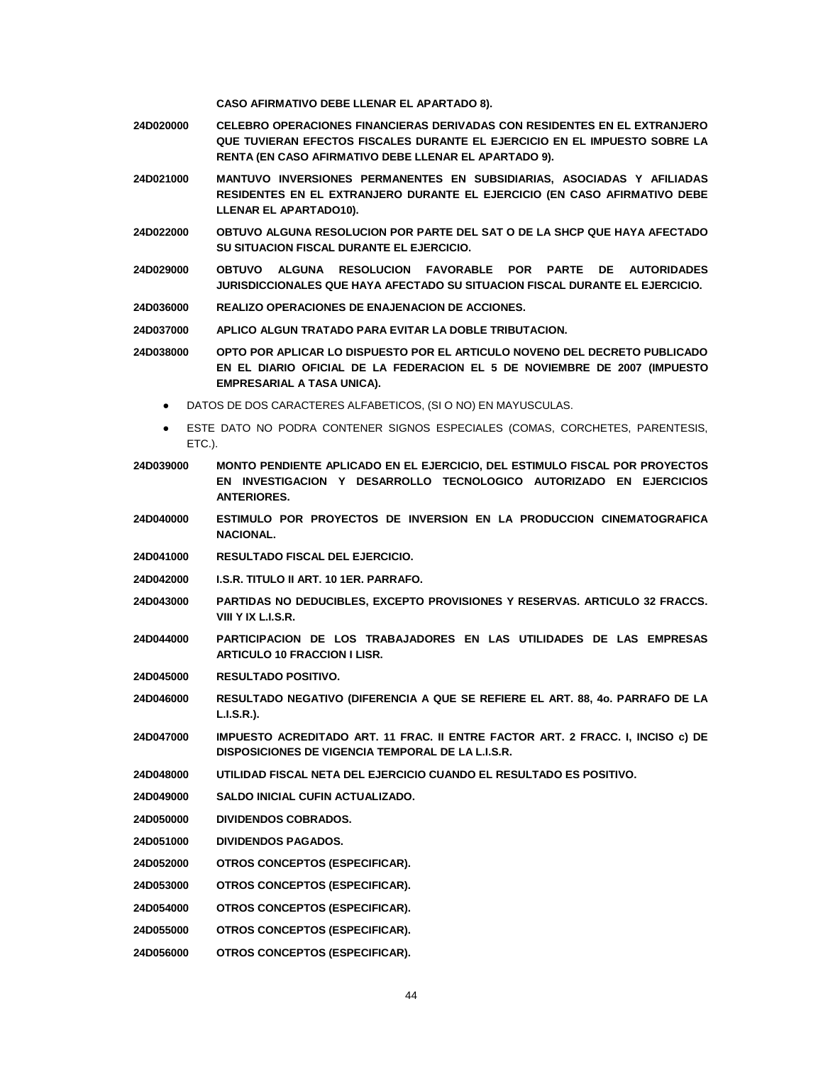**CASO AFIRMATIVO DEBE LLENAR EL APARTADO 8).**

- **24D020000 CELEBRO OPERACIONES FINANCIERAS DERIVADAS CON RESIDENTES EN EL EXTRANJERO QUE TUVIERAN EFECTOS FISCALES DURANTE EL EJERCICIO EN EL IMPUESTO SOBRE LA RENTA (EN CASO AFIRMATIVO DEBE LLENAR EL APARTADO 9).**
- **24D021000 MANTUVO INVERSIONES PERMANENTES EN SUBSIDIARIAS, ASOCIADAS Y AFILIADAS RESIDENTES EN EL EXTRANJERO DURANTE EL EJERCICIO (EN CASO AFIRMATIVO DEBE LLENAR EL APARTADO10).**
- **24D022000 OBTUVO ALGUNA RESOLUCION POR PARTE DEL SAT O DE LA SHCP QUE HAYA AFECTADO SU SITUACION FISCAL DURANTE EL EJERCICIO.**
- **24D029000 OBTUVO ALGUNA RESOLUCION FAVORABLE POR PARTE DE AUTORIDADES JURISDICCIONALES QUE HAYA AFECTADO SU SITUACION FISCAL DURANTE EL EJERCICIO.**
- **24D036000 REALIZO OPERACIONES DE ENAJENACION DE ACCIONES.**

**24D037000 APLICO ALGUN TRATADO PARA EVITAR LA DOBLE TRIBUTACION.**

**24D038000 OPTO POR APLICAR LO DISPUESTO POR EL ARTICULO NOVENO DEL DECRETO PUBLICADO EN EL DIARIO OFICIAL DE LA FEDERACION EL 5 DE NOVIEMBRE DE 2007 (IMPUESTO EMPRESARIAL A TASA UNICA).**

- DATOS DE DOS CARACTERES ALFABETICOS, (SI O NO) EN MAYUSCULAS.
- ESTE DATO NO PODRA CONTENER SIGNOS ESPECIALES (COMAS, CORCHETES, PARENTESIS, ETC.).
- **24D039000 MONTO PENDIENTE APLICADO EN EL EJERCICIO, DEL ESTIMULO FISCAL POR PROYECTOS EN INVESTIGACION Y DESARROLLO TECNOLOGICO AUTORIZADO EN EJERCICIOS ANTERIORES.**
- **24D040000 ESTIMULO POR PROYECTOS DE INVERSION EN LA PRODUCCION CINEMATOGRAFICA NACIONAL.**
- **24D041000 RESULTADO FISCAL DEL EJERCICIO.**
- **24D042000 I.S.R. TITULO II ART. 10 1ER. PARRAFO.**
- **24D043000 PARTIDAS NO DEDUCIBLES, EXCEPTO PROVISIONES Y RESERVAS. ARTICULO 32 FRACCS. VIII Y IX L.I.S.R.**
- **24D044000 PARTICIPACION DE LOS TRABAJADORES EN LAS UTILIDADES DE LAS EMPRESAS ARTICULO 10 FRACCION I LISR.**
- **24D045000 RESULTADO POSITIVO.**
- **24D046000 RESULTADO NEGATIVO (DIFERENCIA A QUE SE REFIERE EL ART. 88, 4o. PARRAFO DE LA L.I.S.R.).**
- **24D047000 IMPUESTO ACREDITADO ART. 11 FRAC. II ENTRE FACTOR ART. 2 FRACC. I, INCISO c) DE DISPOSICIONES DE VIGENCIA TEMPORAL DE LA L.I.S.R.**
- **24D048000 UTILIDAD FISCAL NETA DEL EJERCICIO CUANDO EL RESULTADO ES POSITIVO.**
- **24D049000 SALDO INICIAL CUFIN ACTUALIZADO.**
- **24D050000 DIVIDENDOS COBRADOS.**
- **24D051000 DIVIDENDOS PAGADOS.**
- **24D052000 OTROS CONCEPTOS (ESPECIFICAR).**
- **24D053000 OTROS CONCEPTOS (ESPECIFICAR).**
- **24D054000 OTROS CONCEPTOS (ESPECIFICAR).**
- **24D055000 OTROS CONCEPTOS (ESPECIFICAR).**
- **24D056000 OTROS CONCEPTOS (ESPECIFICAR).**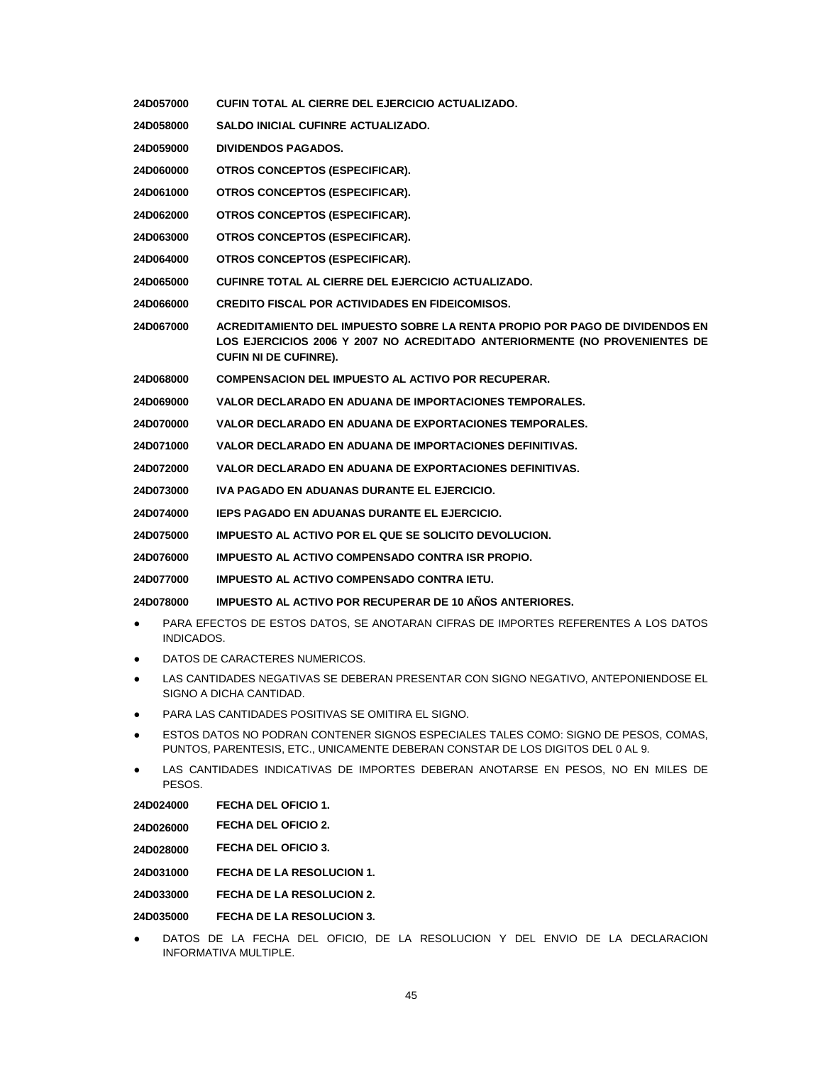- **24D057000 CUFIN TOTAL AL CIERRE DEL EJERCICIO ACTUALIZADO. 24D058000 SALDO INICIAL CUFINRE ACTUALIZADO. 24D059000 DIVIDENDOS PAGADOS. 24D060000 OTROS CONCEPTOS (ESPECIFICAR). 24D061000 OTROS CONCEPTOS (ESPECIFICAR). 24D062000 OTROS CONCEPTOS (ESPECIFICAR). 24D063000 OTROS CONCEPTOS (ESPECIFICAR). 24D064000 OTROS CONCEPTOS (ESPECIFICAR). 24D065000 CUFINRE TOTAL AL CIERRE DEL EJERCICIO ACTUALIZADO. 24D066000 CREDITO FISCAL POR ACTIVIDADES EN FIDEICOMISOS. 24D067000 ACREDITAMIENTO DEL IMPUESTO SOBRE LA RENTA PROPIO POR PAGO DE DIVIDENDOS EN LOS EJERCICIOS 2006 Y 2007 NO ACREDITADO ANTERIORMENTE (NO PROVENIENTES DE CUFIN NI DE CUFINRE). 24D068000 COMPENSACION DEL IMPUESTO AL ACTIVO POR RECUPERAR. 24D069000 VALOR DECLARADO EN ADUANA DE IMPORTACIONES TEMPORALES. 24D070000 VALOR DECLARADO EN ADUANA DE EXPORTACIONES TEMPORALES. 24D071000 VALOR DECLARADO EN ADUANA DE IMPORTACIONES DEFINITIVAS. 24D072000 VALOR DECLARADO EN ADUANA DE EXPORTACIONES DEFINITIVAS. 24D073000 IVA PAGADO EN ADUANAS DURANTE EL EJERCICIO. 24D074000 IEPS PAGADO EN ADUANAS DURANTE EL EJERCICIO. 24D075000 IMPUESTO AL ACTIVO POR EL QUE SE SOLICITO DEVOLUCION. 24D076000 IMPUESTO AL ACTIVO COMPENSADO CONTRA ISR PROPIO. 24D077000 IMPUESTO AL ACTIVO COMPENSADO CONTRA IETU. 24D078000 IMPUESTO AL ACTIVO POR RECUPERAR DE 10 AÑOS ANTERIORES.** PARA EFECTOS DE ESTOS DATOS, SE ANOTARAN CIFRAS DE IMPORTES REFERENTES A LOS DATOS INDICADOS. DATOS DE CARACTERES NUMERICOS. LAS CANTIDADES NEGATIVAS SE DEBERAN PRESENTAR CON SIGNO NEGATIVO, ANTEPONIENDOSE EL SIGNO A DICHA CANTIDAD. PARA LAS CANTIDADES POSITIVAS SE OMITIRA EL SIGNO. ESTOS DATOS NO PODRAN CONTENER SIGNOS ESPECIALES TALES COMO: SIGNO DE PESOS, COMAS, PUNTOS, PARENTESIS, ETC., UNICAMENTE DEBERAN CONSTAR DE LOS DIGITOS DEL 0 AL 9. LAS CANTIDADES INDICATIVAS DE IMPORTES DEBERAN ANOTARSE EN PESOS, NO EN MILES DE PESOS. **24D024000 FECHA DEL OFICIO 1. 24D026000 FECHA DEL OFICIO 2. 24D028000 FECHA DEL OFICIO 3. 24D031000 FECHA DE LA RESOLUCION 1.**
- **24D033000 FECHA DE LA RESOLUCION 2.**

**24D035000 FECHA DE LA RESOLUCION 3.**

DATOS DE LA FECHA DEL OFICIO, DE LA RESOLUCION Y DEL ENVIO DE LA DECLARACION INFORMATIVA MULTIPLE.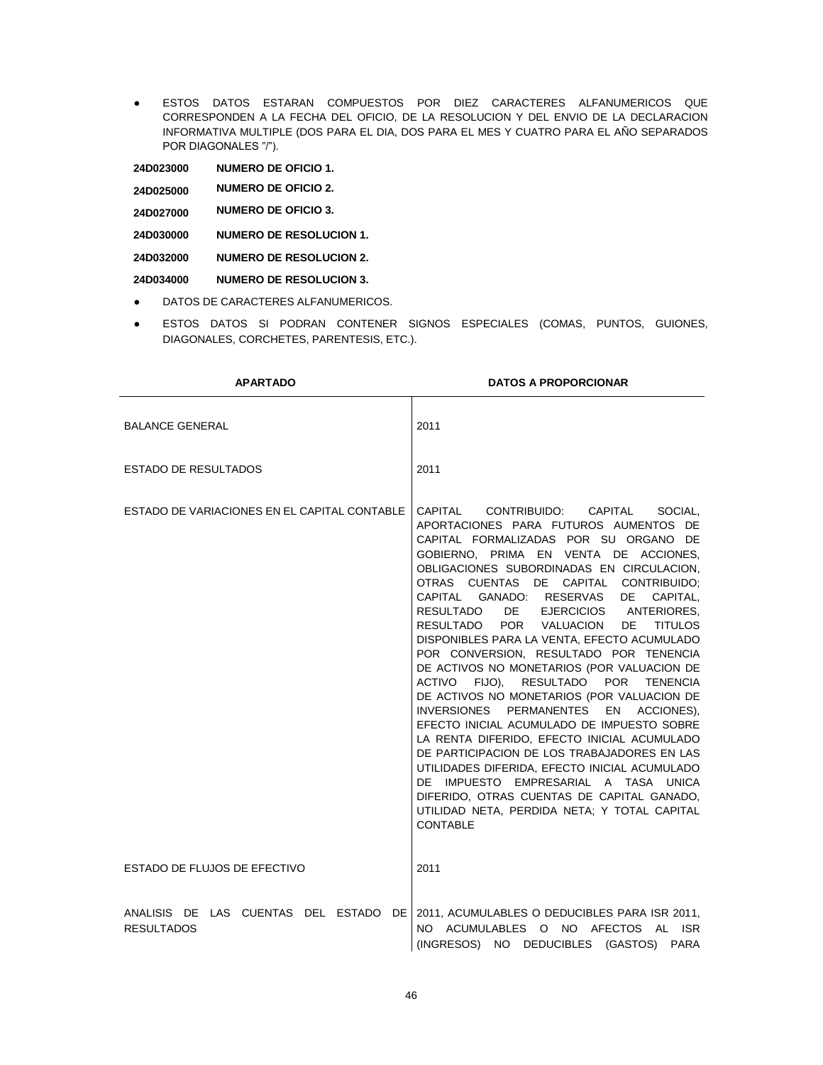● ESTOS DATOS ESTARAN COMPUESTOS POR DIEZ CARACTERES ALFANUMERICOS QUE CORRESPONDEN A LA FECHA DEL OFICIO, DE LA RESOLUCION Y DEL ENVIO DE LA DECLARACION INFORMATIVA MULTIPLE (DOS PARA EL DIA, DOS PARA EL MES Y CUATRO PARA EL AÑO SEPARADOS POR DIAGONALES "/").

**24D023000 NUMERO DE OFICIO 1.**

- **24D025000 NUMERO DE OFICIO 2.**
- **24D027000 NUMERO DE OFICIO 3.**
- **24D030000 NUMERO DE RESOLUCION 1.**
- **24D032000 NUMERO DE RESOLUCION 2.**
- **24D034000 NUMERO DE RESOLUCION 3.**
- DATOS DE CARACTERES ALFANUMERICOS.
- ESTOS DATOS SI PODRAN CONTENER SIGNOS ESPECIALES (COMAS, PUNTOS, GUIONES, DIAGONALES, CORCHETES, PARENTESIS, ETC.).

| <b>APARTADO</b>                              | <b>DATOS A PROPORCIONAR</b>                                                                                                                                                                                                                                                                                                                                                                                                                                                                                                                                                                                                                                                                                                                                                                                                                                                                                                                                                                                                  |
|----------------------------------------------|------------------------------------------------------------------------------------------------------------------------------------------------------------------------------------------------------------------------------------------------------------------------------------------------------------------------------------------------------------------------------------------------------------------------------------------------------------------------------------------------------------------------------------------------------------------------------------------------------------------------------------------------------------------------------------------------------------------------------------------------------------------------------------------------------------------------------------------------------------------------------------------------------------------------------------------------------------------------------------------------------------------------------|
| <b>BALANCE GENERAL</b>                       | 2011                                                                                                                                                                                                                                                                                                                                                                                                                                                                                                                                                                                                                                                                                                                                                                                                                                                                                                                                                                                                                         |
| <b>ESTADO DE RESULTADOS</b>                  | 2011                                                                                                                                                                                                                                                                                                                                                                                                                                                                                                                                                                                                                                                                                                                                                                                                                                                                                                                                                                                                                         |
| ESTADO DE VARIACIONES EN EL CAPITAL CONTABLE | CAPITAL CONTRIBUIDO: CAPITAL<br>SOCIAL.<br>APORTACIONES PARA FUTUROS AUMENTOS DE<br>CAPITAL FORMALIZADAS POR SU ORGANO DE<br>GOBIERNO. PRIMA EN VENTA DE ACCIONES.<br>OBLIGACIONES SUBORDINADAS EN CIRCULACION,<br>OTRAS CUENTAS DE CAPITAL CONTRIBUIDO:<br>CAPITAL GANADO: RESERVAS DE<br>CAPITAL,<br>DE EJERCICIOS ANTERIORES,<br>RESULTADO<br>RESULTADO POR VALUACION DE<br><b>TITULOS</b><br>DISPONIBLES PARA LA VENTA, EFECTO ACUMULADO<br>POR CONVERSION, RESULTADO POR TENENCIA<br>DE ACTIVOS NO MONETARIOS (POR VALUACION DE<br>ACTIVO FIJO), RESULTADO POR TENENCIA<br>DE ACTIVOS NO MONETARIOS (POR VALUACION DE<br>INVERSIONES PERMANENTES<br>EN ACCIONES),<br>EFECTO INICIAL ACUMULADO DE IMPUESTO SOBRE<br>LA RENTA DIFERIDO, EFECTO INICIAL ACUMULADO<br>DE PARTICIPACION DE LOS TRABAJADORES EN LAS<br>UTILIDADES DIFERIDA, EFECTO INICIAL ACUMULADO<br>DE IMPUESTO EMPRESARIAL A TASA UNICA<br>DIFERIDO, OTRAS CUENTAS DE CAPITAL GANADO,<br>UTILIDAD NETA, PERDIDA NETA; Y TOTAL CAPITAL<br><b>CONTABLE</b> |
| ESTADO DE FLUJOS DE EFECTIVO                 | 2011                                                                                                                                                                                                                                                                                                                                                                                                                                                                                                                                                                                                                                                                                                                                                                                                                                                                                                                                                                                                                         |
| <b>RESULTADOS</b>                            | ANALISIS DE LAS CUENTAS DEL ESTADO DE 2011, ACUMULABLES O DEDUCIBLES PARA ISR 2011,<br>NO ACUMULABLES O NO AFECTOS AL ISR<br>(INGRESOS) NO DEDUCIBLES (GASTOS)<br><b>PARA</b>                                                                                                                                                                                                                                                                                                                                                                                                                                                                                                                                                                                                                                                                                                                                                                                                                                                |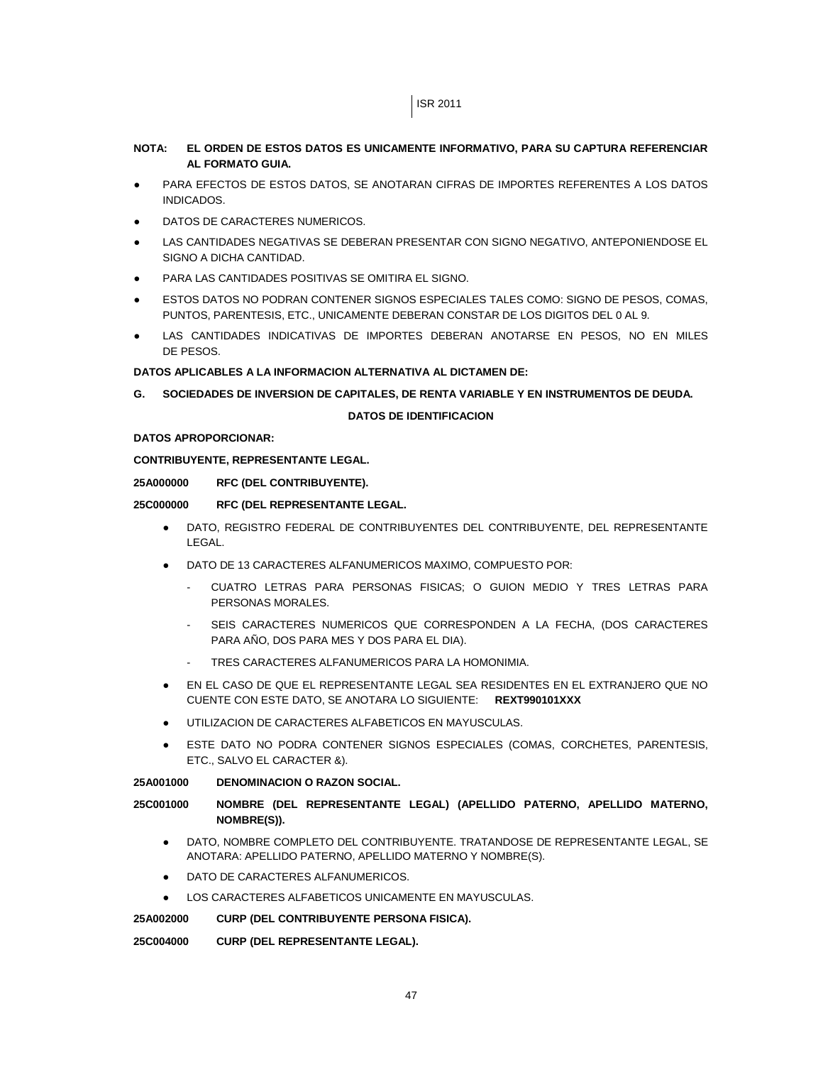# ISR 2011

# **NOTA: EL ORDEN DE ESTOS DATOS ES UNICAMENTE INFORMATIVO, PARA SU CAPTURA REFERENCIAR AL FORMATO GUIA.**

- PARA EFECTOS DE ESTOS DATOS, SE ANOTARAN CIFRAS DE IMPORTES REFERENTES A LOS DATOS INDICADOS.
- DATOS DE CARACTERES NUMERICOS.
- LAS CANTIDADES NEGATIVAS SE DEBERAN PRESENTAR CON SIGNO NEGATIVO, ANTEPONIENDOSE EL SIGNO A DICHA CANTIDAD.
- PARA LAS CANTIDADES POSITIVAS SE OMITIRA EL SIGNO.
- ESTOS DATOS NO PODRAN CONTENER SIGNOS ESPECIALES TALES COMO: SIGNO DE PESOS, COMAS, PUNTOS, PARENTESIS, ETC., UNICAMENTE DEBERAN CONSTAR DE LOS DIGITOS DEL 0 AL 9.
- LAS CANTIDADES INDICATIVAS DE IMPORTES DEBERAN ANOTARSE EN PESOS, NO EN MILES DE PESOS.

# **DATOS APLICABLES A LA INFORMACION ALTERNATIVA AL DICTAMEN DE:**

**G. SOCIEDADES DE INVERSION DE CAPITALES, DE RENTA VARIABLE Y EN INSTRUMENTOS DE DEUDA.**

# **DATOS DE IDENTIFICACION**

# **DATOS APROPORCIONAR:**

# **CONTRIBUYENTE, REPRESENTANTE LEGAL.**

# **25A000000 RFC (DEL CONTRIBUYENTE).**

# **25C000000 RFC (DEL REPRESENTANTE LEGAL.**

- DATO, REGISTRO FEDERAL DE CONTRIBUYENTES DEL CONTRIBUYENTE, DEL REPRESENTANTE LEGAL.
- DATO DE 13 CARACTERES ALFANUMERICOS MAXIMO, COMPUESTO POR:
	- CUATRO LETRAS PARA PERSONAS FISICAS; O GUION MEDIO Y TRES LETRAS PARA PERSONAS MORALES.
	- SEIS CARACTERES NUMERICOS QUE CORRESPONDEN A LA FECHA, (DOS CARACTERES PARA AÑO, DOS PARA MES Y DOS PARA EL DIA).
	- TRES CARACTERES ALFANUMERICOS PARA LA HOMONIMIA.
- EN EL CASO DE QUE EL REPRESENTANTE LEGAL SEA RESIDENTES EN EL EXTRANJERO QUE NO CUENTE CON ESTE DATO, SE ANOTARA LO SIGUIENTE: **REXT990101XXX**
- UTILIZACION DE CARACTERES ALFABETICOS EN MAYUSCULAS.
- ESTE DATO NO PODRA CONTENER SIGNOS ESPECIALES (COMAS, CORCHETES, PARENTESIS, ETC., SALVO EL CARACTER &).

# **25A001000 DENOMINACION O RAZON SOCIAL.**

# **25C001000 NOMBRE (DEL REPRESENTANTE LEGAL) (APELLIDO PATERNO, APELLIDO MATERNO, NOMBRE(S)).**

- DATO, NOMBRE COMPLETO DEL CONTRIBUYENTE. TRATANDOSE DE REPRESENTANTE LEGAL, SE ANOTARA: APELLIDO PATERNO, APELLIDO MATERNO Y NOMBRE(S).
- DATO DE CARACTERES ALFANUMERICOS.
- LOS CARACTERES ALFABETICOS UNICAMENTE EN MAYUSCULAS.

# **25A002000 CURP (DEL CONTRIBUYENTE PERSONA FISICA).**

# **25C004000 CURP (DEL REPRESENTANTE LEGAL).**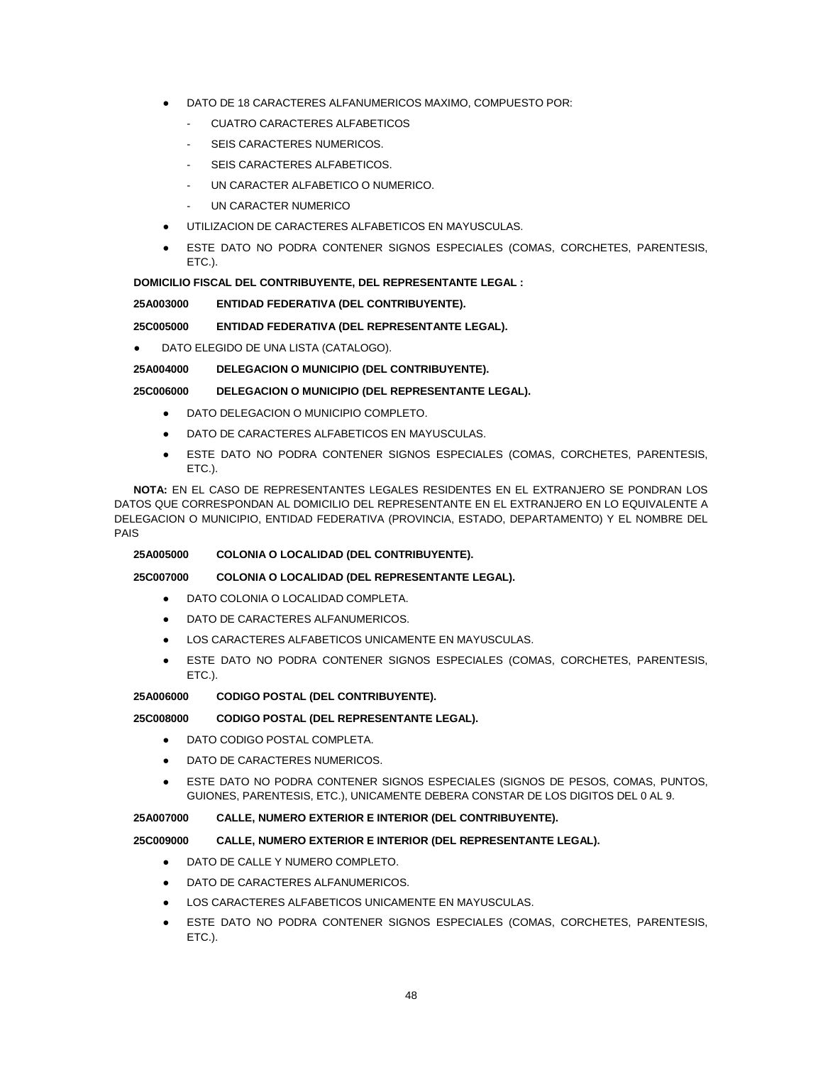- DATO DE 18 CARACTERES ALFANUMERICOS MAXIMO, COMPUESTO POR:
	- CUATRO CARACTERES ALFABETICOS
	- SEIS CARACTERES NUMERICOS.
	- SEIS CARACTERES ALFABETICOS.
	- UN CARACTER ALFABETICO O NUMERICO.
	- UN CARACTER NUMERICO
- UTILIZACION DE CARACTERES ALFABETICOS EN MAYUSCULAS.
- ESTE DATO NO PODRA CONTENER SIGNOS ESPECIALES (COMAS, CORCHETES, PARENTESIS, ETC.).

# **DOMICILIO FISCAL DEL CONTRIBUYENTE, DEL REPRESENTANTE LEGAL :**

# **25A003000 ENTIDAD FEDERATIVA (DEL CONTRIBUYENTE).**

# **25C005000 ENTIDAD FEDERATIVA (DEL REPRESENTANTE LEGAL).**

DATO ELEGIDO DE UNA LISTA (CATALOGO).

# **25A004000 DELEGACION O MUNICIPIO (DEL CONTRIBUYENTE).**

# **25C006000 DELEGACION O MUNICIPIO (DEL REPRESENTANTE LEGAL).**

- DATO DELEGACION O MUNICIPIO COMPLETO.
- DATO DE CARACTERES ALFABETICOS EN MAYUSCULAS.
- ESTE DATO NO PODRA CONTENER SIGNOS ESPECIALES (COMAS, CORCHETES, PARENTESIS, ETC.).

**NOTA:** EN EL CASO DE REPRESENTANTES LEGALES RESIDENTES EN EL EXTRANJERO SE PONDRAN LOS DATOS QUE CORRESPONDAN AL DOMICILIO DEL REPRESENTANTE EN EL EXTRANJERO EN LO EQUIVALENTE A DELEGACION O MUNICIPIO, ENTIDAD FEDERATIVA (PROVINCIA, ESTADO, DEPARTAMENTO) Y EL NOMBRE DEL PAIS

# **25A005000 COLONIA O LOCALIDAD (DEL CONTRIBUYENTE).**

# **25C007000 COLONIA O LOCALIDAD (DEL REPRESENTANTE LEGAL).**

- DATO COLONIA O LOCALIDAD COMPLETA.
- DATO DE CARACTERES ALFANUMERICOS.
- LOS CARACTERES ALFABETICOS UNICAMENTE EN MAYUSCULAS.
- ESTE DATO NO PODRA CONTENER SIGNOS ESPECIALES (COMAS, CORCHETES, PARENTESIS, ETC.).

# **25A006000 CODIGO POSTAL (DEL CONTRIBUYENTE).**

# **25C008000 CODIGO POSTAL (DEL REPRESENTANTE LEGAL).**

- DATO CODIGO POSTAL COMPLETA.
- DATO DE CARACTERES NUMERICOS.
- ESTE DATO NO PODRA CONTENER SIGNOS ESPECIALES (SIGNOS DE PESOS, COMAS, PUNTOS, GUIONES, PARENTESIS, ETC.), UNICAMENTE DEBERA CONSTAR DE LOS DIGITOS DEL 0 AL 9.

# **25A007000 CALLE, NUMERO EXTERIOR E INTERIOR (DEL CONTRIBUYENTE).**

# **25C009000 CALLE, NUMERO EXTERIOR E INTERIOR (DEL REPRESENTANTE LEGAL).**

- DATO DE CALLE Y NUMERO COMPLETO.
- DATO DE CARACTERES ALFANUMERICOS.
- LOS CARACTERES ALFABETICOS UNICAMENTE EN MAYUSCULAS.
- ESTE DATO NO PODRA CONTENER SIGNOS ESPECIALES (COMAS, CORCHETES, PARENTESIS, ETC.).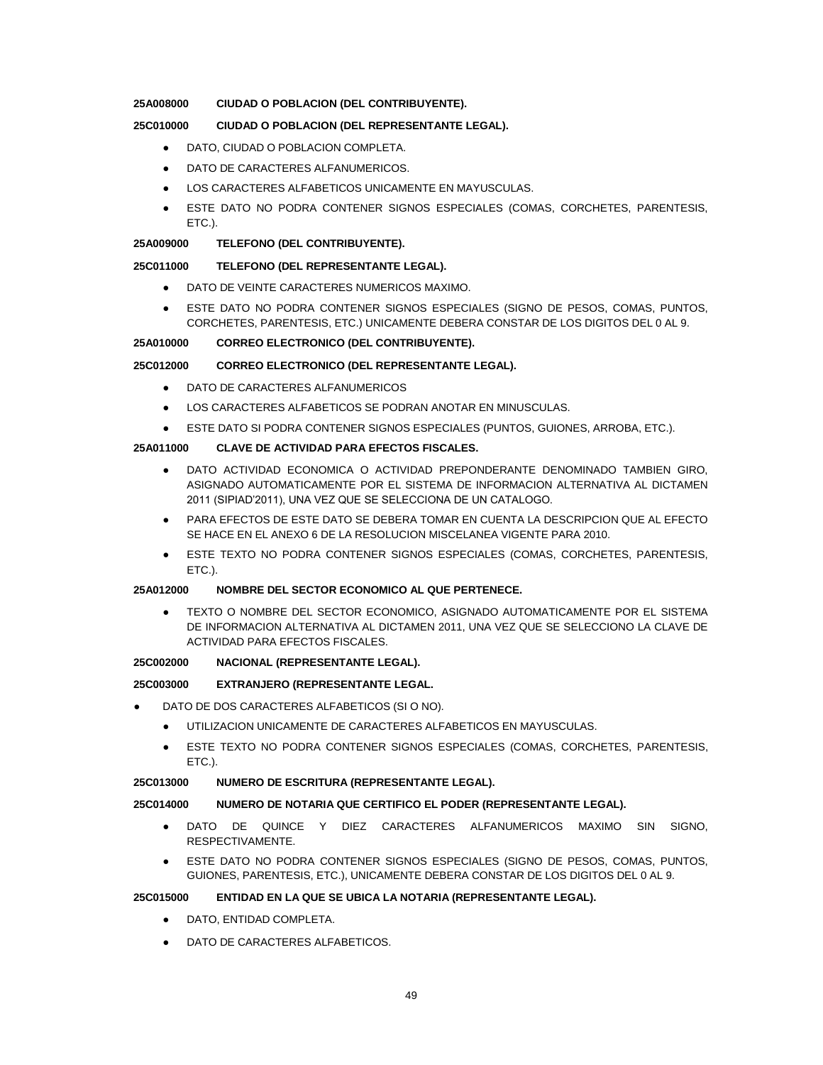### **25A008000 CIUDAD O POBLACION (DEL CONTRIBUYENTE).**

### **25C010000 CIUDAD O POBLACION (DEL REPRESENTANTE LEGAL).**

- **DATO, CIUDAD O POBLACION COMPLETA.**
- DATO DE CARACTERES ALFANUMERICOS.
- LOS CARACTERES ALFABETICOS UNICAMENTE EN MAYUSCULAS.
- ESTE DATO NO PODRA CONTENER SIGNOS ESPECIALES (COMAS, CORCHETES, PARENTESIS, ETC.).

### **25A009000 TELEFONO (DEL CONTRIBUYENTE).**

### **25C011000 TELEFONO (DEL REPRESENTANTE LEGAL).**

- DATO DE VEINTE CARACTERES NUMERICOS MAXIMO.
- ESTE DATO NO PODRA CONTENER SIGNOS ESPECIALES (SIGNO DE PESOS, COMAS, PUNTOS, CORCHETES, PARENTESIS, ETC.) UNICAMENTE DEBERA CONSTAR DE LOS DIGITOS DEL 0 AL 9.

#### **25A010000 CORREO ELECTRONICO (DEL CONTRIBUYENTE).**

#### **25C012000 CORREO ELECTRONICO (DEL REPRESENTANTE LEGAL).**

- DATO DE CARACTERES ALFANUMERICOS
- LOS CARACTERES ALFABETICOS SE PODRAN ANOTAR EN MINUSCULAS.
- ESTE DATO SI PODRA CONTENER SIGNOS ESPECIALES (PUNTOS, GUIONES, ARROBA, ETC.).

### **25A011000 CLAVE DE ACTIVIDAD PARA EFECTOS FISCALES.**

- DATO ACTIVIDAD ECONOMICA O ACTIVIDAD PREPONDERANTE DENOMINADO TAMBIEN GIRO, ASIGNADO AUTOMATICAMENTE POR EL SISTEMA DE INFORMACION ALTERNATIVA AL DICTAMEN 2011 (SIPIAD'2011), UNA VEZ QUE SE SELECCIONA DE UN CATALOGO.
- PARA EFECTOS DE ESTE DATO SE DEBERA TOMAR EN CUENTA LA DESCRIPCION QUE AL EFECTO SE HACE EN EL ANEXO 6 DE LA RESOLUCION MISCELANEA VIGENTE PARA 2010.
- ESTE TEXTO NO PODRA CONTENER SIGNOS ESPECIALES (COMAS, CORCHETES, PARENTESIS, ETC.).

#### **25A012000 NOMBRE DEL SECTOR ECONOMICO AL QUE PERTENECE.**

TEXTO O NOMBRE DEL SECTOR ECONOMICO, ASIGNADO AUTOMATICAMENTE POR EL SISTEMA DE INFORMACION ALTERNATIVA AL DICTAMEN 2011, UNA VEZ QUE SE SELECCIONO LA CLAVE DE ACTIVIDAD PARA EFECTOS FISCALES.

### **25C002000 NACIONAL (REPRESENTANTE LEGAL).**

#### **25C003000 EXTRANJERO (REPRESENTANTE LEGAL.**

- DATO DE DOS CARACTERES ALFABETICOS (SI O NO).
	- UTILIZACION UNICAMENTE DE CARACTERES ALFABETICOS EN MAYUSCULAS.
	- ESTE TEXTO NO PODRA CONTENER SIGNOS ESPECIALES (COMAS, CORCHETES, PARENTESIS, ETC.).

#### **25C013000 NUMERO DE ESCRITURA (REPRESENTANTE LEGAL).**

#### **25C014000 NUMERO DE NOTARIA QUE CERTIFICO EL PODER (REPRESENTANTE LEGAL).**

- DATO DE QUINCE Y DIEZ CARACTERES ALFANUMERICOS MAXIMO SIN SIGNO, RESPECTIVAMENTE.
- ESTE DATO NO PODRA CONTENER SIGNOS ESPECIALES (SIGNO DE PESOS, COMAS, PUNTOS, GUIONES, PARENTESIS, ETC.), UNICAMENTE DEBERA CONSTAR DE LOS DIGITOS DEL 0 AL 9.

#### **25C015000 ENTIDAD EN LA QUE SE UBICA LA NOTARIA (REPRESENTANTE LEGAL).**

- **DATO, ENTIDAD COMPLETA.**
- DATO DE CARACTERES ALFABETICOS.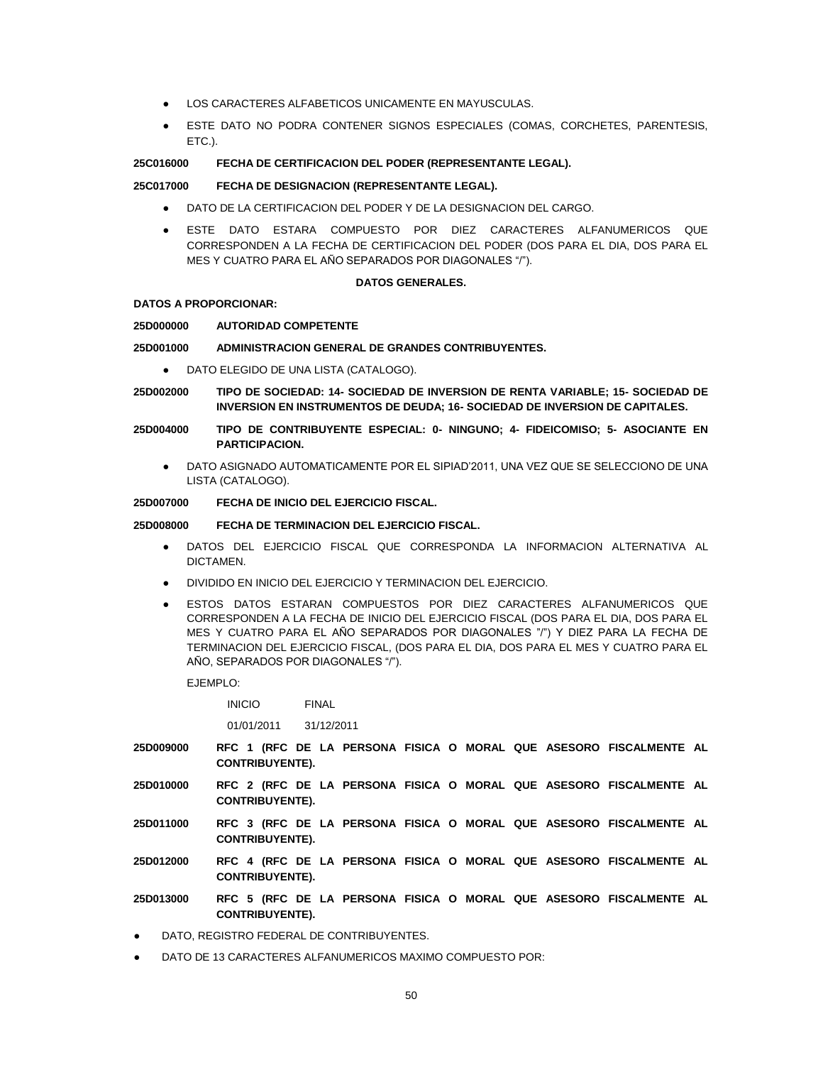- LOS CARACTERES ALFABETICOS UNICAMENTE EN MAYUSCULAS.
- ESTE DATO NO PODRA CONTENER SIGNOS ESPECIALES (COMAS, CORCHETES, PARENTESIS, ETC.).

#### **25C016000 FECHA DE CERTIFICACION DEL PODER (REPRESENTANTE LEGAL).**

#### **25C017000 FECHA DE DESIGNACION (REPRESENTANTE LEGAL).**

- DATO DE LA CERTIFICACION DEL PODER Y DE LA DESIGNACION DEL CARGO.
- ESTE DATO ESTARA COMPUESTO POR DIEZ CARACTERES ALFANUMERICOS QUE CORRESPONDEN A LA FECHA DE CERTIFICACION DEL PODER (DOS PARA EL DIA, DOS PARA EL MES Y CUATRO PARA EL AÑO SEPARADOS POR DIAGONALES "/").

#### **DATOS GENERALES.**

#### **DATOS A PROPORCIONAR:**

#### **25D000000 AUTORIDAD COMPETENTE**

#### **25D001000 ADMINISTRACION GENERAL DE GRANDES CONTRIBUYENTES.**

- DATO ELEGIDO DE UNA LISTA (CATALOGO).
- **25D002000 TIPO DE SOCIEDAD: 14- SOCIEDAD DE INVERSION DE RENTA VARIABLE; 15- SOCIEDAD DE INVERSION EN INSTRUMENTOS DE DEUDA; 16- SOCIEDAD DE INVERSION DE CAPITALES.**
- **25D004000 TIPO DE CONTRIBUYENTE ESPECIAL: 0- NINGUNO; 4- FIDEICOMISO; 5- ASOCIANTE EN PARTICIPACION.**
	- DATO ASIGNADO AUTOMATICAMENTE POR EL SIPIAD'2011, UNA VEZ QUE SE SELECCIONO DE UNA LISTA (CATALOGO).

### **25D007000 FECHA DE INICIO DEL EJERCICIO FISCAL.**

### **25D008000 FECHA DE TERMINACION DEL EJERCICIO FISCAL.**

- DATOS DEL EJERCICIO FISCAL QUE CORRESPONDA LA INFORMACION ALTERNATIVA AL DICTAMEN.
- DIVIDIDO EN INICIO DEL EJERCICIO Y TERMINACION DEL EJERCICIO.
- ESTOS DATOS ESTARAN COMPUESTOS POR DIEZ CARACTERES ALFANUMERICOS QUE CORRESPONDEN A LA FECHA DE INICIO DEL EJERCICIO FISCAL (DOS PARA EL DIA, DOS PARA EL MES Y CUATRO PARA EL AÑO SEPARADOS POR DIAGONALES "/") Y DIEZ PARA LA FECHA DE TERMINACION DEL EJERCICIO FISCAL, (DOS PARA EL DIA, DOS PARA EL MES Y CUATRO PARA EL AÑO, SEPARADOS POR DIAGONALES "/").

EJEMPLO:

INICIO FINAL

01/01/2011 31/12/2011

- **25D009000 RFC 1 (RFC DE LA PERSONA FISICA O MORAL QUE ASESORO FISCALMENTE AL CONTRIBUYENTE).**
- **25D010000 RFC 2 (RFC DE LA PERSONA FISICA O MORAL QUE ASESORO FISCALMENTE AL CONTRIBUYENTE).**
- **25D011000 RFC 3 (RFC DE LA PERSONA FISICA O MORAL QUE ASESORO FISCALMENTE AL CONTRIBUYENTE).**
- **25D012000 RFC 4 (RFC DE LA PERSONA FISICA O MORAL QUE ASESORO FISCALMENTE AL CONTRIBUYENTE).**
- **25D013000 RFC 5 (RFC DE LA PERSONA FISICA O MORAL QUE ASESORO FISCALMENTE AL CONTRIBUYENTE).**
- DATO, REGISTRO FEDERAL DE CONTRIBUYENTES.
- DATO DE 13 CARACTERES ALFANUMERICOS MAXIMO COMPUESTO POR: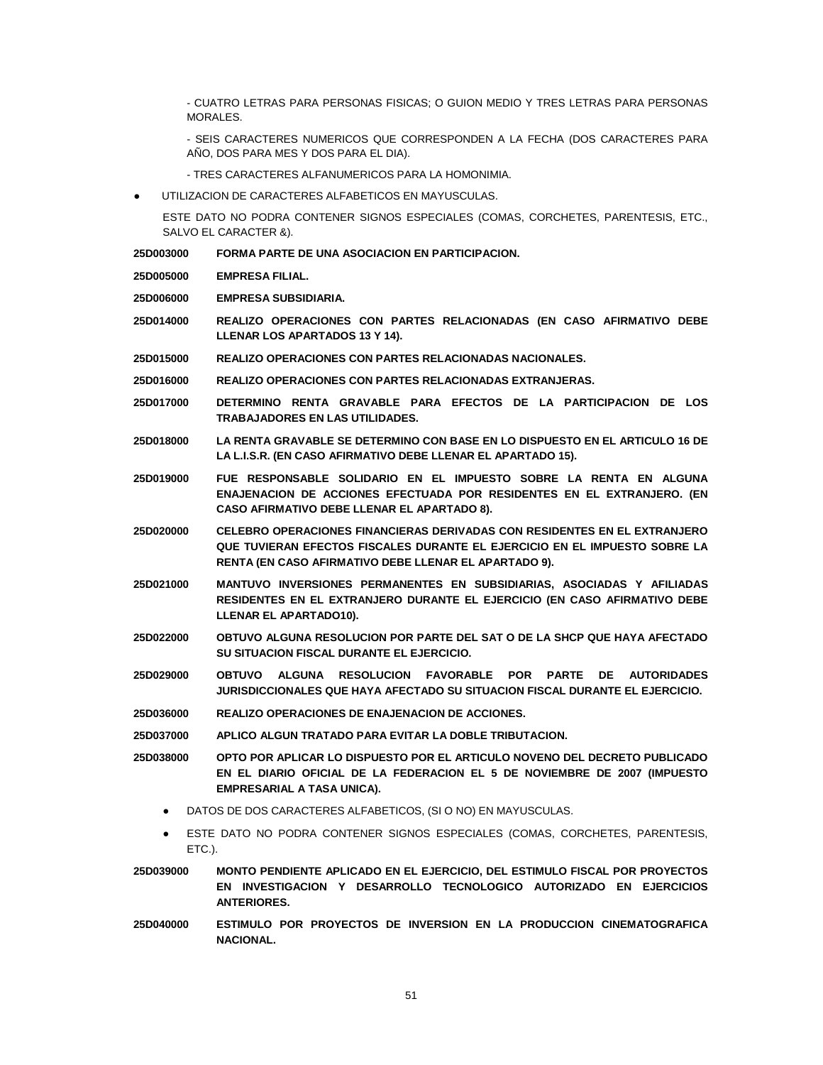- CUATRO LETRAS PARA PERSONAS FISICAS; O GUION MEDIO Y TRES LETRAS PARA PERSONAS MORALES.

- SEIS CARACTERES NUMERICOS QUE CORRESPONDEN A LA FECHA (DOS CARACTERES PARA AÑO, DOS PARA MES Y DOS PARA EL DIA).

- TRES CARACTERES ALFANUMERICOS PARA LA HOMONIMIA.
- UTILIZACION DE CARACTERES ALFABETICOS EN MAYUSCULAS.

ESTE DATO NO PODRA CONTENER SIGNOS ESPECIALES (COMAS, CORCHETES, PARENTESIS, ETC., SALVO EL CARACTER &).

- **25D003000 FORMA PARTE DE UNA ASOCIACION EN PARTICIPACION.**
- **25D005000 EMPRESA FILIAL.**

**25D006000 EMPRESA SUBSIDIARIA.**

- **25D014000 REALIZO OPERACIONES CON PARTES RELACIONADAS (EN CASO AFIRMATIVO DEBE LLENAR LOS APARTADOS 13 Y 14).**
- **25D015000 REALIZO OPERACIONES CON PARTES RELACIONADAS NACIONALES.**
- **25D016000 REALIZO OPERACIONES CON PARTES RELACIONADAS EXTRANJERAS.**
- **25D017000 DETERMINO RENTA GRAVABLE PARA EFECTOS DE LA PARTICIPACION DE LOS TRABAJADORES EN LAS UTILIDADES.**
- **25D018000 LA RENTA GRAVABLE SE DETERMINO CON BASE EN LO DISPUESTO EN EL ARTICULO 16 DE LA L.I.S.R. (EN CASO AFIRMATIVO DEBE LLENAR EL APARTADO 15).**
- **25D019000 FUE RESPONSABLE SOLIDARIO EN EL IMPUESTO SOBRE LA RENTA EN ALGUNA ENAJENACION DE ACCIONES EFECTUADA POR RESIDENTES EN EL EXTRANJERO. (EN CASO AFIRMATIVO DEBE LLENAR EL APARTADO 8).**
- **25D020000 CELEBRO OPERACIONES FINANCIERAS DERIVADAS CON RESIDENTES EN EL EXTRANJERO QUE TUVIERAN EFECTOS FISCALES DURANTE EL EJERCICIO EN EL IMPUESTO SOBRE LA RENTA (EN CASO AFIRMATIVO DEBE LLENAR EL APARTADO 9).**
- **25D021000 MANTUVO INVERSIONES PERMANENTES EN SUBSIDIARIAS, ASOCIADAS Y AFILIADAS RESIDENTES EN EL EXTRANJERO DURANTE EL EJERCICIO (EN CASO AFIRMATIVO DEBE LLENAR EL APARTADO10).**
- **25D022000 OBTUVO ALGUNA RESOLUCION POR PARTE DEL SAT O DE LA SHCP QUE HAYA AFECTADO SU SITUACION FISCAL DURANTE EL EJERCICIO.**
- **25D029000 OBTUVO ALGUNA RESOLUCION FAVORABLE POR PARTE DE AUTORIDADES JURISDICCIONALES QUE HAYA AFECTADO SU SITUACION FISCAL DURANTE EL EJERCICIO.**
- **25D036000 REALIZO OPERACIONES DE ENAJENACION DE ACCIONES.**
- **25D037000 APLICO ALGUN TRATADO PARA EVITAR LA DOBLE TRIBUTACION.**
- **25D038000 OPTO POR APLICAR LO DISPUESTO POR EL ARTICULO NOVENO DEL DECRETO PUBLICADO EN EL DIARIO OFICIAL DE LA FEDERACION EL 5 DE NOVIEMBRE DE 2007 (IMPUESTO EMPRESARIAL A TASA UNICA).**
	- DATOS DE DOS CARACTERES ALFABETICOS, (SI O NO) EN MAYUSCULAS.
	- ESTE DATO NO PODRA CONTENER SIGNOS ESPECIALES (COMAS, CORCHETES, PARENTESIS, ETC.).
- **25D039000 MONTO PENDIENTE APLICADO EN EL EJERCICIO, DEL ESTIMULO FISCAL POR PROYECTOS EN INVESTIGACION Y DESARROLLO TECNOLOGICO AUTORIZADO EN EJERCICIOS ANTERIORES.**
- **25D040000 ESTIMULO POR PROYECTOS DE INVERSION EN LA PRODUCCION CINEMATOGRAFICA NACIONAL.**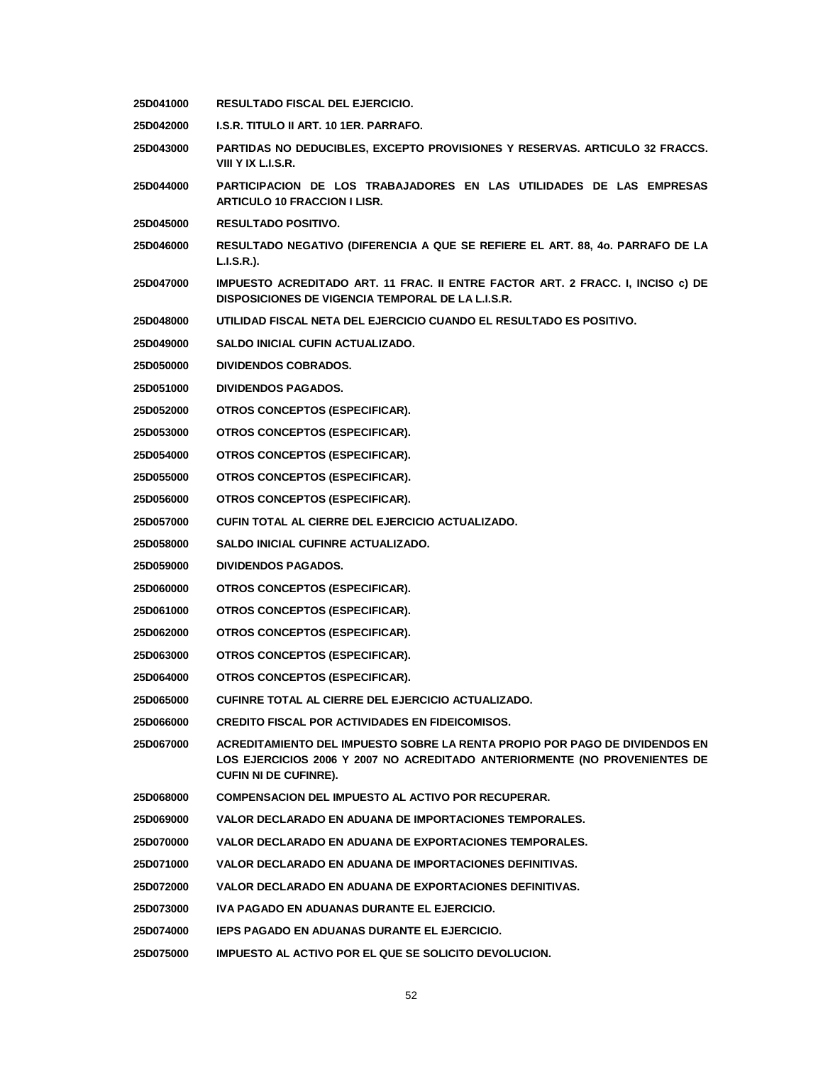- **25D041000 RESULTADO FISCAL DEL EJERCICIO.**
- **25D042000 I.S.R. TITULO II ART. 10 1ER. PARRAFO.**
- **25D043000 PARTIDAS NO DEDUCIBLES, EXCEPTO PROVISIONES Y RESERVAS. ARTICULO 32 FRACCS. VIII Y IX L.I.S.R.**
- **25D044000 PARTICIPACION DE LOS TRABAJADORES EN LAS UTILIDADES DE LAS EMPRESAS ARTICULO 10 FRACCION I LISR.**
- **25D045000 RESULTADO POSITIVO.**
- **25D046000 RESULTADO NEGATIVO (DIFERENCIA A QUE SE REFIERE EL ART. 88, 4o. PARRAFO DE LA L.I.S.R.).**
- **25D047000 IMPUESTO ACREDITADO ART. 11 FRAC. II ENTRE FACTOR ART. 2 FRACC. I, INCISO c) DE DISPOSICIONES DE VIGENCIA TEMPORAL DE LA L.I.S.R.**
- **25D048000 UTILIDAD FISCAL NETA DEL EJERCICIO CUANDO EL RESULTADO ES POSITIVO.**
- **25D049000 SALDO INICIAL CUFIN ACTUALIZADO.**
- **25D050000 DIVIDENDOS COBRADOS.**
- **25D051000 DIVIDENDOS PAGADOS.**
- **25D052000 OTROS CONCEPTOS (ESPECIFICAR).**
- **25D053000 OTROS CONCEPTOS (ESPECIFICAR).**
- **25D054000 OTROS CONCEPTOS (ESPECIFICAR).**
- **25D055000 OTROS CONCEPTOS (ESPECIFICAR).**
- **25D056000 OTROS CONCEPTOS (ESPECIFICAR).**
- **25D057000 CUFIN TOTAL AL CIERRE DEL EJERCICIO ACTUALIZADO.**
- **25D058000 SALDO INICIAL CUFINRE ACTUALIZADO.**
- **25D059000 DIVIDENDOS PAGADOS.**
- **25D060000 OTROS CONCEPTOS (ESPECIFICAR).**
- **25D061000 OTROS CONCEPTOS (ESPECIFICAR).**
- **25D062000 OTROS CONCEPTOS (ESPECIFICAR).**
- **25D063000 OTROS CONCEPTOS (ESPECIFICAR).**
- **25D064000 OTROS CONCEPTOS (ESPECIFICAR).**
- **25D065000 CUFINRE TOTAL AL CIERRE DEL EJERCICIO ACTUALIZADO.**
- **25D066000 CREDITO FISCAL POR ACTIVIDADES EN FIDEICOMISOS.**
- **25D067000 ACREDITAMIENTO DEL IMPUESTO SOBRE LA RENTA PROPIO POR PAGO DE DIVIDENDOS EN LOS EJERCICIOS 2006 Y 2007 NO ACREDITADO ANTERIORMENTE (NO PROVENIENTES DE CUFIN NI DE CUFINRE).**
- **25D068000 COMPENSACION DEL IMPUESTO AL ACTIVO POR RECUPERAR.**
- **25D069000 VALOR DECLARADO EN ADUANA DE IMPORTACIONES TEMPORALES.**
- **25D070000 VALOR DECLARADO EN ADUANA DE EXPORTACIONES TEMPORALES.**
- **25D071000 VALOR DECLARADO EN ADUANA DE IMPORTACIONES DEFINITIVAS.**
- **25D072000 VALOR DECLARADO EN ADUANA DE EXPORTACIONES DEFINITIVAS.**
- **25D073000 IVA PAGADO EN ADUANAS DURANTE EL EJERCICIO.**
- **25D074000 IEPS PAGADO EN ADUANAS DURANTE EL EJERCICIO.**
- **25D075000 IMPUESTO AL ACTIVO POR EL QUE SE SOLICITO DEVOLUCION.**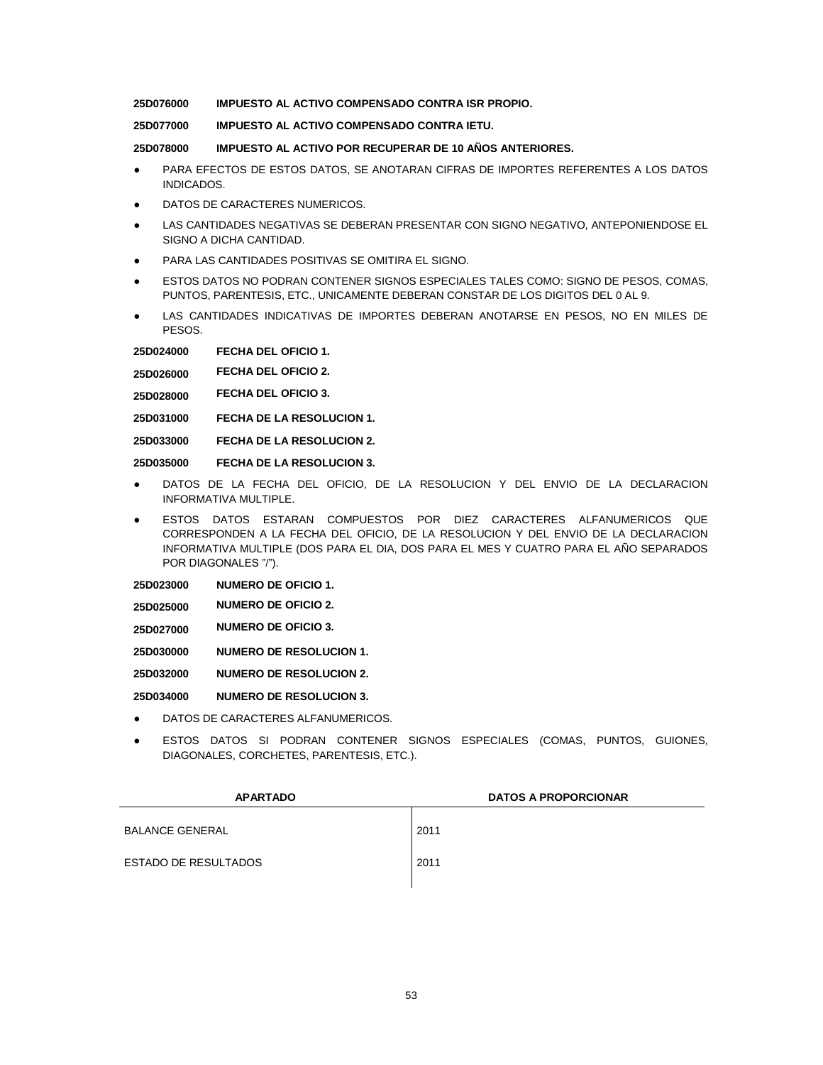**25D076000 IMPUESTO AL ACTIVO COMPENSADO CONTRA ISR PROPIO.**

**25D077000 IMPUESTO AL ACTIVO COMPENSADO CONTRA IETU.**

**25D078000 IMPUESTO AL ACTIVO POR RECUPERAR DE 10 AÑOS ANTERIORES.**

- PARA EFECTOS DE ESTOS DATOS, SE ANOTARAN CIFRAS DE IMPORTES REFERENTES A LOS DATOS INDICADOS.
- DATOS DE CARACTERES NUMERICOS.
- LAS CANTIDADES NEGATIVAS SE DEBERAN PRESENTAR CON SIGNO NEGATIVO, ANTEPONIENDOSE EL SIGNO A DICHA CANTIDAD.
- PARA LAS CANTIDADES POSITIVAS SE OMITIRA EL SIGNO.
- **ESTOS DATOS NO PODRAN CONTENER SIGNOS ESPECIALES TALES COMO: SIGNO DE PESOS, COMAS,** PUNTOS, PARENTESIS, ETC., UNICAMENTE DEBERAN CONSTAR DE LOS DIGITOS DEL 0 AL 9.
- LAS CANTIDADES INDICATIVAS DE IMPORTES DEBERAN ANOTARSE EN PESOS, NO EN MILES DE PESOS.

**25D024000 FECHA DEL OFICIO 1.**

**25D026000 FECHA DEL OFICIO 2.**

**25D028000 FECHA DEL OFICIO 3.**

**25D031000 FECHA DE LA RESOLUCION 1.**

**25D033000 FECHA DE LA RESOLUCION 2.**

**25D035000 FECHA DE LA RESOLUCION 3.**

- DATOS DE LA FECHA DEL OFICIO, DE LA RESOLUCION Y DEL ENVIO DE LA DECLARACION INFORMATIVA MULTIPLE.
- ESTOS DATOS ESTARAN COMPUESTOS POR DIEZ CARACTERES ALFANUMERICOS QUE CORRESPONDEN A LA FECHA DEL OFICIO, DE LA RESOLUCION Y DEL ENVIO DE LA DECLARACION INFORMATIVA MULTIPLE (DOS PARA EL DIA, DOS PARA EL MES Y CUATRO PARA EL AÑO SEPARADOS POR DIAGONALES "/").
- **25D023000 NUMERO DE OFICIO 1.**
- **25D025000 NUMERO DE OFICIO 2.**
- **25D027000 NUMERO DE OFICIO 3.**
- **25D030000 NUMERO DE RESOLUCION 1.**

**25D032000 NUMERO DE RESOLUCION 2.**

**25D034000 NUMERO DE RESOLUCION 3.**

- DATOS DE CARACTERES ALFANUMERICOS.
- ESTOS DATOS SI PODRAN CONTENER SIGNOS ESPECIALES (COMAS, PUNTOS, GUIONES, DIAGONALES, CORCHETES, PARENTESIS, ETC.).

| <b>APARTADO</b>             | <b>DATOS A PROPORCIONAR</b> |
|-----------------------------|-----------------------------|
| <b>BALANCE GENERAL</b>      | 2011                        |
| <b>ESTADO DE RESULTADOS</b> | 2011                        |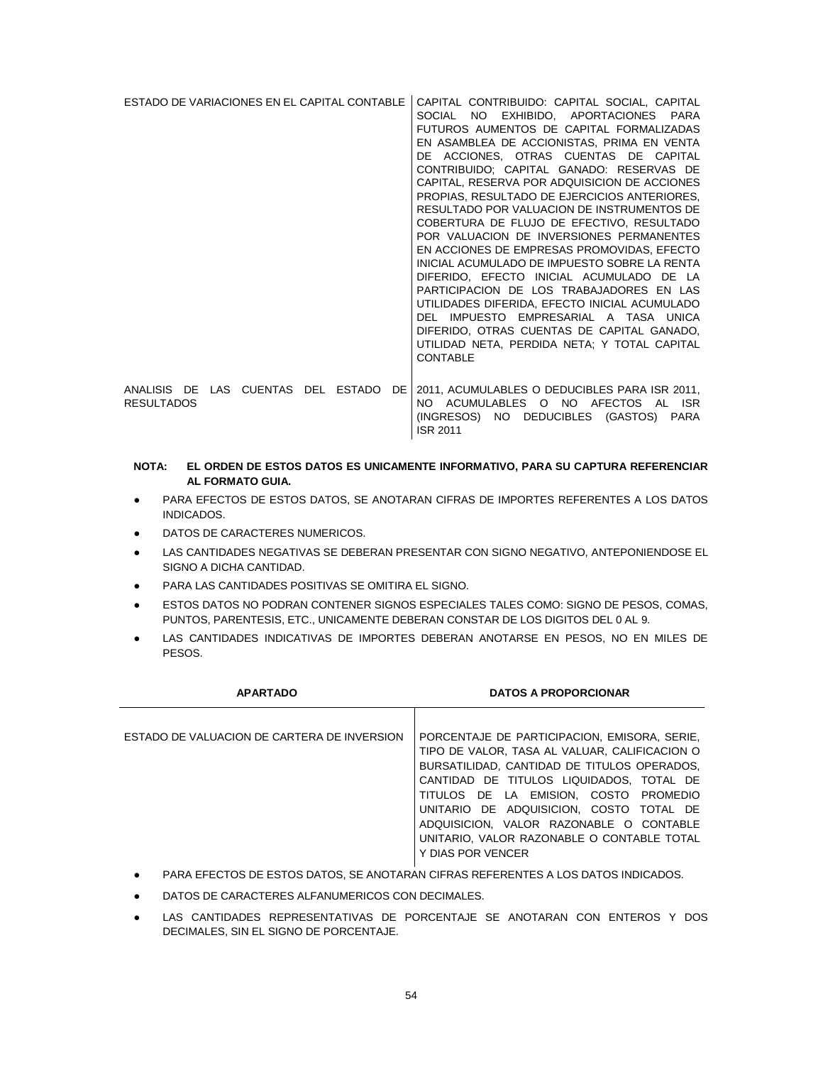| ESTADO DE VARIACIONES EN EL CAPITAL CONTABLE            |  |  |    | CAPITAL CONTRIBUIDO: CAPITAL SOCIAL, CAPITAL<br>NO <b>NO</b><br>EXHIBIDO, APORTACIONES PARA<br><b>SOCIAL</b><br>FUTUROS AUMENTOS DE CAPITAL FORMALIZADAS<br>EN ASAMBLEA DE ACCIONISTAS, PRIMA EN VENTA<br>DE ACCIONES, OTRAS CUENTAS DE CAPITAL<br>CONTRIBUIDO: CAPITAL GANADO: RESERVAS DE<br>CAPITAL, RESERVA POR ADQUISICION DE ACCIONES<br>PROPIAS, RESULTADO DE EJERCICIOS ANTERIORES,<br>RESULTADO POR VALUACION DE INSTRUMENTOS DE<br>COBERTURA DE FLUJO DE EFECTIVO, RESULTADO<br>POR VALUACION DE INVERSIONES PERMANENTES<br>EN ACCIONES DE EMPRESAS PROMOVIDAS, EFECTO<br>INICIAL ACUMULADO DE IMPUESTO SOBRE LA RENTA<br>DIFERIDO, EFECTO INICIAL ACUMULADO DE LA<br>PARTICIPACION DE LOS TRABAJADORES EN LAS<br>UTILIDADES DIFERIDA, EFECTO INICIAL ACUMULADO<br>DEL IMPUESTO EMPRESARIAL A TASA UNICA<br>DIFERIDO, OTRAS CUENTAS DE CAPITAL GANADO,<br>UTILIDAD NETA, PERDIDA NETA; Y TOTAL CAPITAL<br><b>CONTABLE</b> |
|---------------------------------------------------------|--|--|----|-------------------------------------------------------------------------------------------------------------------------------------------------------------------------------------------------------------------------------------------------------------------------------------------------------------------------------------------------------------------------------------------------------------------------------------------------------------------------------------------------------------------------------------------------------------------------------------------------------------------------------------------------------------------------------------------------------------------------------------------------------------------------------------------------------------------------------------------------------------------------------------------------------------------------------------|
| ANALISIS DE LAS CUENTAS DEL ESTADO<br><b>RESULTADOS</b> |  |  | DE | 2011, ACUMULABLES O DEDUCIBLES PARA ISR 2011,<br>NO ACUMULABLES O NO AFECTOS<br>AL ISR<br>(INGRESOS) NO DEDUCIBLES (GASTOS) PARA<br><b>ISR 2011</b>                                                                                                                                                                                                                                                                                                                                                                                                                                                                                                                                                                                                                                                                                                                                                                                 |

- **NOTA: EL ORDEN DE ESTOS DATOS ES UNICAMENTE INFORMATIVO, PARA SU CAPTURA REFERENCIAR AL FORMATO GUIA.**
- PARA EFECTOS DE ESTOS DATOS, SE ANOTARAN CIFRAS DE IMPORTES REFERENTES A LOS DATOS INDICADOS.
- DATOS DE CARACTERES NUMERICOS.
- LAS CANTIDADES NEGATIVAS SE DEBERAN PRESENTAR CON SIGNO NEGATIVO, ANTEPONIENDOSE EL SIGNO A DICHA CANTIDAD.
- PARA LAS CANTIDADES POSITIVAS SE OMITIRA EL SIGNO.
- **ESTOS DATOS NO PODRAN CONTENER SIGNOS ESPECIALES TALES COMO: SIGNO DE PESOS, COMAS,** PUNTOS, PARENTESIS, ETC., UNICAMENTE DEBERAN CONSTAR DE LOS DIGITOS DEL 0 AL 9.
- LAS CANTIDADES INDICATIVAS DE IMPORTES DEBERAN ANOTARSE EN PESOS, NO EN MILES DE PESOS.

| <b>APARTADO</b>                             | <b>DATOS A PROPORCIONAR</b>                                                                                                                                                                                                                                                                                                                                                                |
|---------------------------------------------|--------------------------------------------------------------------------------------------------------------------------------------------------------------------------------------------------------------------------------------------------------------------------------------------------------------------------------------------------------------------------------------------|
| ESTADO DE VALUACION DE CARTERA DE INVERSION | PORCENTAJE DE PARTICIPACION, EMISORA, SERIE,<br>TIPO DE VALOR, TASA AL VALUAR, CALIFICACION O<br>BURSATILIDAD, CANTIDAD DE TITULOS OPERADOS,<br>CANTIDAD DE TITULOS LIQUIDADOS, TOTAL DE<br>TITULOS DE LA EMISION. COSTO PROMEDIO<br>UNITARIO DE ADQUISICION, COSTO TOTAL DE<br>ADQUISICION, VALOR RAZONABLE O CONTABLE<br>UNITARIO. VALOR RAZONABLE O CONTABLE TOTAL<br>Y DIAS POR VENCER |

- PARA EFECTOS DE ESTOS DATOS, SE ANOTARAN CIFRAS REFERENTES A LOS DATOS INDICADOS.
- DATOS DE CARACTERES ALFANUMERICOS CON DECIMALES.
- · LAS CANTIDADES REPRESENTATIVAS DE PORCENTAJE SE ANOTARAN CON ENTEROS Y DOS DECIMALES, SIN EL SIGNO DE PORCENTAJE.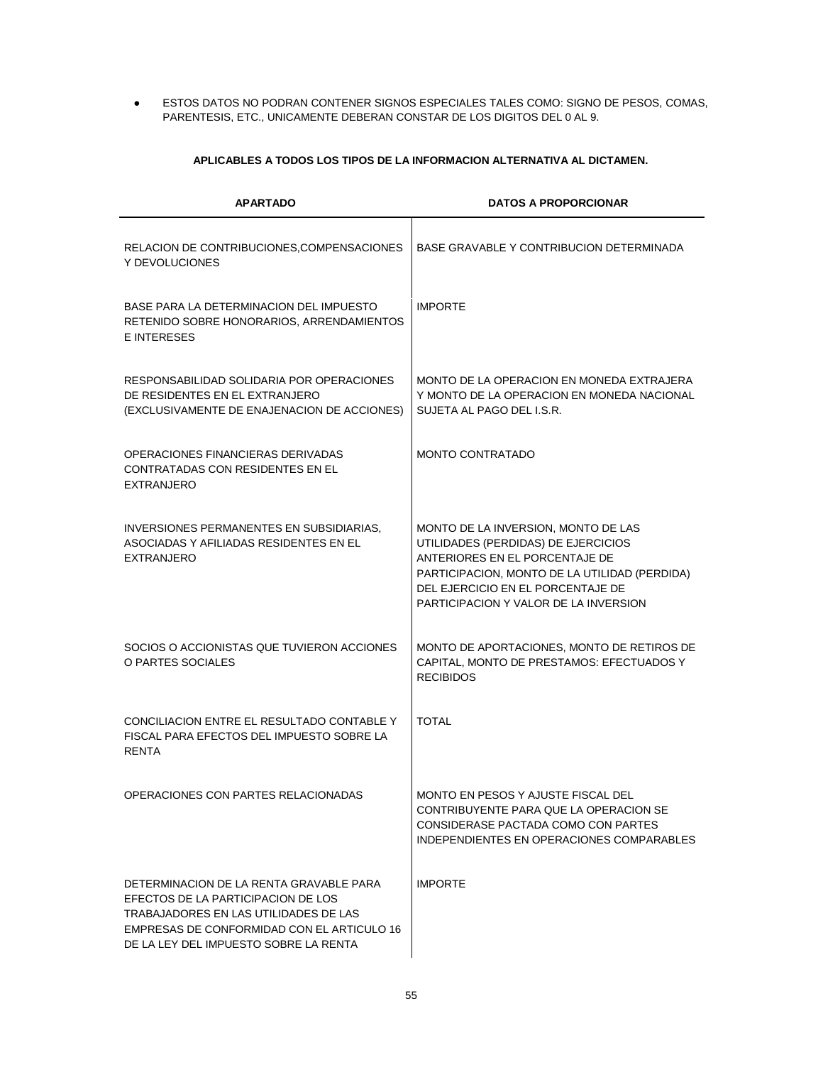**ESTOS DATOS NO PODRAN CONTENER SIGNOS ESPECIALES TALES COMO: SIGNO DE PESOS, COMAS,** PARENTESIS, ETC., UNICAMENTE DEBERAN CONSTAR DE LOS DIGITOS DEL 0 AL 9.

# **APLICABLES A TODOS LOS TIPOS DE LA INFORMACION ALTERNATIVA AL DICTAMEN.**

| <b>APARTADO</b>                                                                                                                                                                                               | <b>DATOS A PROPORCIONAR</b>                                                                                                                                                                                                                 |
|---------------------------------------------------------------------------------------------------------------------------------------------------------------------------------------------------------------|---------------------------------------------------------------------------------------------------------------------------------------------------------------------------------------------------------------------------------------------|
| RELACION DE CONTRIBUCIONES, COMPENSACIONES<br>Y DEVOLUCIONES                                                                                                                                                  | BASE GRAVABLE Y CONTRIBUCION DETERMINADA                                                                                                                                                                                                    |
| BASE PARA LA DETERMINACION DEL IMPUESTO<br>RETENIDO SOBRE HONORARIOS, ARRENDAMIENTOS<br><b>E INTERESES</b>                                                                                                    | <b>IMPORTE</b>                                                                                                                                                                                                                              |
| RESPONSABILIDAD SOLIDARIA POR OPERACIONES<br>DE RESIDENTES EN EL EXTRANJERO<br>(EXCLUSIVAMENTE DE ENAJENACION DE ACCIONES)                                                                                    | MONTO DE LA OPERACION EN MONEDA EXTRAJERA<br>Y MONTO DE LA OPERACION EN MONEDA NACIONAL<br>SUJETA AL PAGO DEL I.S.R.                                                                                                                        |
| OPERACIONES FINANCIERAS DERIVADAS<br>CONTRATADAS CON RESIDENTES EN EL<br><b>EXTRANJERO</b>                                                                                                                    | <b>MONTO CONTRATADO</b>                                                                                                                                                                                                                     |
| INVERSIONES PERMANENTES EN SUBSIDIARIAS,<br>ASOCIADAS Y AFILIADAS RESIDENTES EN EL<br><b>EXTRANJERO</b>                                                                                                       | MONTO DE LA INVERSION, MONTO DE LAS<br>UTILIDADES (PERDIDAS) DE EJERCICIOS<br>ANTERIORES EN EL PORCENTAJE DE<br>PARTICIPACION, MONTO DE LA UTILIDAD (PERDIDA)<br>DEL EJERCICIO EN EL PORCENTAJE DE<br>PARTICIPACION Y VALOR DE LA INVERSION |
| SOCIOS O ACCIONISTAS QUE TUVIERON ACCIONES<br>O PARTES SOCIALES                                                                                                                                               | MONTO DE APORTACIONES, MONTO DE RETIROS DE<br>CAPITAL, MONTO DE PRESTAMOS: EFECTUADOS Y<br><b>RECIBIDOS</b>                                                                                                                                 |
| CONCILIACION ENTRE EL RESULTADO CONTABLE Y<br>FISCAL PARA EFECTOS DEL IMPUESTO SOBRE LA<br><b>RENTA</b>                                                                                                       | <b>TOTAL</b>                                                                                                                                                                                                                                |
| OPERACIONES CON PARTES RELACIONADAS                                                                                                                                                                           | MONTO EN PESOS Y AJUSTE FISCAL DEL<br>CONTRIBUYENTE PARA QUE LA OPERACION SE<br>CONSIDERASE PACTADA COMO CON PARTES<br>INDEPENDIENTES EN OPERACIONES COMPARABLES                                                                            |
| DETERMINACION DE LA RENTA GRAVABLE PARA<br>EFECTOS DE LA PARTICIPACION DE LOS<br>TRABAJADORES EN LAS UTILIDADES DE LAS<br>EMPRESAS DE CONFORMIDAD CON EL ARTICULO 16<br>DE LA LEY DEL IMPUESTO SOBRE LA RENTA | <b>IMPORTE</b>                                                                                                                                                                                                                              |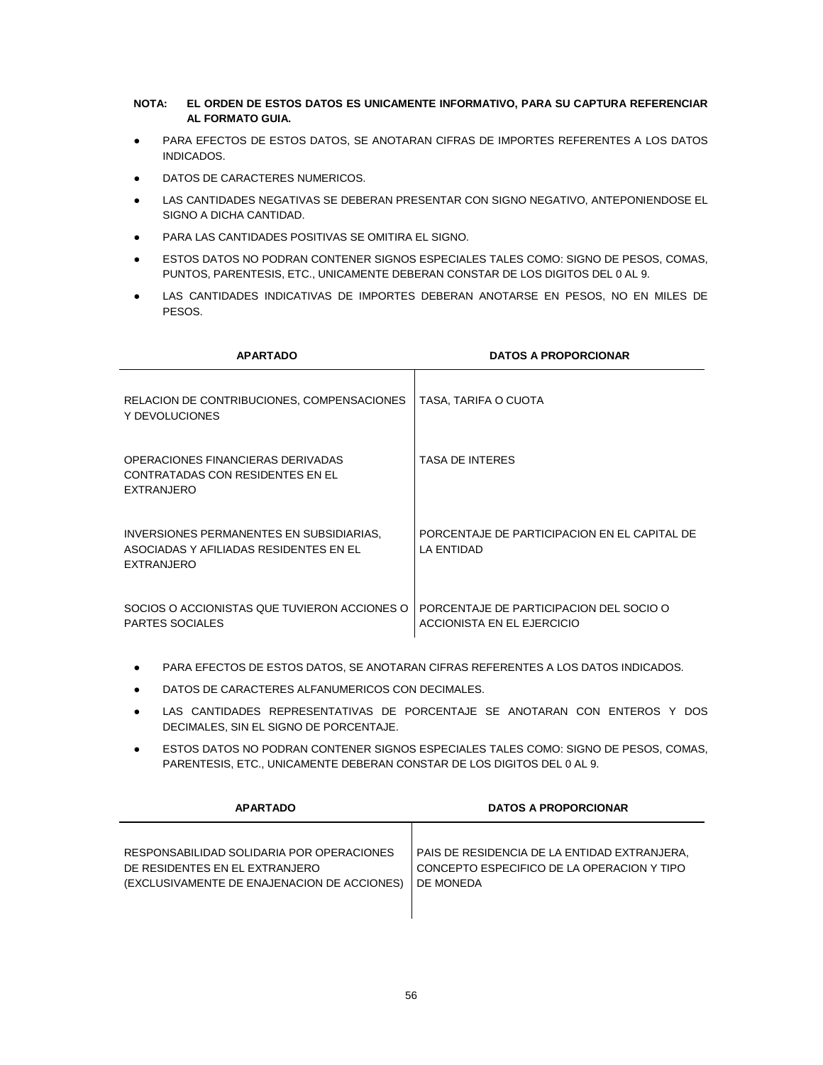# **NOTA: EL ORDEN DE ESTOS DATOS ES UNICAMENTE INFORMATIVO, PARA SU CAPTURA REFERENCIAR AL FORMATO GUIA.**

- PARA EFECTOS DE ESTOS DATOS, SE ANOTARAN CIFRAS DE IMPORTES REFERENTES A LOS DATOS INDICADOS.
- **DATOS DE CARACTERES NUMERICOS.**
- LAS CANTIDADES NEGATIVAS SE DEBERAN PRESENTAR CON SIGNO NEGATIVO, ANTEPONIENDOSE EL SIGNO A DICHA CANTIDAD.
- PARA LAS CANTIDADES POSITIVAS SE OMITIRA EL SIGNO.
- ESTOS DATOS NO PODRAN CONTENER SIGNOS ESPECIALES TALES COMO: SIGNO DE PESOS, COMAS, PUNTOS, PARENTESIS, ETC., UNICAMENTE DEBERAN CONSTAR DE LOS DIGITOS DEL 0 AL 9.
- LAS CANTIDADES INDICATIVAS DE IMPORTES DEBERAN ANOTARSE EN PESOS, NO EN MILES DE PESOS.

| <b>APARTADO</b>                                                                                         | <b>DATOS A PROPORCIONAR</b>                                           |
|---------------------------------------------------------------------------------------------------------|-----------------------------------------------------------------------|
| RELACION DE CONTRIBUCIONES, COMPENSACIONES<br>Y DEVOLUCIONES                                            | TASA, TARIFA O CUOTA                                                  |
| OPERACIONES FINANCIERAS DERIVADAS<br>CONTRATADAS CON RESIDENTES EN EL<br><b>EXTRANJERO</b>              | <b>TASA DE INTERES</b>                                                |
| INVERSIONES PERMANENTES EN SUBSIDIARIAS.<br>ASOCIADAS Y AFILIADAS RESIDENTES EN EL<br><b>EXTRANJERO</b> | PORCENTAJE DE PARTICIPACION EN EL CAPITAL DE<br>LA ENTIDAD            |
| SOCIOS O ACCIONISTAS QUE TUVIERON ACCIONES O<br><b>PARTES SOCIALES</b>                                  | PORCENTAJE DE PARTICIPACION DEL SOCIO O<br>ACCIONISTA EN EL EJERCICIO |

- PARA EFECTOS DE ESTOS DATOS, SE ANOTARAN CIFRAS REFERENTES A LOS DATOS INDICADOS.
- DATOS DE CARACTERES ALFANUMERICOS CON DECIMALES.
- LAS CANTIDADES REPRESENTATIVAS DE PORCENTAJE SE ANOTARAN CON ENTEROS Y DOS DECIMALES, SIN EL SIGNO DE PORCENTAJE.
- ESTOS DATOS NO PODRAN CONTENER SIGNOS ESPECIALES TALES COMO: SIGNO DE PESOS, COMAS, PARENTESIS, ETC., UNICAMENTE DEBERAN CONSTAR DE LOS DIGITOS DEL 0 AL 9.

| <b>APARTADO</b>                             | <b>DATOS A PROPORCIONAR</b>                  |  |
|---------------------------------------------|----------------------------------------------|--|
| RESPONSABILIDAD SOLIDARIA POR OPERACIONES   | PAIS DE RESIDENCIA DE LA ENTIDAD EXTRANJERA, |  |
| DE RESIDENTES EN EL EXTRANJERO              | CONCEPTO ESPECIFICO DE LA OPERACION Y TIPO   |  |
| (EXCLUSIVAMENTE DE ENAJENACION DE ACCIONES) | DE MONEDA                                    |  |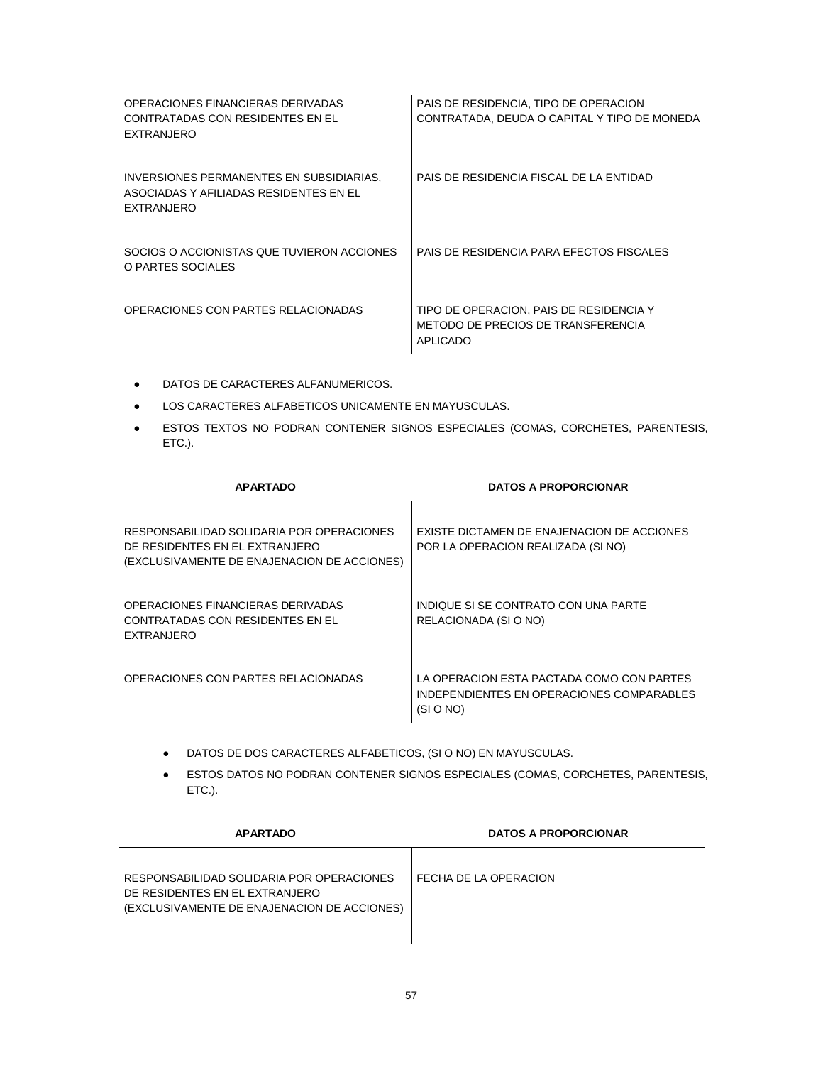| OPERACIONES FINANCIERAS DERIVADAS<br>CONTRATADAS CON RESIDENTES EN EL<br><b>EXTRANJERO</b>       | PAIS DE RESIDENCIA, TIPO DE OPERACION<br>CONTRATADA, DEUDA O CAPITAL Y TIPO DE MONEDA            |
|--------------------------------------------------------------------------------------------------|--------------------------------------------------------------------------------------------------|
| INVERSIONES PERMANENTES EN SUBSIDIARIAS.<br>ASOCIADAS Y AFILIADAS RESIDENTES EN EL<br>EXTRANJERO | PAIS DE RESIDENCIA FISCAL DE LA ENTIDAD                                                          |
| SOCIOS O ACCIONISTAS QUE TUVIERON ACCIONES<br>O PARTES SOCIALES                                  | PAIS DE RESIDENCIA PARA EFECTOS FISCALES                                                         |
| OPERACIONES CON PARTES RELACIONADAS                                                              | TIPO DE OPERACION, PAIS DE RESIDENCIA Y<br>METODO DE PRECIOS DE TRANSFERENCIA<br><b>APLICADO</b> |

- DATOS DE CARACTERES ALFANUMERICOS.
- LOS CARACTERES ALFABETICOS UNICAMENTE EN MAYUSCULAS.
- **ESTOS TEXTOS NO PODRAN CONTENER SIGNOS ESPECIALES (COMAS, CORCHETES, PARENTESIS,** ETC.).

| <b>APARTADO</b>                                                                                                            | <b>DATOS A PROPORCIONAR</b>                                                                         |
|----------------------------------------------------------------------------------------------------------------------------|-----------------------------------------------------------------------------------------------------|
| RESPONSABILIDAD SOLIDARIA POR OPERACIONES<br>DE RESIDENTES EN EL EXTRANJERO<br>(EXCLUSIVAMENTE DE ENAJENACION DE ACCIONES) | <b>EXISTE DICTAMEN DE ENAJENACION DE ACCIONES</b><br>POR LA OPERACION REALIZADA (SI NO)             |
| OPERACIONES FINANCIERAS DERIVADAS<br>CONTRATADAS CON RESIDENTES EN EL<br><b>EXTRANJERO</b>                                 | INDIQUE SI SE CONTRATO CON UNA PARTE<br>RELACIONADA (SI O NO)                                       |
| OPERACIONES CON PARTES RELACIONADAS                                                                                        | LA OPERACION ESTA PACTADA COMO CON PARTES<br>INDEPENDIENTES EN OPERACIONES COMPARABLES<br>(SI O NO) |

- DATOS DE DOS CARACTERES ALFABETICOS, (SI O NO) EN MAYUSCULAS.
- ESTOS DATOS NO PODRAN CONTENER SIGNOS ESPECIALES (COMAS, CORCHETES, PARENTESIS, ETC.).

| <b>APARTADO</b>                                                                                                            | <b>DATOS A PROPORCIONAR</b> |
|----------------------------------------------------------------------------------------------------------------------------|-----------------------------|
| RESPONSABILIDAD SOLIDARIA POR OPERACIONES<br>DE RESIDENTES EN EL EXTRANJERO<br>(EXCLUSIVAMENTE DE ENAJENACION DE ACCIONES) | FECHA DE LA OPERACION       |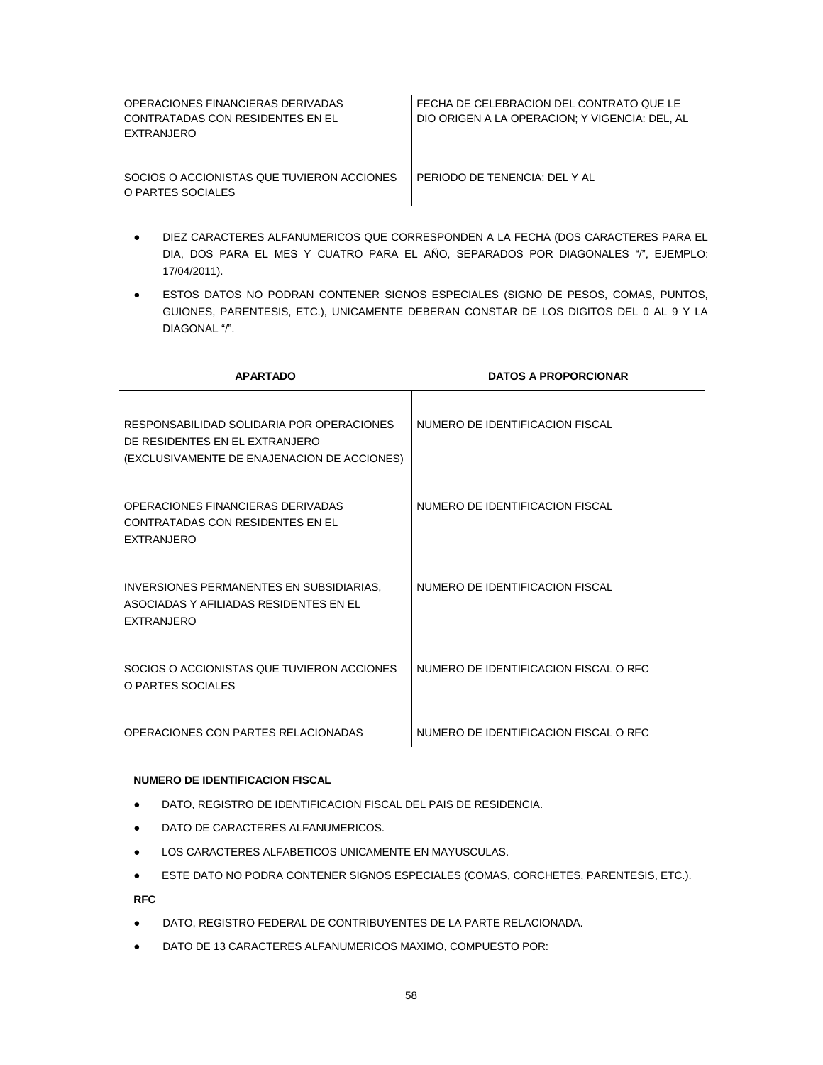| OPERACIONES FINANCIERAS DERIVADAS<br>CONTRATADAS CON RESIDENTES EN EL<br>EXTRANJERO | FECHA DE CELEBRACION DEL CONTRATO QUE LE<br>DIO ORIGEN A LA OPERACION: Y VIGENCIA: DEL. AL |
|-------------------------------------------------------------------------------------|--------------------------------------------------------------------------------------------|
| SOCIOS O ACCIONISTAS QUE TUVIERON ACCIONES<br>O PARTES SOCIALES                     | PERIODO DE TENENCIA: DEL Y AL                                                              |

- DIEZ CARACTERES ALFANUMERICOS QUE CORRESPONDEN A LA FECHA (DOS CARACTERES PARA EL DIA, DOS PARA EL MES Y CUATRO PARA EL AÑO, SEPARADOS POR DIAGONALES "/", EJEMPLO: 17/04/2011).
- **ESTOS DATOS NO PODRAN CONTENER SIGNOS ESPECIALES (SIGNO DE PESOS, COMAS, PUNTOS,** GUIONES, PARENTESIS, ETC.), UNICAMENTE DEBERAN CONSTAR DE LOS DIGITOS DEL 0 AL 9 Y LA DIAGONAL "/".

| <b>APARTADO</b>                                                                                                            | <b>DATOS A PROPORCIONAR</b>           |
|----------------------------------------------------------------------------------------------------------------------------|---------------------------------------|
| RESPONSABILIDAD SOLIDARIA POR OPERACIONES<br>DE RESIDENTES EN EL EXTRANJERO<br>(EXCLUSIVAMENTE DE ENAJENACION DE ACCIONES) | NUMERO DE IDENTIFICACION FISCAL       |
| OPERACIONES FINANCIERAS DERIVADAS<br>CONTRATADAS CON RESIDENTES EN EL<br><b>EXTRANJERO</b>                                 | NUMERO DE IDENTIFICACION FISCAL       |
| INVERSIONES PERMANENTES EN SUBSIDIARIAS.<br>ASOCIADAS Y AFILIADAS RESIDENTES EN EL<br><b>FXTRANJERO</b>                    | NUMERO DE IDENTIFICACION FISCAL       |
| SOCIOS O ACCIONISTAS QUE TUVIERON ACCIONES<br>O PARTES SOCIALES                                                            | NUMERO DE IDENTIFICACION FISCAL O RFC |
| OPERACIONES CON PARTES RELACIONADAS                                                                                        | NUMERO DE IDENTIFICACION FISCAL O RFC |

#### **NUMERO DE IDENTIFICACION FISCAL**

- DATO, REGISTRO DE IDENTIFICACION FISCAL DEL PAIS DE RESIDENCIA.
- DATO DE CARACTERES ALFANUMERICOS.
- LOS CARACTERES ALFABETICOS UNICAMENTE EN MAYUSCULAS.
- ESTE DATO NO PODRA CONTENER SIGNOS ESPECIALES (COMAS, CORCHETES, PARENTESIS, ETC.).

**RFC**

- DATO, REGISTRO FEDERAL DE CONTRIBUYENTES DE LA PARTE RELACIONADA.
- DATO DE 13 CARACTERES ALFANUMERICOS MAXIMO, COMPUESTO POR: